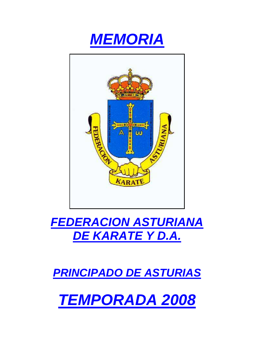



# **FEDERACION ASTURIANA DE KARATE Y D.A.**

**PRINCIPADO DE ASTURIAS**

**TEMPORADA 2008**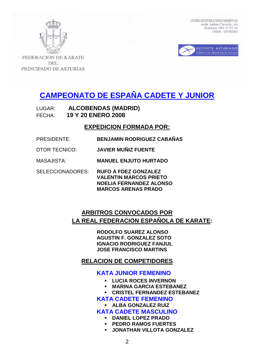



**FEDERACION DE KARATE DEL** PRINCIPADO DE ASTURIAS

# **CAMPEONATO DE ESPAÑA CADETE Y JUNIOR**

LUGAR: **ALCOBENDAS (MADRID)**  FECHA: **19 Y 20 ENERO 2008** 

## **EXPEDICION FORMADA POR:**

- PRESIDENTE: **BENJAMIN RODRIGUEZ CABAÑAS**
- DTOR TECNICO: **JAVIER MUÑIZ FUENTE**
- MASAJISTA: **MANUEL ENJUTO HURTADO**
- SELECCIONADORES: **RUFO A FDEZ GONZALEZ VALENTIN MARCOS PRIETO NOELIA FERNANDEZ ALONSO MARCOS ARENAS PRADO**

## **ARBITROS CONVOCADOS POR LA REAL FEDERACION ESPAÑOLA DE KARATE:**

 **RODOLFO SUAREZ ALONSO AGUSTIN F. GONZALEZ SOTO IGNACIO RODRIGUEZ FANJUL JOSE FRANCISCO MARTINS** 

## **RELACION DE COMPETIDORES**

## **KATA JUNIOR FEMENINO**

- **LUCIA ROCES INVERNON**
- **MARINA GARCIA ESTEBANEZ**
- **CRISTEL FERNANDEZ ESTEBANEZ**
- **KATA CADETE FEMENINO** 
	- **ALBA GONZALEZ RUIZ**

## **KATA CADETE MASCULINO**

- **DANIEL LOPEZ PRADO**
- **PEDRO RAMOS FUERTES**
- **JONATHAN VILLOTA GONZALEZ**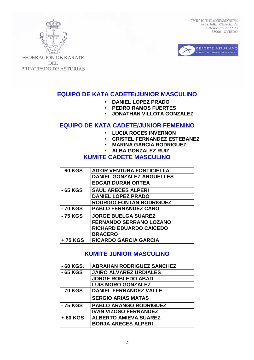



**FEDERACION DE KARATE DEL** PRINCIPADO DE ASTURIAS

## **EQUIPO DE KATA CADETE/JUNIOR MASCULINO**

- **DANIEL LOPEZ PRADO**
- **PEDRO RAMOS FUERTES**
- **JONATHAN VILLOTA GONZALEZ**

## **EQUIPO DE KATA CADETE/JUNIOR FEMENINO**

- **LUCIA ROCES INVERNON**
- **CRISTEL FERNANDEZ ESTEBANEZ**
- **MARINA GARCIA RODRIGUEZ**
- **ALBA GONZALEZ RUIZ**

## **KUMITE CADETE MASCULINO**

| - 60 KGS | <b>AITOR VENTURA FONTICIELLA</b> |
|----------|----------------------------------|
|          | <b>DANIEL GONZALEZ ARGUELLES</b> |
|          | <b>EDGAR DURAN ORTEA</b>         |
| - 65 KGS | <b>SAUL ARECES ALPERI</b>        |
|          | <b>DANIEL LOPEZ PRADO</b>        |
|          | <b>RODRIGO FONTAN RODRIGUEZ</b>  |
| - 70 KGS | <b>PABLO FERNANDEZ CANO</b>      |
| - 75 KGS | <b>JORGE BUELGA SUAREZ</b>       |
|          | <b>FERNANDO SERRANO LOZANO</b>   |
|          | <b>RICHARD EDUARDO CAICEDO</b>   |
|          | <b>BRACERO</b>                   |
| +75 KGS  | <b>RICARDO GARCIA GARCIA</b>     |

## **KUMITE JUNIOR MASCULINO**

| - 60 KGS. | <b>ABRAHAN RODRIGUEZ SANCHEZ</b> |
|-----------|----------------------------------|
| - 65 KGS  | <b>JAIRO ALVAREZ URDIALES</b>    |
|           | <b>JORGE ROBLEDO ABAD</b>        |
|           | <b>LUIS MORO GONZALEZ</b>        |
| - 70 KGS  | <b>DANIEL FERNANDEZ VALLE</b>    |
|           | <b>SERGIO ARIAS MATAS</b>        |
| - 75 KGS  | <b>PABLO ARANGO RODRIGUEZ</b>    |
|           | <b>IVAN VIZOSO FERNANDEZ</b>     |
| +80 KGS   | <b>ALBERTO AMIEVA SUAREZ</b>     |
|           | <b>BORJA ARECES ALPERI</b>       |
|           |                                  |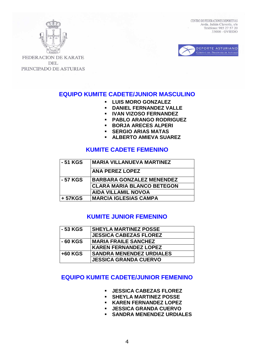



**FEDERACION DE KARATE DEL** PRINCIPADO DE ASTURIAS

## **EQUIPO KUMITE CADETE/JUNIOR MASCULINO**

- **LUIS MORO GONZALEZ**
- **DANIEL FERNANDEZ VALLE**
- **IVAN VIZOSO FERNANDEZ**
- **PABLO ARANGO RODRIGUEZ**
- **BORJA ARECES ALPERI**
- **SERGIO ARIAS MATAS**
- **ALBERTO AMIEVA SUAREZ**

## **KUMITE CADETE FEMENINO**

| - 51 KGS | <b>MARIA VILLANUEVA MARTINEZ</b>  |
|----------|-----------------------------------|
|          | <b>ANA PEREZ LOPEZ</b>            |
| - 57 KGS | <b>BARBARA GONZALEZ MENENDEZ</b>  |
|          | <b>CLARA MARIA BLANCO BETEGON</b> |
|          | <b>AIDA VILLAMIL NOVOA</b>        |
| + 57KGS  | <b>MARCIA IGLESIAS CAMPA</b>      |

## **KUMITE JUNIOR FEMENINO**

| - 53 KGS  | <b>SHEYLA MARTINEZ POSSE</b>    |
|-----------|---------------------------------|
|           | <b>JESSICA CABEZAS FLOREZ</b>   |
| - 60 KGS  | <b>MARIA FRAILE SANCHEZ</b>     |
|           | <b>KAREN FERNANDEZ LOPEZ</b>    |
| $+60$ KGS | <b>SANDRA MENENDEZ URDIALES</b> |
|           | <b>JESSICA GRANDA CUERVO</b>    |

## **EQUIPO KUMITE CADETE/JUNIOR FEMENINO**

- **JESSICA CABEZAS FLOREZ**
- **SHEYLA MARTINEZ POSSE**
- **KAREN FERNANDEZ LOPEZ**
- **JESSICA GRANDA CUERVO**
- **SANDRA MENENDEZ URDIALES**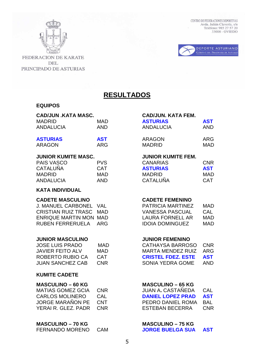

FEDERACION DE KARATE DEL PRINCIPADO DE ASTURIAS CENTRO DE FEDERACIONES DEPORTIVAS Avda. Julián Clavería, s/n<br>Teléfono: 985 27 57 20 33006 - OVIEDO



**RESULTADOS**

## **EQUIPOS**

| <b>CAD/JUN .KATA MASC.</b><br><b>MADRID</b><br><b>ANDALUCIA</b>                                                                                | <b>MAD</b><br><b>AND</b>                             | <b>CAD/JUN. KATA FEM.</b><br><b>ASTURIAS</b><br><b>ANDALUCIA</b>                                                                      | <b>AST</b><br><b>AND</b>                             |
|------------------------------------------------------------------------------------------------------------------------------------------------|------------------------------------------------------|---------------------------------------------------------------------------------------------------------------------------------------|------------------------------------------------------|
| <b>ASTURIAS</b><br><b>ARAGON</b>                                                                                                               | <b>AST</b><br><b>ARG</b>                             | <b>ARAGON</b><br><b>MADRID</b>                                                                                                        | <b>ARG</b><br><b>MAD</b>                             |
| <b>JUNIOR KUMITE MASC.</b><br><b>PAIS VASCO</b><br><b>CATALUÑA</b><br><b>MADRID</b><br><b>ANDALUCIA</b>                                        | <b>PVS</b><br><b>CAT</b><br><b>MAD</b><br><b>AND</b> | <b>JUNIOR KUMITE FEM.</b><br><b>CANARIAS</b><br><b>ASTURIAS</b><br><b>MADRID</b><br><b>CATALUÑA</b>                                   | <b>CNR</b><br><b>AST</b><br><b>MAD</b><br><b>CAT</b> |
| <b>KATA INDIVIDUAL</b>                                                                                                                         |                                                      |                                                                                                                                       |                                                      |
| <b>CADETE MASCULINO</b><br><b>J. MANUEL CARBONEL</b><br><b>CRISTIAN RUIZ TRASC</b><br><b>ENRIQUE MARTIN MON MAD</b><br><b>RUBEN FERRERUELA</b> | <b>VAL</b><br><b>MAD</b><br><b>ARG</b>               | <b>CADETE FEMENINO</b><br>PATRICIA MARTINEZ<br><b>VANESSA PASCUAL</b><br><b>LAURA FORNELL AR</b><br><b>IDOIA DOMINGUEZ</b>            | <b>MAD</b><br>CAL<br><b>MAD</b><br><b>MAD</b>        |
| <b>JUNIOR MASCULINO</b><br><b>JOSE LUIS PRADO</b><br><b>JAVIER FEITO ALV</b><br><b>ROBERTO RUBIO CA</b><br><b>JUAN SANCHEZ CAB</b>             | <b>MAD</b><br><b>MAD</b><br><b>CAT</b><br><b>CNR</b> | <b>JUNIOR FEMENINO</b><br><b>CATHAYSA BARROSO</b><br><b>MARTA MENDEZ RUIZ</b><br><b>CRISTEL FDEZ. ESTE</b><br><b>SONIA YEDRA GOME</b> | <b>CNR</b><br><b>ARG</b><br><b>AST</b><br><b>AND</b> |
| <b>KUMITE CADETE</b>                                                                                                                           |                                                      |                                                                                                                                       |                                                      |
| <b>MASCULINO - 60 KG</b><br><b>MATIAS GOMEZ GCIA</b><br><b>CARLOS MOLINERO</b><br><b>JORGE MARAÑON PE</b><br><b>YERAI R. GLEZ, PADR</b>        | <b>CNR</b><br><b>CAL</b><br><b>CNT</b><br><b>CNR</b> | <b>MASCULINO - 65 KG</b><br>JUAN A. CASTAÑEDA<br><b>DANIEL LOPEZ PRAD</b><br>PEDRO DANIEL ROMA<br><b>ESTEBAN BECERRA</b>              | CAL<br><b>AST</b><br><b>BAL</b><br><b>CNR</b>        |

| <b>FERNANDO MORENO</b> | <b>CAM</b> |
|------------------------|------------|
|                        |            |

### **CAD/JUN. KATA FEM.**

| <b>ASTURIAS</b> | <b>AST</b> |
|-----------------|------------|
| ANDALUCIA       | AND        |
| ARAGON          | ARG        |
| <b>MADRID</b>   | MAD        |

### **JUNIOR KUMITE FEM.**

| <b>CNR</b> |
|------------|
| <b>AST</b> |
| MAD        |
| <b>CAT</b> |
|            |

## **CADETE FEMENINO**

| <b>PATRICIA MARTINEZ</b> | MAD |
|--------------------------|-----|
| VANESSA PASCUAL          | CAL |
| LAURA FORNELL AR         | MAD |
| <b>IDOIA DOMINGUEZ</b>   | MAD |

### **JUNIOR FEMENINO**

| CATHAYSA BARROSO CNR |
|----------------------|
| ARG                  |
| AST                  |
| AND                  |
|                      |

## **MASCULINO – 65 KG**

| JUAN A. CASTANEDA        | CAL        |
|--------------------------|------------|
| <b>DANIEL LOPEZ PRAD</b> | <b>AST</b> |
| PEDRO DANIEL ROMA        | BAL        |
| ESTEBAN BECERRA          | <b>CNR</b> |
|                          |            |

### **MASCULINO – 70 KG MASCULINO – 75 KG**  FERNANDO MORENO CAM **JORGE BUELGA SUA AST**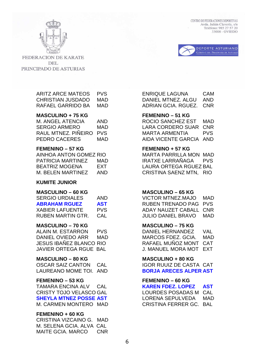



**FEDERACION DE KARATE DEL** PRINCIPADO DE ASTURIAS

### **MASCULINO + 75 KG FEMENINO – 51 KG**

| <b>M. ANGEL ATENCIA</b> | AND        |
|-------------------------|------------|
| <b>SERGIO ARMERO</b>    | MAD        |
| RAUL MTNEZ, PIÑEIRO     | <b>PVS</b> |
| PEDRO CACERES           | MAD        |

### **FEMENINO – 57 KG FEMENINO + 57 KG**

| AINHOA ANTON GOMEZ RIO |     |
|------------------------|-----|
| PATRICIA MARTINEZ      | MAD |
| BEATRIZ MOGENA         | FXT |
| M. BEI EN MARTINEZ     | AND |

### **KUMITE JUNIOR**

| <b>SERGIO URDIALES</b> | AND        |
|------------------------|------------|
| <b>ABRAHAM RGUEZ</b>   | <b>AST</b> |
| <b>XABIER LAFUENTE</b> | <b>PVS</b> |
| RUBEN MARTIN GTR.      | CAL        |

### **MASCULINO – 70 KG MASCULINO – 75 KG**

ALAIN M. ESTARRON PVS DANIEL HERNANDEZ VAL JESUS IBAÑEZ BLANCO RIO RAFAEL MUÑOZ MONT CAT JAVIER ORTEGA RGUE BAL J. MANUEL MORA MOT EXT

### **MASCULINO – 80 KG MASCULINO + 80 KG**

LAUREANO MOME TOI. AND **BORJA ARECES ALPER AST**

### **FEMENINO – 53 KG FEMENINO – 60 KG**

TAMARA ENCINA ALV CAL **KAREN FDEZ. LOPEZ AST** CRISTY TOJO VELASCO GAL LOURDES POSADAS M CAL M. CARMEN MONTERO MAD CRISTINA FERRER GC. BAL

### **FEMENINO + 60 KG**

| CRISTINA VIZCAINO G. MAD |      |
|--------------------------|------|
| M. SELENA GCIA. ALVA CAL |      |
| MAITE GCIA, MARCO        | CNR. |

ARITZ ARCE MATEOS PVS ENRIQUE LAGUNA CAM CHRISTIAN JUSDADO MAD DANIEL MTNEZ. ALGU AND RAFAEL GARRIDO BA MAD ADRIAN GCIA. RGUEZ. CNR

ROCIO SANCHEZ EST MAD LARA CORDERO SUAR CNR MARTA ARMENTIA PVS AIDA VICENTE GARCIA AND

MARTA PARRILLA MON MAD IRATXE LARRAÑAGA PVS LAURA ORTEGA RGUEZ BAL CRISTINA SAENZ MTN, RIO

### **MASCULINO – 60 KG MASCULINO – 65 KG**

VICTOR MTNEZ.MAJO MAD **RUBEN TRENADO PAG PVS** ADAY NAUZET CABALL CNR **JULIO DANIEL BRAVO MAD** 

DANIEL OVIEDO ARR MAD MARCOS FDEZ. GCIA. MAD

OSCAR SAIZ CANTON CAL IGOR RUUIZ DE CASTA CAT

**SHEYLA MTNEZ POSSE AST** LORENA SEPULVEDA MAD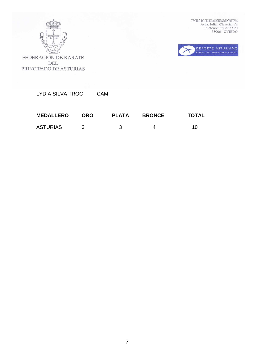

 $\begin{tabular}{ll} \multicolumn{2}{l}{{\bf CENTRO DE FEDERACIONES DEPORTIVAS}}\\ \multicolumn{2}{l}{Avda. Juli\'an Claver\'ia, s/n}}\\ \multicolumn{2}{l}{\bf Tel\'efono: 985 27 57 20}\\ \multicolumn{2}{l}{\bf 33006 - OVIEDO} \end{tabular}$ 



FEDERACION DE KARATE DEL PRINCIPADO DE ASTURIAS

LYDIA SILVA TROC CAM

| <b>MEDALLERO</b> | <b>ORO</b> | <b>PLATA</b> | <b>BRONCE</b> | TOTAL |
|------------------|------------|--------------|---------------|-------|
| <b>ASTURIAS</b>  |            |              |               | 10    |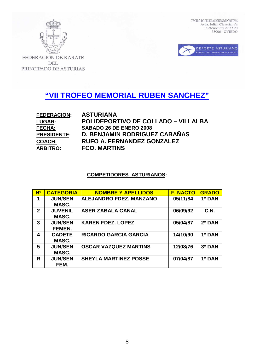



FEDERACION DE KARATE DEL PRINCIPADO DE ASTURIAS

# **"VII TROFEO MEMORIAL RUBEN SANCHEZ"**

| <b>FEDERACION:</b> | <b>ASTURIANA</b>                           |
|--------------------|--------------------------------------------|
| <b>LUGAR:</b>      | <b>POLIDEPORTIVO DE COLLADO – VILLALBA</b> |
| <b>FECHA:</b>      | <b>SABADO 26 DE ENERO 2008</b>             |
| <b>PRESIDENTE:</b> | <b>D. BENJAMIN RODRIGUEZ CABAÑAS</b>       |
| <b>COACH:</b>      | RUFO A. FERNANDEZ GONZALEZ                 |
| <b>ARBITRO:</b>    | <b>FCO. MARTINS</b>                        |

## **COMPETIDORES ASTURIANOS:**

| $\overline{\mathbf{N}^{\mathsf{o}}}$ | <b>CATEGORIA</b> | <b>NOMBRE Y APELLIDOS</b>      | <b>F. NACTO</b> | <b>GRADO</b> |
|--------------------------------------|------------------|--------------------------------|-----------------|--------------|
|                                      | <b>JUN/SEN</b>   | <b>ALEJANDRO FDEZ. MANZANO</b> | 05/11/84        | 1º DAN       |
|                                      | MASC.            |                                |                 |              |
| $\mathbf{2}$                         | <b>JUVENIL</b>   | <b>ASER ZABALA CANAL</b>       | 06/09/92        | C.N.         |
|                                      | MASC.            |                                |                 |              |
| 3                                    | <b>JUN/SEN</b>   | <b>KAREN FDEZ, LOPEZ</b>       | 05/04/87        | 2º DAN       |
|                                      | FEMEN.           |                                |                 |              |
| 4                                    | <b>CADETE</b>    | <b>RICARDO GARCIA GARCIA</b>   | 14/10/90        | 1º DAN       |
|                                      | MASC.            |                                |                 |              |
| 5                                    | <b>JUN/SEN</b>   | <b>OSCAR VAZQUEZ MARTINS</b>   | 12/08/76        | 3º DAN       |
|                                      | MASC.            |                                |                 |              |
| R                                    | <b>JUN/SEN</b>   | <b>SHEYLA MARTINEZ POSSE</b>   | 07/04/87        | 1º DAN       |
|                                      | FEM.             |                                |                 |              |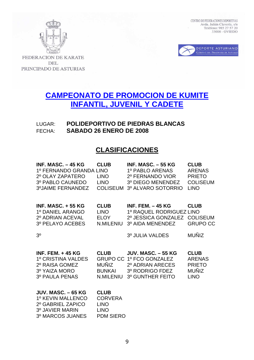



FEDERACION DE KARATE **DEL** PRINCIPADO DE ASTURIAS

# **CAMPEONATO DE PROMOCION DE KUMITE INFANTIL, JUVENIL Y CADETE**

## LUGAR: **POLIDEPORTIVO DE PIEDRAS BLANCAS** FECHA: **SABADO 26 ENERO DE 2008**

## **CLASIFICACIONES**

| INF. MASC. $-45$ KG<br>1º FERNANDO GRANDA LINO<br>2º OLAY ZAPATERO<br>3º PABLO CAUNEDO<br>3ºJAIME FERNANDEZ | <b>CLUB</b><br><b>LINO</b><br><b>LINO</b><br><b>COLISEUM</b> | <b>INF. MASC. - 55 KG</b><br>1º PABLO ARENAS<br>2º FERNANDO VIOR<br>3º DIEGO MENENDEZ<br>3º ALVARO SOTORRIO             | <b>CLUB</b><br><b>ARENAS</b><br><b>PRIETO</b><br><b>COLISEUM</b><br><b>LINO</b> |
|-------------------------------------------------------------------------------------------------------------|--------------------------------------------------------------|-------------------------------------------------------------------------------------------------------------------------|---------------------------------------------------------------------------------|
| <b>INF. MASC. + 55 KG</b><br>1º DANIEL ARANGO<br>2º ADRIAN ACEVAL<br>3º PELAYO ACEBES                       | <b>CLUB</b><br><b>LINO</b><br>ELOY<br>N.MILENIU              | <b>INF. FEM. - 45 KG</b><br>1º RAQUEL RODRIGUEZ LINO<br>2º JESSICA GONZALEZ COLISEUM<br>3º AIDA MENENDEZ                | <b>CLUB</b><br><b>GRUPO CC</b>                                                  |
| 3 <sup>0</sup>                                                                                              |                                                              | 3º JULIA VALDES                                                                                                         | <b>MUÑIZ</b>                                                                    |
| <b>INF. FEM. + 45 KG</b><br>1º CRISTINA VALDES<br>2º RAISA GOMEZ<br>3º YAIZA MORO<br><b>3º PAULA PENAS</b>  | <b>CLUB</b><br>MUÑIZ<br><b>BUNKAI</b><br>N.MILENIU           | <b>JUV. MASC. - 55 KG</b><br>GRUPO CC 1º FCO GONZALEZ<br>2º ADRIAN ARECES<br>3º RODRIGO FDEZ<br><b>3º GUNTHER FEITO</b> | <b>CLUB</b><br><b>ARENAS</b><br><b>PRIETO</b><br><b>MUÑIZ</b><br><b>LINO</b>    |
| <b>JUV. MASC. - 65 KG</b><br>1º KEVIN MALLENCO<br>2º GABRIFI ZAPICO                                         | <b>CLUB</b><br><b>CORVERA</b><br>I INO                       |                                                                                                                         |                                                                                 |

2º GABRIEL ZAPICO LINO 3º JAVIER MARIN LINO 3º MARCOS JUANES PDM SIERO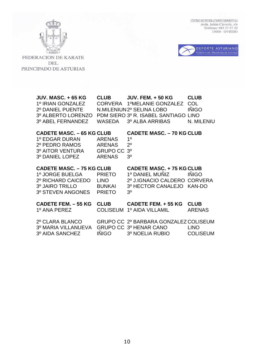$\begin{tabular}{ll} \multicolumn{2}{l}{\textbf{CENTRO DE FEDERACIONES DEPORTIVAS}}\\ \multicolumn{2}{l}{Avda. Julián Clavería, s/n}\\ \multicolumn{2}{l}{\textbf{Avda. Julián Clavería, s/n}}\\ \multicolumn{2}{l}{\textbf{Teléfono: 985 27 57 20}}\\ \multicolumn{2}{l}{\textbf{33006 - OVIEDO}} \end{tabular}$ 





FEDERACION DE KARATE DEL PRINCIPADO DE ASTURIAS

| <b>JUV. MASC. + 65 KG</b><br>1º IRIAN GONZALEZ<br>2º DANIEL PUENTE<br>3º ALBERTO LORENZO<br>3º ABEL FERNANDEZ     | <b>CLUB</b><br><b>CORVERA</b><br><b>WASEDA</b>                     | <b>JUV. FEM. + 50 KG</b><br>1ºMELANIE GONZALEZ<br>N.MILENIUN 2º SELINA LOBO<br>PDM SIERO 3º R. ISABEL SANTIAGO LINO<br>3º ALBA ARRIBAS | <b>CLUB</b><br>COL<br><b>IÑIGO</b><br>N. MILENIU |
|-------------------------------------------------------------------------------------------------------------------|--------------------------------------------------------------------|----------------------------------------------------------------------------------------------------------------------------------------|--------------------------------------------------|
| <b>CADETE MASC. - 65 KG CLUB</b><br>1º EDGAR DURAN<br>2º PEDRO RAMOS<br>3º AITOR VENTURA<br>3º DANIEL LOPEZ       | <b>ARENAS</b><br><b>ARENAS</b><br><b>GRUPO CC</b><br><b>ARENAS</b> | <b>CADETE MASC. - 70 KG CLUB</b><br>1 <sup>0</sup><br>$2^{\circ}$<br>3 <sup>0</sup><br>3 <sup>0</sup>                                  |                                                  |
| <b>CADETE MASC. - 75 KG CLUB</b><br>1º JORGE BUELGA<br>2º RICHARD CAICEDO<br>3º JAIRO TRILLO<br>3º STEVEN ANGONES | <b>PRIETO</b><br><b>LINO</b><br><b>BUNKAI</b><br><b>PRIETO</b>     | <b>CADETE MASC. +75 KG CLUB</b><br>1º DANIEL MUÑIZ<br>2º J.IGNACIO CALDERO<br>3º HECTOR CANALEJO<br>3 <sup>0</sup>                     | <b>INIGO</b><br><b>CORVERA</b><br><b>KAN-DO</b>  |
| <b>CADETE FEM. - 55 KG</b><br>1º ANA PEREZ                                                                        | <b>CLUB</b><br><b>COLISEUM</b>                                     | <b>CADETE FEM. + 55 KG</b><br>1º AIDA VILLAMIL                                                                                         | <b>CLUB</b><br><b>ARENAS</b>                     |
| 2º CLARA BLANCO<br>3º MARIA VILLANUEVA<br>3º AIDA SANCHEZ                                                         | <b>IÑIGO</b>                                                       | GRUPO CC 2º BARBARA GONZALEZ COLISEUM<br>GRUPO CC 3º HENAR CANO<br>3º NOELIA RUBIO                                                     | <b>LINO</b><br><b>COLISEUM</b>                   |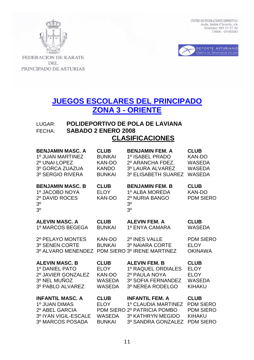



FEDERACION DE KARATE **DEL** PRINCIPADO DE ASTURIAS

# **JUEGOS ESCOLARES DEL PRINCIPADO ZONA 3 - ORIENTE**

## LUGAR: **POLIDEPORTIVO DE POLA DE LAVIANA** FECHA: **SABADO 2 ENERO 2008 CLASIFICACIONES**

| <b>BENJAMIN MASC, A</b>                                                                         | <b>CLUB</b>                                 | <b>BENJAMIN FEM. A</b>                                                                         | <b>CLUB</b>                                       |
|-------------------------------------------------------------------------------------------------|---------------------------------------------|------------------------------------------------------------------------------------------------|---------------------------------------------------|
| 1º JUAN MARTINEZ                                                                                | <b>BUNKAI</b>                               | 1º ISABEL PRADO                                                                                | <b>KAN-DO</b>                                     |
| 2º UNAI LOPEZ                                                                                   | <b>KAN-DO</b>                               | 2º ARANCHA FDEZ.                                                                               | <b>WASEDA</b>                                     |
| 3º GORCA ZUAZUA                                                                                 | <b>KANDO</b>                                | 3º LAURA ALVAREZ                                                                               | <b>WASEDA</b>                                     |
| 3º SERGIO RIVERA                                                                                | <b>BUNKAI</b>                               | 3º ELISABETH SUAREZ                                                                            | <b>WASEDA</b>                                     |
| <b>BENJAMIN MASC. B</b><br>1º JACOBO NOYA<br>2º DAVID ROCES<br>3 <sup>0</sup><br>3 <sup>0</sup> | <b>CLUB</b><br><b>ELOY</b><br><b>KAN-DO</b> | <b>BENJAMIN FEM. B</b><br>1º ALBA MOREDA<br>2º NURIA BANGO<br>3 <sup>o</sup><br>3 <sup>0</sup> | <b>CLUB</b><br><b>KAN-DO</b><br><b>PDM SIERO</b>  |
| <b>ALEVIN MASC. A</b>                                                                           | <b>CLUB</b>                                 | <b>ALEVIN FEM. A</b>                                                                           | <b>CLUB</b>                                       |
| 1º MARCOS BEGEGA                                                                                | <b>BUNKAI</b>                               | 1º ENYA CAMARA                                                                                 | <b>WASEDA</b>                                     |
| 2º PELAYO MONTES<br>3º SENEN CORTE<br>3º ALVARO MENENDEZ                                        | <b>KAN-DO</b><br><b>BUNKAI</b>              | 2º INES VALLE<br>3º NAIARA CORTE<br>PDM SIERO 3º IRENE MARTINEZ                                | <b>PDM SIERO</b><br><b>ELOY</b><br><b>OKINAWA</b> |
| <b>ALEVIN MASC. B</b>                                                                           | <b>CLUB</b>                                 | <b>ALEVIN FEM. B</b>                                                                           | <b>CLUB</b>                                       |
| 1º DANIEL PATO                                                                                  | <b>ELOY</b>                                 | 1º RAQUEL ORDIALES                                                                             | <b>ELOY</b>                                       |
| 2º JAVIER GONZALEZ                                                                              | <b>KAN-DO</b>                               | 2º PAULA NOYA                                                                                  | <b>ELOY</b>                                       |
| 3º NEL MUÑOZ                                                                                    | <b>WASEDA</b>                               | 3º SOFIA FERNANDEZ                                                                             | <b>WASEDA</b>                                     |
| 3º PABLO ALVAREZ                                                                                | <b>WASEDA</b>                               | 3º NEREA RODELGO                                                                               | <b>KIHAKU</b>                                     |
| <b>INFANTIL MASC. A</b>                                                                         | <b>CLUB</b>                                 | <b>INFANTIL FEM. A</b>                                                                         | <b>CLUB</b>                                       |
| 1º JUAN DIMAS                                                                                   | <b>ELOY</b>                                 | 1º CLAUDIA MARTINEZ                                                                            | <b>PDM SIERO</b>                                  |
| 2º ABEL GARCIA                                                                                  | <b>PDM SIERO</b>                            | 2º PATRICIA POMBO                                                                              | <b>PDM SIERO</b>                                  |
| 3º IYAN VIGIL-ESCALE                                                                            | <b>WASEDA</b>                               | 3º KATHRYN MEGIDO                                                                              | <b>KIHAKU</b>                                     |
| 3º MARCOS POSADA                                                                                | <b>BUNKAI</b>                               | 3º SANDRA GONZALEZ                                                                             | <b>PDM SIERO</b>                                  |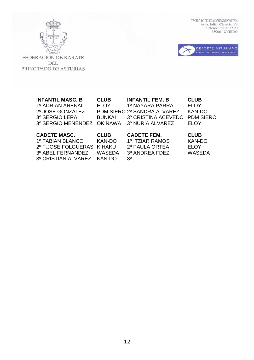

 $\begin{tabular}{ll} \multicolumn{2}{l}{\textbf{CENTRO DE FEDERACIONES DEPORTIVAS}}\\ \multicolumn{2}{l}{\textbf{AVda. Julián Clavería, s/n}}\\ \multicolumn{2}{l}{\textbf{Avda. Julián Clavería, s/n}}\\ \multicolumn{2}{l}{\textbf{Teléfono: 985 27 57 20}}\\ \multicolumn{2}{l}{\textbf{33006 - OVIEDO}} \end{tabular}$ 



FEDERACION DE KARATE DEL PRINCIPADO DE ASTURIAS

| <b>INFANTIL MASC. B</b><br>1º ADRIAN ARENAL<br>2º JOSE GONZALEZ<br>3º SERGIO LERA<br>3º SERGIO MENENDEZ    | <b>CLUB</b><br><b>ELOY</b><br><b>BUNKAI</b><br><b>OKINAWA</b>                   | <b>INFANTIL FEM. B</b><br>1º NAYARA PARRA<br>PDM SIERO 2º SANDRA ALVAREZ<br>3º CRISTINA ACEVEDO<br>3º NURIA ALVAREZ | <b>CLUB</b><br><b>ELOY</b><br><b>KAN-DO</b><br><b>PDM SIERO</b><br><b>ELOY</b> |
|------------------------------------------------------------------------------------------------------------|---------------------------------------------------------------------------------|---------------------------------------------------------------------------------------------------------------------|--------------------------------------------------------------------------------|
| <b>CADETE MASC.</b><br>1º FABIAN BLANCO<br>2º F.JOSE FOLGUERAS<br>3º ABEL FERNANDEZ<br>3º CRISTIAN ALVAREZ | <b>CLUB</b><br><b>KAN-DO</b><br><b>KIHAKU</b><br><b>WASEDA</b><br><b>KAN-DO</b> | <b>CADETE FEM.</b><br>1º ITZIAR RAMOS<br>2º PAULA ORTEA<br>3º ANDREA FDEZ.<br>3º                                    | <b>CLUB</b><br><b>KAN-DO</b><br><b>ELOY</b><br><b>WASEDA</b>                   |

12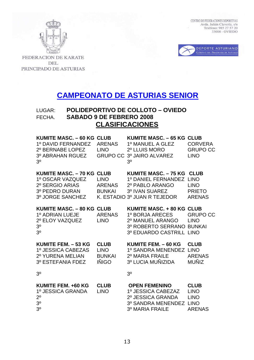



FEDERACION DE KARATE **DEL** PRINCIPADO DE ASTURIAS

# **CAMPEONATO DE ASTURIAS SENIOR**

## LUGAR: **POLIDEPORTIVO DE COLLOTO – OVIEDO** FECHA. **SABADO 9 DE FEBRERO 2008 CLASIFICACIONES**

| <b>KUMITE MASC. - 60 KG CLUB</b><br>1º DAVID FERNANDEZ<br>2º BERNABE LOPEZ<br>3º ABRAHAN RGUEZ<br>3 <sup>0</sup> | <b>ARENAS</b><br><b>LINO</b><br><b>GRUPO CC</b>                            | <b>KUMITE MASC. - 65 KG CLUB</b><br>1º MANUEL A GLEZ<br>2º LLUIS MORO<br>3º JAIRO ALVAREZ<br>3 <sup>0</sup>                      | <b>CORVERA</b><br><b>GRUPO CC</b><br><b>LINO</b>                            |
|------------------------------------------------------------------------------------------------------------------|----------------------------------------------------------------------------|----------------------------------------------------------------------------------------------------------------------------------|-----------------------------------------------------------------------------|
| <b>KUMITE MASC. - 70 KG</b><br>1º OSCAR VAZQUEZ<br>2º SERGIO ARIAS<br>3º PEDRO DURAN<br>3º JORGE SANCHEZ         | <b>CLUB</b><br><b>LINO</b><br><b>ARENAS</b><br><b>BUNKAI</b><br>K. ESTADIO | <b>KUMITE MASC. - 75 KG</b><br>1º DANIEL FERNANDEZ<br>2º PABLO ARANGO<br>3º IVAN SUAREZ<br>3º JUAN R TEJEDOR                     | <b>CLUB</b><br><b>LINO</b><br><b>LINO</b><br><b>PRIETO</b><br><b>ARENAS</b> |
| <b>KUMITE MASC. - 80 KG CLUB</b><br>1º ADRIAN LUEJE<br>2º ELOY VAZQUEZ<br>3 <sup>o</sup><br>3 <sup>0</sup>       | <b>ARENAS</b><br><b>LINO</b>                                               | <b>KUMITE MASC. + 80 KG CLUB</b><br>1º BORJA ARECES<br>2º MANUEL ARANGO<br>3º ROBERTO SERRANO BUNKAI<br>3º EDUARDO CASTRILL LINO | <b>GRUPO CC</b><br><b>LINO</b>                                              |
| KUMITE FEM. - 53 KG<br>1º JESSICA CABEZAS<br>2º YURENA MELIAN<br>3º ESTEFANIA FDEZ                               | <b>CLUB</b><br><b>LINO</b><br><b>BUNKAI</b><br><b>IÑIGO</b>                | KUMITE FEM. - 60 KG<br>1º SANDRA MENENDEZ LINO<br>2º MARIA FRAILE<br>3º LUCIA MUÑIZIDA                                           | <b>CLUB</b><br><b>ARENAS</b><br><b>MUÑIZ</b>                                |
| 30                                                                                                               |                                                                            | 30                                                                                                                               |                                                                             |
| KUMITE FEM. +60 KG<br>1º JESSICA GRANDA<br>$2^{\circ}$<br>3 <sup>0</sup><br>3 <sup>0</sup>                       | <b>CLUB</b><br><b>LINO</b>                                                 | <b>OPEN FEMENINO</b><br>1º JESSICA CABEZAZ<br>2º JESSICA GRANDA<br>3º SANDRA MENENDEZ<br>3º MARIA FRAILE                         | <b>CLUB</b><br><b>LINO</b><br><b>LINO</b><br><b>LINO</b><br><b>ARENAS</b>   |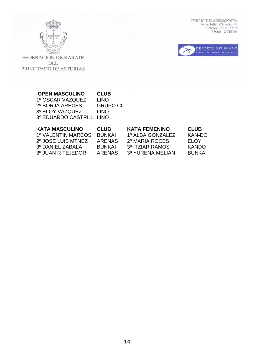



FEDERACION DE KARATE DEL PRINCIPADO DE ASTURIAS

## **OPEN MASCULINO CLUB**  1º OSCAR VAZQUEZ LINO 2º BORJA ARECES GRUPO CC 3º ELOY VAZQUEZ LINO 3º EDUARDO CASTRILL LINO

| <b>KATA MASCULINO</b><br><b>CLUB</b><br>1º VALENTIN MARCOS<br><b>BUNKAI</b><br>2º JOSE LUIS MTNEZ<br><b>ARENAS</b><br>3º DANIEL ZABALA<br><b>BUNKAI</b><br>3º JUAN R TEJEDOR<br><b>ARENAS</b> | <b>KATA FEMENINO</b><br>1º ALBA GONZALEZ<br>2º MARIA ROCES<br>3º ITZIAR RAMOS<br>3º YURENA MELIAN | <b>CLUB</b><br>KAN-DO<br><b>ELOY</b><br><b>KANDO</b><br><b>BUNKAI</b> |  |
|-----------------------------------------------------------------------------------------------------------------------------------------------------------------------------------------------|---------------------------------------------------------------------------------------------------|-----------------------------------------------------------------------|--|
|-----------------------------------------------------------------------------------------------------------------------------------------------------------------------------------------------|---------------------------------------------------------------------------------------------------|-----------------------------------------------------------------------|--|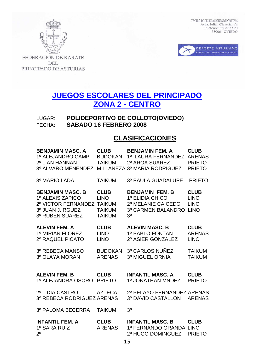



FEDERACION DE KARATE **DEL** PRINCIPADO DE ASTURIAS

# **JUEGOS ESCOLARES DEL PRINCIPADO ZONA 2 - CENTRO**

LUGAR: **POLIDEPORTIVO DE COLLOTO(OVIEDO)** FECHA: **SABADO 16 FEBRERO 2008** 

## **CLASIFICACIONES**

| <b>BENJAMIN MASC, A</b><br>1º ALEJANDRO CAMP<br>2º LIAN HANNAN<br>3º ALVARO MENENDEZ                      | <b>CLUB</b><br><b>BUDOKAN</b><br><b>TAIKUM</b>                                | <b>BENJAMIN FEM. A</b><br>1º LAURA FERNANDEZ<br>2º AROA SUAREZ<br>M LLANEZA 3º MARIA RODRIGUEZ          | <b>CLUB</b><br><b>ARENAS</b><br><b>PRIETO</b><br><b>PRIETO</b> |
|-----------------------------------------------------------------------------------------------------------|-------------------------------------------------------------------------------|---------------------------------------------------------------------------------------------------------|----------------------------------------------------------------|
| 3º MARIO LADA                                                                                             | <b>TAIKUM</b>                                                                 | <b>3º PAULA GUADALUPE</b>                                                                               | <b>PRIETO</b>                                                  |
| <b>BENJAMIN MASC, B</b><br>1º ALEXIS ZAPICO<br>2º VICTOR FERNANDEZ<br>3º JUAN J. RGUEZ<br>3º RUBEN SUAREZ | <b>CLUB</b><br><b>LINO</b><br><b>TAIKUM</b><br><b>TAIKUM</b><br><b>TAIKUM</b> | <b>BENJAMIN FEM. B</b><br>1º ELIDIA CHICO<br>2º MELANIE CAICEDO<br>3º CARMEN BALANDRO<br>3 <sup>0</sup> | <b>CLUB</b><br><b>LINO</b><br><b>LINO</b><br><b>LINO</b>       |
| <b>ALEVIN FEM. A</b><br>1º MIRIAN FLOREZ<br>2º RAQUEL PICATO                                              | <b>CLUB</b><br><b>LINO</b><br><b>LINO</b>                                     | <b>ALEVIN MASC. B</b><br>1º PABLO FONTAN<br>2º ASIER GONZALEZ                                           | <b>CLUB</b><br><b>ARENAS</b><br><b>LINO</b>                    |
| 3º REBECA MANSO<br>3º OLAYA MORAN                                                                         | <b>BUDOKAN</b><br><b>ARENAS</b>                                               | 3º CARLOS NUÑEZ<br>3º MIGUEL ORNIA                                                                      | <b>TAIKUM</b><br><b>TAIKUM</b>                                 |
| <b>ALEVIN FEM. B</b><br>1º ALEJANDRA OSORO                                                                | <b>CLUB</b><br><b>PRIETO</b>                                                  | <b>INFANTIL MASC. A</b><br>1º JONATHAN MNDEZ                                                            | <b>CLUB</b><br><b>PRIETO</b>                                   |
| 2º LIDIA CASTRO<br>3º REBECA RODRIGUEZ ARENAS                                                             | <b>AZTECA</b>                                                                 | 2º PELAYO FERNANDEZ ARENAS<br>3º DAVID CASTALLON                                                        | <b>ARENAS</b>                                                  |
| 3º PALOMA BECERRA                                                                                         | <b>TAIKUM</b>                                                                 | 30                                                                                                      |                                                                |
| <b>INFANTIL FEM. A</b><br>1º SARA RUIZ<br>2 <sup>0</sup>                                                  | <b>CLUB</b><br><b>ARENAS</b>                                                  | <b>INFANTIL MASC. B</b><br>1º FERNANDO GRANDA LINO<br>2º HUGO DOMINGUEZ                                 | <b>CLUB</b><br><b>PRIETO</b>                                   |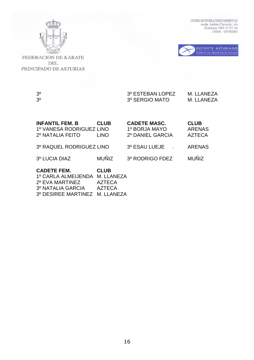



FEDERACION DE KARATE DEL PRINCIPADO DE ASTURIAS

## 3º 3º SERGIO MATO M. LLANEZA<br>3º SERGIO MATO M. LLANEZA 3º 3º SERGIO MATO M. LLANEZA

| <b>INFANTIL FEM. B</b><br>1º VANESA RODRIGUEZ LINO<br>2º NATALIA FEITO            | <b>CLUB</b><br><b>LINO</b>                                  | <b>CADETE MASC.</b><br>1º BORJA MAYO<br>2º DANIEL GARCIA | <b>CLUB</b><br><b>ARENAS</b><br><b>AZTECA</b> |
|-----------------------------------------------------------------------------------|-------------------------------------------------------------|----------------------------------------------------------|-----------------------------------------------|
| 3º RAQUEL RODRIGUEZ LINO                                                          |                                                             | 3º ESAU LUEJE                                            | <b>ARENAS</b>                                 |
| 3º LUCIA DIAZ                                                                     | <b>MUÑIZ</b>                                                | 3º RODRIGO FDEZ                                          | <b>MUÑIZ</b>                                  |
| <b>CADETE FEM.</b><br>1º CARLA ALMEIJENDA<br>2º EVA MARTINEZ<br>3º NATALIA GARCIA | <b>CLUB</b><br>M. LLANEZA<br><b>AZTECA</b><br><b>AZTECA</b> |                                                          |                                               |

3º DESIREE MARTINEZ M. LLANEZA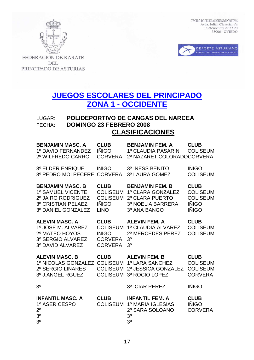



FEDERACION DE KARATE **DEL** PRINCIPADO DE ASTURIAS

# **JUEGOS ESCOLARES DEL PRINCIPADO ZONA 1 - OCCIDENTE**

## LUGAR: **POLIDEPORTIVO DE CANGAS DEL NARCEA** FECHA: **DOMINGO 23 FEBRERO 2008 CLASIFICACIONES**

| <b>BENJAMIN MASC. A</b><br>1º DAVID FERNANDEZ<br>2º WILFREDO CARRO                                                    | <b>CLUB</b><br><b>IÑIGO</b><br><b>CORVERA</b>                                      | <b>BENJAMIN FEM. A</b><br>1º CLAUDIA PASARIN<br>2º NAZARET COLORADOCORVERA                          | <b>CLUB</b><br><b>COLISEUM</b>                                                    |
|-----------------------------------------------------------------------------------------------------------------------|------------------------------------------------------------------------------------|-----------------------------------------------------------------------------------------------------|-----------------------------------------------------------------------------------|
| <b>3º ELDER ENRIQUE</b><br>3º PEDRO MOLPECERE                                                                         | <b>IÑIGO</b><br><b>CORVERA</b>                                                     | 3º INESS BENITO<br>3º LAURA GOMEZ                                                                   | <b>IÑIGO</b><br><b>COLISEUM</b>                                                   |
| <b>BENJAMIN MASC. B</b><br>1º SAMUEL VICENTE<br>2º JAIRO RODRIGUEZ<br><b>3º CRISTIAN PELAEZ</b><br>3º DANIEL GONZALEZ | <b>CLUB</b><br><b>COLISEUM</b><br><b>COLISEUM</b><br><b>IÑIGO</b><br><b>LINO</b>   | <b>BENJAMIN FEM. B</b><br>1º CLARA GONZALEZ<br>2º CLARA PUERTO<br>3º NOELIA BARRERA<br>3º ANA BANGO | <b>CLUB</b><br><b>COLISEUM</b><br><b>COLISEUM</b><br><b>IÑIGO</b><br><b>IÑIGO</b> |
| <b>ALEVIN MASC. A</b><br>1º JOSE M. ALVAREZ<br>2º MATEO HOYOS<br>3º SERGIO ALVAREZ<br>3º DAVID ALVAREZ                | <b>CLUB</b><br><b>COLISEUM</b><br><b>IÑIGO</b><br><b>CORVERA</b><br><b>CORVERA</b> | <b>ALEVIN FEM. A</b><br>1º CLAUDIA ALVAREZ<br>2º MERCEDES PEREZ<br>3 <sup>o</sup><br>3 <sup>0</sup> | <b>CLUB</b><br><b>COLISEUM</b><br><b>COLISEUM</b>                                 |
| <b>ALEVIN MASC. B</b><br>1º NICOLAS GONZALEZ<br>2º SERGIO LINARES<br>3º J.ANGEL RGUEZ                                 | <b>CLUB</b><br><b>COLISEUM</b><br><b>COLISEUM</b><br><b>COLISEUM</b>               | <b>ALEVIN FEM. B</b><br>1º LARA SANCHEZ<br>2º JESSICA GONZALEZ<br>3º ROCIO LOPEZ                    | <b>CLUB</b><br><b>COLISEUM</b><br><b>COLISEUM</b><br><b>CORVERA</b>               |
| 3 <sup>0</sup>                                                                                                        |                                                                                    | 3º ICIAR PEREZ                                                                                      | <b>IÑIGO</b>                                                                      |
| <b>INFANTIL MASC. A</b><br>1º ASER CESPO<br>$2^{\circ}$<br>3 <sup>0</sup><br>3 <sup>0</sup>                           | <b>CLUB</b><br><b>COLISEUM</b>                                                     | <b>INFANTIL FEM. A</b><br>1º MARIA IGLESIAS<br>2º SARA SOLOANO<br>3 <sup>o</sup><br>3 <sup>0</sup>  | <b>CLUB</b><br><b>IÑIGO</b><br><b>CORVERA</b>                                     |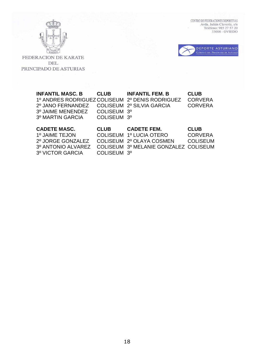

 $\begin{tabular}{ll} \multicolumn{2}{l}{\textbf{CENTRO DE FEDERACIONES DEPORTIVAS}}\\ \multicolumn{2}{l}{Avda. Julián Clavería, s/n}\\ \multicolumn{2}{l}{\textbf{Avda. Julián Clavería, s/n}}\\ \multicolumn{2}{l}{\textbf{Teléfono: 985 27 57 20}}\\ \multicolumn{2}{l}{\textbf{33006 - OVIEDO}} \end{tabular}$ 



FEDERACION DE KARATE DEL PRINCIPADO DE ASTURIAS

| <b>INFANTIL MASC. B</b><br>1º ANDRES RODRIGUEZ COLISEUM 2º DENIS RODRIGUEZ           | <b>CLUB</b>                | <b>INFANTIL FEM. B</b> | <b>CLUB</b><br><b>CORVERA</b> |
|--------------------------------------------------------------------------------------|----------------------------|------------------------|-------------------------------|
| 2º JANO FERNANDEZ COLISEUM 2º SILVIA GARCIA<br>3º JAIME MENENDEZ<br>3º MARTIN GARCIA | COLISEUM 3°<br>COLISEUM 3º |                        | <b>CORVERA</b>                |
| <b>CADETE MASC.</b>                                                                  | <b>CLUB</b>                | <b>CADETE FEM.</b>     | <b>CLUB</b>                   |

| <b>UADETE MASU.</b>                        | <b>GLUB</b>             | CADE I E FEM.                                            | <b>GLUB</b>    |
|--------------------------------------------|-------------------------|----------------------------------------------------------|----------------|
| 1º JAIME TEJON                             |                         | COLISEUM 1º LUCIA OTERO                                  | <b>CORVERA</b> |
| 2º JORGE GONZALEZ COLISEUM 2º OLAYA COSMEN |                         |                                                          | -COLISEUM      |
|                                            |                         | 3º ANTONIO ALVAREZ COLISEUM 3º MELANIE GONZALEZ COLISEUM |                |
| 3º VICTOR GARCIA                           | COLISEUM 3 <sup>°</sup> |                                                          |                |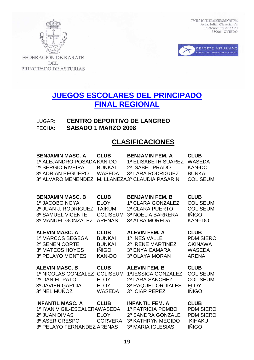



FEDERACION DE KARATE **DEL** PRINCIPADO DE ASTURIAS

# **JUEGOS ESCOLARES DEL PRINCIPADO FINAL REGIONAL**

LUGAR: **CENTRO DEPORTIVO DE LANGREO**  FECHA: **SABADO 1 MARZO 2008** 

## **CLASIFICACIONES**

| <b>BENJAMIN MASC. A</b><br>1º ALEJANDRO POSADA KAN-DO<br>2º SERGIO RIVEIRA<br>3º ADRIAN PEGUERO<br>3º ALVARO MENENDEZ    | <b>CLUB</b><br><b>BUNKAI</b><br><b>WASEDA</b> | <b>BENJAMIN FEM. A</b><br>1º ELISABETH SUAREZ<br>2º ISABEL PRADO<br>3º LARA RODRIGUEZ<br>M. LLANEZA3º CLAUDIA PASARIN | <b>CLUB</b><br><b>WASEDA</b><br><b>KAN-DO</b><br><b>BUNKAI</b><br><b>COLISEUM</b>    |
|--------------------------------------------------------------------------------------------------------------------------|-----------------------------------------------|-----------------------------------------------------------------------------------------------------------------------|--------------------------------------------------------------------------------------|
| <b>BENJAMIN MASC. B</b>                                                                                                  | <b>CLUB</b>                                   | <b>BENJAMIN FEM. B</b>                                                                                                | <b>CLUB</b>                                                                          |
| 1º JACOBO NOYA                                                                                                           | <b>ELOY</b>                                   | 1º CLARA GONZALEZ                                                                                                     | <b>COLISEUM</b>                                                                      |
| 2º JUAN J. RODRIGUEZ                                                                                                     | <b>TAIKUM</b>                                 | 2º CLARA PUERTO                                                                                                       | <b>COLISEUM</b>                                                                      |
| 3º SAMUEL VICENTE                                                                                                        | <b>COLISEUM</b>                               | 3º NOELIA BARRERA                                                                                                     | <b>IÑIGO</b>                                                                         |
| 3º MANUEL GONZALEZ                                                                                                       | <b>ARENAS</b>                                 | 3º ALBA MOREDA                                                                                                        | <b>KAN--DO</b>                                                                       |
| <b>ALEVIN MASC. A</b>                                                                                                    | <b>CLUB</b>                                   | <b>ALEVIN FEM. A</b>                                                                                                  | <b>CLUB</b>                                                                          |
| 1º MARCOS BEGEGA                                                                                                         | <b>BUNKAI</b>                                 | 1º INES VALLE                                                                                                         | <b>PDM SIERO</b>                                                                     |
| 2º SENEN CORTE                                                                                                           | <b>BUNKAI</b>                                 | 2º IRENE MARTINEZ                                                                                                     | <b>OKINAWA</b>                                                                       |
| 3º MATEOS HOYOS                                                                                                          | IÑIGO                                         | 3º ENYA CAMARA                                                                                                        | <b>WASEDA</b>                                                                        |
| 3º PELAYO MONTES                                                                                                         | <b>KAN-DO</b>                                 | 3º OLAYA MORAN                                                                                                        | <b>ARENA</b>                                                                         |
| <b>ALEVIN MASC. B</b>                                                                                                    | <b>CLUB</b>                                   | <b>ALEVIN FEM. B</b>                                                                                                  | <b>CLUB</b>                                                                          |
| 1º NICOLAS GONZALEZ                                                                                                      | <b>COLISEUM</b>                               | 1ºJESSICA GONZALEZ                                                                                                    | <b>COLISEUM</b>                                                                      |
| 2º DANIEL PATO                                                                                                           | <b>ELOY</b>                                   | 2º LARA SANCHEZ                                                                                                       | <b>COLISEUM</b>                                                                      |
| 3º JAVIER GARCIA                                                                                                         | <b>ELOY</b>                                   | <b>3º RAQUEL ORDIALES</b>                                                                                             | <b>ELOY</b>                                                                          |
| 3º NEL MUÑOZ                                                                                                             | <b>WASEDA</b>                                 | 3º ICIAR PEREZ                                                                                                        | <b>IÑIGO</b>                                                                         |
| <b>INFANTIL MASC. A</b><br>1º IYAN VIGIL-ESCALERAWASEDA<br>2º JUAN DIMAS<br>3º ASER CRESPO<br>3º PELAYO FERNANDEZ ARENAS | <b>CLUB</b><br><b>ELOY</b><br><b>CORVERA</b>  | <b>INFANTIL FEM. A</b><br>1º PATRICIA POMBO<br>2º SANDRA GONZALE<br>3º KATHRYN MEGIDO<br>3º MARIA IGLESIAS            | <b>CLUB</b><br><b>PDM SIERO</b><br><b>PDM SIERO</b><br><b>KIHAKU</b><br><b>IÑIGO</b> |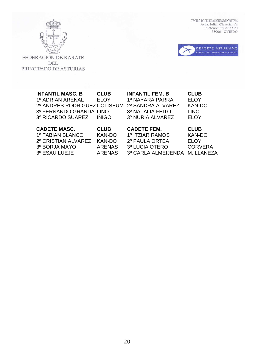



FEDERACION DE KARATE DEL PRINCIPADO DE ASTURIAS

| <b>INFANTIL MASC. B</b><br>1º ADRIAN ARENAL<br>2º ANDRES RODRIGUEZ COLISEUM<br>3º FERNANDO GRANDA LINO<br>3º RICARDO SUAREZ | <b>CLUB</b><br><b>ELOY</b><br><b>INIGO</b> | <b>INFANTIL FEM. B</b><br>1º NAYARA PARRA<br>2º SANDRA ALVAREZ<br>3º NATALIA FEITO<br>3º NURIA ALVAREZ | <b>CLUB</b><br><b>ELOY</b><br><b>KAN-DO</b><br><b>LINO</b><br>ELOY. |
|-----------------------------------------------------------------------------------------------------------------------------|--------------------------------------------|--------------------------------------------------------------------------------------------------------|---------------------------------------------------------------------|
| <b>CADETE MASC.</b>                                                                                                         | <b>CLUB</b>                                | <b>CADETE FEM.</b>                                                                                     | <b>CLUB</b>                                                         |
| 1º FABIAN BLANCO                                                                                                            | <b>KAN-DO</b>                              | 1º ITZIAR RAMOS                                                                                        | <b>KAN-DO</b>                                                       |
| 2º CRISTIAN ALVAREZ                                                                                                         | <b>KAN-DO</b>                              | 2º PAULA ORTEA                                                                                         | <b>ELOY</b>                                                         |

3º BORJA MAYO ARENAS 3º LUCIA OTERO CORVERA

3º CARLA ALMEIJENDA M. LLANEZA

20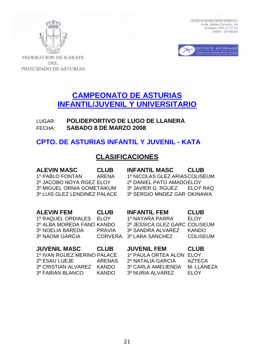



**FEDERACION DE KARATE** DEL PRINCIPADO DE ASTURIAS

# **CAMPEONATO DE ASTURIAS INFANTIL/JUVENIL Y UNIVERSITARIO**

LUGAR: **POLIDEPORTIVO DE LUGO DE LLANERA**  FECHA: **SABADO 8 DE MARZO 2008** 

## **CPTO. DE ASTURIAS INFANTIL Y JUVENIL - KATA**

## **CLASIFICACIONES**

**ALEVIN MASC CLUB INFANTIL MASC CLUB**  1º PABLO FONTAN ARENA 1º NICOLAS GLEZ ARIAS COLISEUM 2º JACOBO NOYA RGEZ ELOY 2º DANIEL PATO AMADO ELOY 3º MIGUEL ORNIA GOMETAIKUM 3º JAVIER G. RGUEZ ELOY RAQ 3º LUIS GLEZ LENDINEZ PALACE 3º SERGIO MNDEZ GAR OKINAWA **ALEVIN FEM CLUB INFANTIL FEM CLUB**  1º RAQUEL ORDIALES ELOY 1º NAYARA PARRA ELOY 2º ALBA MOREDA FANO KANDO 2º JESSICA GLEZ GARC COLISEUM 3º NOELIA BAREDA PRAVIA 3º SANDRA ALVAREZ KANDO 3º NAOMI GARCIA CORVERA 3º LARA SANCHEZ COLISEUM **JUVENIL MASC CLUB JUVENIL FEM CLUB**  1º IVAN RGUEZ MERINO PALACE 1º PAULA ORTEA ALON ELOY 2º ESAU LUEJE ARENAS 2º NATALIA GARCIA AZTECA

3º CRISTIAN ALVAREZ KANDO 3º CARLA AMEIJENDA M. LLANEZA

3º FABIAN BLANCO KANDO 3º NURIA ALVAREZ ELOY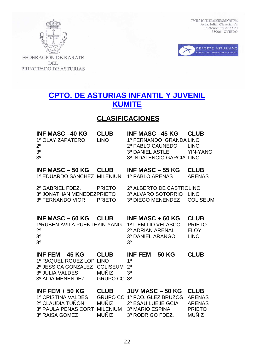



FEDERACION DE KARATE **DEL** PRINCIPADO DE ASTURIAS

# **CPTO. DE ASTURIAS INFANTIL Y JUVENIL KUMITE**

## **CLASIFICACIONES**

| <b>INF MASC -40 KG</b> | <b>CLUB</b> | <b>INF MASC -45 KG CLUB</b> |             |
|------------------------|-------------|-----------------------------|-------------|
| 1º OLAY ZAPATERO       | LINO.       | 1º FERNANDO GRANDA LINO     |             |
| $2^{\circ}$            |             | 2º PABLO CAUNEDO            | <b>TINO</b> |
| 3 <sup>o</sup>         |             | 3º DANIEL ASTLE YIN-YANG    |             |
| 3 <sup>0</sup>         |             | 3º INDALENCIO GARCIA LINO   |             |
|                        |             |                             |             |

| INF MASC $-50$ KG CLUB                      | INF MASC $-55$ KG CLUB |        |
|---------------------------------------------|------------------------|--------|
| 1º EDUARDO SANCHEZ MILENIUN 1º PABLO ARENAS |                        | ARENAS |

2º GABRIEL FDEZ. PRIETO 2º ALBERTO DE CASTROLINO 3º JONATHAN MENEDEZPRIETO 3º ALVARO SOTORRIO LINO

3º FERNANDO VIOR PRIETO 3º DIEGO MENENDEZ COLISEUM

| INF MASC $-60$ KG CLUB                            | INF MASC $+60$ KG CLUB |             |
|---------------------------------------------------|------------------------|-------------|
| 1ºRUBEN AVILA PUENTEYIN-YANG  1º L.EMILIO VELASCO |                        | PRIETO      |
| $2^{\circ}$                                       | 2º ADRIAN ARENAL       | <b>FLOY</b> |
| 3 <sup>0</sup>                                    | 3º DANIEL ARANGO       | <b>TINO</b> |
| $3^{\rm o}$                                       | - 30                   |             |

| INF FEM $-$ 45 KG $\,$          | <b>CLUB</b>             | INF FEM $-50$ KG | <b>CLUB</b> |
|---------------------------------|-------------------------|------------------|-------------|
| 1º RAQUEL RGUEZ LOP LINO        |                         | 10               |             |
| 2º JESSICA GONZALEZ COLISEUM 2º |                         |                  |             |
| 3º JULIA VALDES                 | MUNIZ $3^{\circ}$       |                  |             |
| 3º AIDA MENENDEZ                | GRUPO CC 3 <sup>°</sup> |                  |             |

| INF FEM $+$ 50 KG            | <b>CLUB</b>  | JUV MASC - 50 KG CLUB               |               |
|------------------------------|--------------|-------------------------------------|---------------|
| 1º CRISTINA VALDES           |              | GRUPO CC 1º FCO. GLEZ BRUZOS ARENAS |               |
| 2º CLAUDIA TUÑON             | MUÑIZ        | 2º ESAU LUEJE GCIA                  | ARFNAS        |
| 3º PAULA PENAS CORT MILENIUM |              | 3º MARIO ESPINA                     | <b>PRIFTO</b> |
| 3º RAISA GOMEZ               | <b>MUNIZ</b> | 3º RODRIGO FDEZ.                    | MUÑIZ.        |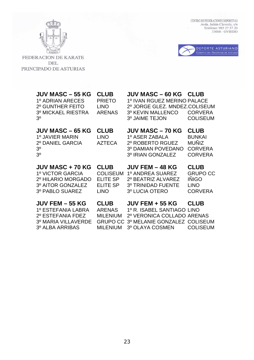

 $\begin{tabular}{ll} \multicolumn{2}{l}{\textbf{CENTRO DE FEDERACIONES DEPORTIVAS}}\\ \multicolumn{2}{l}{Avda. Julián Clavería, s/n}\\ \multicolumn{2}{l}{\textbf{Avda. Julián Clavería, s/n}}\\ \multicolumn{2}{l}{\textbf{Teléfono: 985 27 57 20}}\\ \multicolumn{2}{l}{\textbf{33006 - OVIEDO}} \end{tabular}$ 



FEDERACION DE KARATE DEL PRINCIPADO DE ASTURIAS

| <b>JUV MASC – 55 KG</b><br>1º ADRIAN ARECES<br>2º GUNTHER FEITO<br>3º MICKAEL RIESTRA<br>3 <sup>0</sup> | <b>CLUB</b><br><b>PRIETO</b><br><b>LINO</b><br>ARENAS                               | <b>JUV MASC – 60 KG</b><br>1º IVAN RGUEZ MERINO PALACE<br>2º JORGE GLEZ. MNDEZ.COLISEUM<br>3º KEVIN MALLENCO<br>3º JAIME TEJON | <b>CLUB</b><br><b>CORVERA</b><br><b>COLISEUM</b>                                 |
|---------------------------------------------------------------------------------------------------------|-------------------------------------------------------------------------------------|--------------------------------------------------------------------------------------------------------------------------------|----------------------------------------------------------------------------------|
| <b>JUV MASC – 65 KG</b><br>1º JAVIER MARIN<br>2º DANIEL GARCIA<br>3 <sup>0</sup><br>3 <sup>0</sup>      | <b>CLUB</b><br><b>LINO</b><br><b>AZTECA</b>                                         | <b>JUV MASC – 70 KG</b><br>1º ASER ZABALA<br>2º ROBERTO RGUEZ<br>3º DAMIAN POVEDANO<br>3º IRIAN GONZALEZ                       | <b>CLUB</b><br><b>BUNKAI</b><br><b>MUÑIZ</b><br><b>CORVERA</b><br><b>CORVERA</b> |
|                                                                                                         |                                                                                     |                                                                                                                                |                                                                                  |
| JUV MASC + 70 KG<br>1º VICTOR GARCIA<br>2º HILARIO MORGADO<br>3º AITOR GONZALEZ<br>3º PABLO SUAREZ      | <b>CLUB</b><br><b>COLISEUM</b><br><b>ELITE SP</b><br><b>ELITE SP</b><br><b>LINO</b> | <b>JUV FEM – 48 KG</b><br>1º ANDREA SUAREZ<br>2º BEATRIZ ALVAREZ<br>3º TRINIDAD FUENTE<br>3º LUCIA OTERO                       | <b>CLUB</b><br><b>GRUPO CC</b><br><b>INIGO</b><br><b>LINO</b><br><b>CORVERA</b>  |

23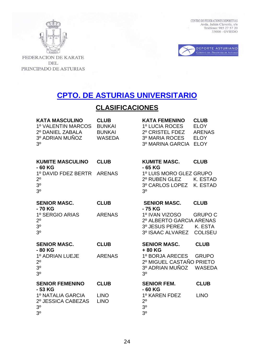



FEDERACION DE KARATE DEL PRINCIPADO DE ASTURIAS

# **CPTO. DE ASTURIAS UNIVERSITARIO**

# **CLASIFICACIONES**

| <b>KATA MASCULINO</b><br>1º VALENTIN MARCOS<br>2º DANIEL ZABALA<br>3º ADRIAN MUÑOZ<br>30 | <b>CLUB</b><br><b>BUNKAI</b><br><b>BUNKAI</b><br><b>WASEDA</b> | <b>KATA FEMENINO</b><br>1º LUCIA ROCES<br>2º CRISTEL FDEZ<br>3º MARIA ROCES<br>3º MARINA GARCIA | <b>CLUB</b><br><b>ELOY</b><br><b>ARENAS</b><br><b>ELOY</b><br><b>ELOY</b> |
|------------------------------------------------------------------------------------------|----------------------------------------------------------------|-------------------------------------------------------------------------------------------------|---------------------------------------------------------------------------|
| <b>KUMITE MASCULINO</b><br>- 60 KG                                                       | <b>CLUB</b>                                                    | <b>KUMITE MASC.</b><br>- 65 KG                                                                  | <b>CLUB</b>                                                               |
| 1º DAVID FDEZ BERTR<br>$2^{\circ}$<br>3 <sup>0</sup><br>3 <sup>0</sup>                   | <b>ARENAS</b>                                                  | 1º LUIS MORO GLEZ GRUPO<br>2º RUBEN GLEZ<br>3º CARLOS LOPEZ<br>3 <sup>0</sup>                   | K. ESTAD<br>K. ESTAD                                                      |
| <b>SENIOR MASC.</b><br>- 70 KG                                                           | <b>CLUB</b>                                                    | <b>SENIOR MASC.</b><br>- 75 KG                                                                  | <b>CLUB</b>                                                               |
| 1º SERGIO ARIAS<br>$2^{\circ}$<br>3 <sup>0</sup><br>3 <sup>0</sup>                       | <b>ARENAS</b>                                                  | 1º IVAN VIZOSO<br>2º ALBERTO GARCIA ARENAS<br>3º JESUS PEREZ<br>3º ISAAC ALVAREZ                | <b>GRUPO C</b><br>K. ESTA<br><b>COLISEU</b>                               |
| <b>SENIOR MASC.</b><br>-80 KG                                                            | <b>CLUB</b>                                                    | <b>SENIOR MASC.</b><br>+80 KG                                                                   | <b>CLUB</b>                                                               |
| 1º ADRIAN LUEJE<br>$2^{\circ}$<br>3 <sup>0</sup><br>3 <sup>0</sup>                       | <b>ARENAS</b>                                                  | 1º BORJA ARECES<br>2º MIGUEL CASTAÑO PRIETO<br>3º ADRIAN MUÑOZ<br>3 <sup>0</sup>                | <b>GRUPO</b><br><b>WASEDA</b>                                             |
| <b>SENIOR FEMENINO</b><br>- 53 KG                                                        | <b>CLUB</b>                                                    | <b>SENIOR FEM.</b><br>$-60$ KG                                                                  | <b>CLUB</b>                                                               |
| 1º NATALIA GARCIA<br>2º JESSICA CABEZAS<br>3 <sup>o</sup><br>3 <sup>0</sup>              | <b>LINO</b><br><b>LINO</b>                                     | 1º KAREN FDEZ<br>2 <sup>0</sup><br>3 <sup>o</sup><br>3 <sup>0</sup>                             | <b>LINO</b>                                                               |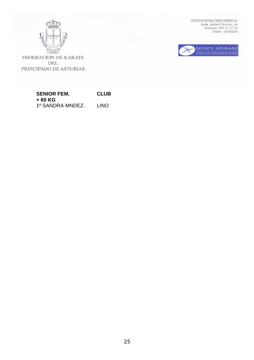

 $\begin{tabular}{ll} \multicolumn{2}{l}{\textbf{CENTRO DE FEDERACIONES DEPORTIVAS}}\\ \multicolumn{2}{l}{\textbf{AVda. Julián Clavería, s/n}}\\ \multicolumn{2}{l}{\textbf{Avda. Julián Clavería, s/n}}\\ \multicolumn{2}{l}{\textbf{Teléfono: 985 27 57 20}}\\ \multicolumn{2}{l}{\textbf{33006 - OVIEDO}} \end{tabular}$ 



FEDERACION DE KARATE DEL PRINCIPADO DE ASTURIAS

### **SENIOR FEM. CLUB + 60 KG**  1º SANDRA MNDEZ. LINO

25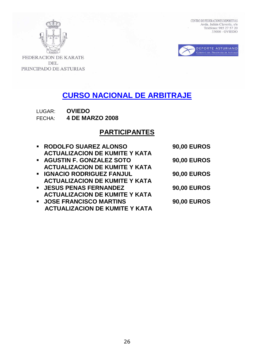



FEDERACION DE KARATE **DEL** PRINCIPADO DE ASTURIAS

# **CURSO NACIONAL DE ARBITRAJE**

LUGAR: **OVIEDO** FECHA: **4 DE MARZO 2008** 

## **PARTICIPANTES**

| • RODOLFO SUAREZ ALONSO               | <b>90,00 EUROS</b> |
|---------------------------------------|--------------------|
| <b>ACTUALIZACION DE KUMITE Y KATA</b> |                    |
| • AGUSTIN F. GONZALEZ SOTO            | <b>90,00 EUROS</b> |
| <b>ACTUALIZACION DE KUMITE Y KATA</b> |                    |
| <b>E IGNACIO RODRIGUEZ FANJUL</b>     | <b>90,00 EUROS</b> |
| <b>ACTUALIZACION DE KUMITE Y KATA</b> |                    |
| <b>• JESUS PENAS FERNANDEZ</b>        | <b>90,00 EUROS</b> |
| <b>ACTUALIZACION DE KUMITE Y KATA</b> |                    |
| <b>JOSE FRANCISCO MARTINS</b>         | <b>90,00 EUROS</b> |
| <b>ACTUALIZACION DE KUMITE Y KATA</b> |                    |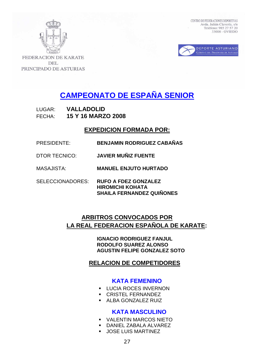



**FEDERACION DE KARATE DEL** PRINCIPADO DE ASTURIAS

# **CAMPEONATO DE ESPAÑA SENIOR**

LUGAR: **VALLADOLID**  FECHA: **15 Y 16 MARZO 2008** 

## **EXPEDICION FORMADA POR:**

- PRESIDENTE: **BENJAMIN RODRIGUEZ CABAÑAS**
- DTOR TECNICO: **JAVIER MUÑIZ FUENTE**
- MASAJISTA: **MANUEL ENJUTO HURTADO**
- SELECCIONADORES: **RUFO A FDEZ GONZALEZ HIROMICHI KOHATA SHAILA FERNANDEZ QUIÑONES**

## **ARBITROS CONVOCADOS POR LA REAL FEDERACION ESPAÑOLA DE KARATE:**

 **IGNACIO RODRIGUEZ FANJUL RODOLFO SUAREZ ALONSO AGUSTIN FELIPE GONZALEZ SOTO** 

## **RELACION DE COMPETIDORES**

## **KATA FEMENINO**

- **LUCIA ROCES INVERNON**
- **CRISTEL FERNANDEZ**
- **ALBA GONZALEZ RUIZ**

## **KATA MASCULINO**

- VALENTIN MARCOS NIETO
- DANIEL ZABALA ALVAREZ
- JOSE LUIS MARTINEZ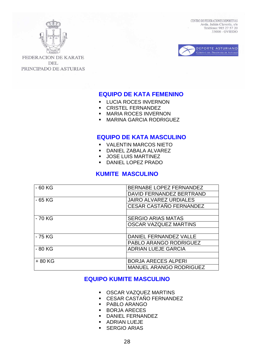



**FEDERACION DE KARATE DEL** PRINCIPADO DE ASTURIAS

## **EQUIPO DE KATA FEMENINO**

- **LUCIA ROCES INVERNON**
- **CRISTEL FERNANDEZ**
- **MARIA ROCES INVERNON**
- **MARINA GARCIA RODRIGUEZ**

## **EQUIPO DE KATA MASCULINO**

- VALENTIN MARCOS NIETO
- DANIEL ZABALA ALVAREZ
- **JOSE LUIS MARTINEZ**
- DANIEL LOPEZ PRADO

## **KUMITE MASCULINO**

| $-60$ KG | <b>BERNABE LOPEZ FERNANDEZ</b> |  |
|----------|--------------------------------|--|
|          | DAVID FERNANDEZ BERTRAND       |  |
| - 65 KG  | <b>JAIRO ALVAREZ URDIALES</b>  |  |
|          | <b>CESAR CASTAÑO FERNANDEZ</b> |  |
|          |                                |  |
| - 70 KG  | <b>SERGIO ARIAS MATAS</b>      |  |
|          | <b>OSCAR VAZQUEZ MARTINS</b>   |  |
|          |                                |  |
| - 75 KG  | DANIEL FERNANDEZ VALLE         |  |
|          | <b>PABLO ARANGO RODRIGUEZ</b>  |  |
| $-80$ KG | <b>ADRIAN LUEJE GARCIA</b>     |  |
|          |                                |  |
| +80 KG   | <b>BORJA ARECES ALPERI</b>     |  |
|          | <b>MANUEL ARANGO RODRIGUEZ</b> |  |

## **EQUIPO KUMITE MASCULINO**

- OSCAR VAZQUEZ MARTINS
- CESAR CASTAÑO FERNANDEZ
- **PABLO ARANGO**
- **BORJA ARECES**
- DANIEL FERNANDEZ
- **ADRIAN LUEJE**
- **SERGIO ARIAS**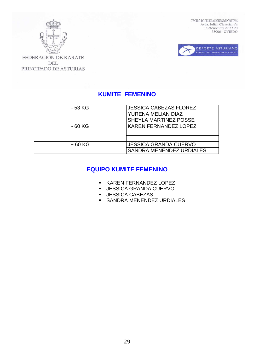



FEDERACION DE KARATE **DEL** PRINCIPADO DE ASTURIAS

## **KUMITE FEMENINO**

| - 53 KG  | <b>JESSICA CABEZAS FLOREZ</b> |
|----------|-------------------------------|
|          | YURENA MELIAN DIAZ            |
|          | SHEYLA MARTINEZ POSSE         |
| $-60$ KG | <b>KAREN FERNANDEZ LOPEZ</b>  |
|          |                               |
|          |                               |
| $+60$ KG | <b>JESSICA GRANDA CUERVO</b>  |
|          | SANDRA MENENDEZ URDIALES      |

## **EQUIPO KUMITE FEMENINO**

- KAREN FERNANDEZ LOPEZ
- JESSICA GRANDA CUERVO
- **JESSICA CABEZAS**
- **SANDRA MENENDEZ URDIALES**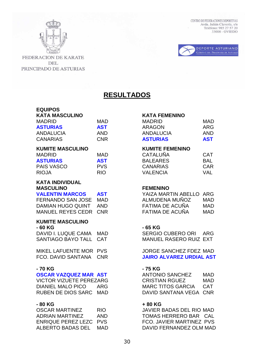



**FEDERACION DE KARATE DEL** PRINCIPADO DE ASTURIAS

## **RESULTADOS**

# **EQUIPOS KATA MASCULINO KATA FEMENINO**

| <b>KUMITE MASCULINO</b><br>* * * <b>* * * *</b><br>. |            | <b>KUMITE FEMENINO</b><br>$0.1 - 1.1$ | $\sim$ $\sim$ $\sim$ |
|------------------------------------------------------|------------|---------------------------------------|----------------------|
| CANARIAS                                             | <b>CNR</b> | <b>ASTURIAS</b>                       | <b>AST</b>           |
| <b>ANDALUCIA</b>                                     | AND        | <b>ANDALUCIA</b>                      | AND.                 |
| <b>AJIUNIAJ</b>                                      | AJ I       | <b>ANAUVIN</b>                        | AIN J                |

| <b>MADRID</b>     | MAD        |
|-------------------|------------|
| <b>ASTURIAS</b>   | <b>AST</b> |
| <b>PAIS VASCO</b> | <b>PVS</b> |
| <b>RIOJA</b>      | <b>RIO</b> |
|                   |            |

## **KATA INDIVIDUAL MASCULINO FEMENINO**

| <b>VALENTIN MARCOS</b> | <b>AST</b> |
|------------------------|------------|
| FERNANDO SAN JOSE      | MAD        |
| DAMIAN HUGO QUINT      | AND        |
| MANUEL REYES CEDR CNR  |            |

## **KUMITE MASCULINO**

| - 60 KG             |
|---------------------|
| DAVID I. LUQUE CAMA |
|                     |

MIKEL LAFUENTE MOR PVS JORGE SANCHEZ FDEZ MAD

## **- 70 KG - 75 KG**

DIANIEL MALO PICO ARG MARC TITOS GARCIA CAT RUBEN DE DIOS SARC MAD DAVID SANTANA VEGA CNR

| OSCAR MARTINEZ     | <b>RIO</b> |
|--------------------|------------|
| ADRIAN MARTINEZ    | AND        |
| ENRIQUE PEREZ LEZC | <b>PVS</b> |
| ALBERTO BADAS DEL  | MAD        |

| MADRID          | MAD        | <b>MADRID</b>   | MAD.       |
|-----------------|------------|-----------------|------------|
| <b>ASTURIAS</b> | <b>AST</b> | ARAGON          | ARG        |
| ANDALUCIA       | AND        | ANDALUCIA       | AND        |
| CANARIAS        | CNR        | <b>ASTURIAS</b> | <b>AST</b> |

| MAD        | <b>CATALUNA</b> | <b>CAT</b> |
|------------|-----------------|------------|
| <b>AST</b> | <b>BALEARES</b> | BAL        |
| <b>PVS</b> | <b>CANARIAS</b> | <b>CAR</b> |
| RIO.       | <b>VALENCIA</b> | <b>VAL</b> |
|            |                 |            |

| <b>VALENTIN MARCOS</b> | AST | YAIZA MARTIN ABELLO ARG |      |
|------------------------|-----|-------------------------|------|
| FERNANDO SAN JOSE MAD  |     | ALMUDENA MUÑOZ          | MAD. |
| DAMIAN HUGO QUINT AND  |     | FATIMA DE ACUÑA         | MAD  |
| MANUEL REYES CEDR CNR  |     | FATIMA DE ACUÑA         | MAD  |

### **- 60 KG - 65 KG**

MAD SERGIO CUBERO ORI ARG SANTIAGO BAYO TALL CAT MANUEL RASERO RUIZ EXT

FCO. DAVID SANTANA CNR **JAIRO ALVAREZ URDIAL AST** 

**OSCAR VAZQUEZ MAR AST ANTONIO SANCHEZ MAD** VICTOR VIZUETE PEREZARG CRISTIAN RGUEZ MAD

## - 80 KG + 80 KG

JAVIER BADAS DEL RIO MAD TOMAS HERRERO BAR CAL FCO. JAVIER MARTINEZ PVS DAVID FERNANDEZ OLM MAD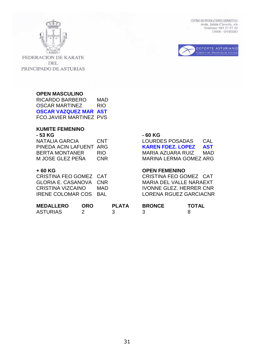



**FEDERACION DE KARATE DEL** PRINCIPADO DE ASTURIAS

### **OPEN MASCULINO**

RICARDO BARBERO MAD OSCAR MARTINEZ RIO **OSCAR VAZQUEZ MAR AST**  FCO.JAVIER MARTINEZ PVS

### **KUMITE FEMENINO - 53 KG - 60 KG**

| NATALIA GARCIA          | <b>CNT</b> |
|-------------------------|------------|
| PINEDA ACIN LAFUENT ARG |            |
| <b>BERTA MONTANER</b>   | RIO        |
| M JOSE GLEZ PEÑA        | <b>CNR</b> |

CRISTINA FEO GOMEZ CAT CRISTINA FEO GOMEZ CAT GLORIA E. CASANOVA CNR MARIA DEL VALLE NARAEXT CRISTINA VIZCAINO MAD IVONNE GLEZ. HERRER CNR IRENE COLOMAR COS BAL LORENA RGUEZ GARCIACNR

LOURDES POSADAS CAL **KAREN FDEZ. LOPEZ AST** BERTA MONTANER RIOMARIA AZUARA RUIZ MAD MARINA LERMA GOMEZ ARG

## **+ 60 KG OPEN FEMENINO**

| <b>MEDALLERO</b> | ORO | <b>PLATA</b> | <b>BRONCE</b> | <b>TOTAL</b> |
|------------------|-----|--------------|---------------|--------------|
| <b>ASTURIAS</b>  |     |              |               |              |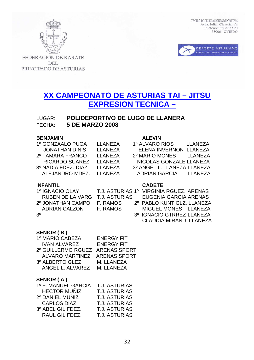



FEDERACION DE KARATE **DEL** PRINCIPADO DE ASTURIAS

## **XX CAMPEONATO DE ASTURIAS TAI – JITSU**  – **EXPRESION TECNICA –**

## LUGAR: **POLIDEPORTIVO DE LUGO DE LLANERA** FECHA: **5 DE MARZO 2008**

### **BENJAMIN ALEVIN**

| 1º GONZAALO PUGA      | <b>LLANEZA</b> | 1º ALVARO RIOS<br>LLANEZA        |
|-----------------------|----------------|----------------------------------|
| <b>JONATHAN DINIS</b> | LLANEZA        | ELENA INVERNON LLANEZA           |
| 2º TAMARA FRANCO      | I LANEZA       | 2º MARIO MONES<br><b>ILANEZA</b> |
| <b>RICARDO SUAREZ</b> | I I ANFZA      | NICOLAS GONZALE LLANEZA          |
| 3º NADIA FDEZ, DIAZ   | LLANEZA        | 3º ANGEL L. LLANEZA LLANEZA      |
| ALEJANDRO MDEZ.       | I LANEZA       | ADRIAN GARCIA LLANEZA            |
|                       |                |                                  |

### **INFANTIL CADETE**

|                | 1º IGNACIO OLAY         |
|----------------|-------------------------|
|                | <b>RUBEN DE LA VARG</b> |
|                | 2º JONATHAN CAMPO       |
|                | <b>ADRIAN CALZON</b>    |
| 3 <sup>o</sup> |                         |

| 1º ALVARO RIOS              | <b>LLANEZA</b> |
|-----------------------------|----------------|
| ELENA INVERNON LLANEZA      |                |
| 2º MARIO MONES              | LLANEZA        |
| NICOLAS GONZALE LLANEZA     |                |
| 3º ANGEL L. LLANEZA LLANEZA |                |
| <b>ADRIAN GARCIA</b>        | LLANEZA        |
|                             |                |

| 1º IGNACIO OLAY   |          | T.J. ASTURIAS 1º VIRGINIA RGUEZ, ARENAS              |
|-------------------|----------|------------------------------------------------------|
|                   |          | RUBEN DE LA VARG T.J. ASTURIAS EUGENIA GARCIA ARENAS |
| 2º JONATHAN CAMPO | F. RAMOS | 2º PABLO KUNT GLZ. LLANEZA                           |
| ADRIAN CALZON     | F. RAMOS | MIGUEL MONES LLANEZA                                 |
| 30                |          | 3º IGNACIO GTRREZ LLANEZA                            |
|                   |          | CLAUDIA MIRAND LLANEZA                               |
|                   |          |                                                      |

## **SENIOR ( B )**

| 1º MARIO CABEZA                 | <b>ENERGY FIT</b> |
|---------------------------------|-------------------|
| <b>IVAN ALVAREZ</b>             | <b>ENERGY FIT</b> |
| 2º GUILLERMO RGUEZ ARENAS SPORT |                   |
| ALVARO MARTINEZ ARENAS SPORT    |                   |
| 3º ALBERTO GLEZ.                | M. LLANEZA        |
| ANGEL L. ALVAREZ                | M. LLANEZA        |

### **SENIOR ( A )**

| 1º F. MANUEL GARCIA | <b>T.J. ASTURIAS</b> |
|---------------------|----------------------|
| <b>HECTOR MUÑIZ</b> | <b>T.J. ASTURIAS</b> |
| 2º DANIEL MUÑIZ     | <b>T.J. ASTURIAS</b> |
| <b>CARLOS DIAZ</b>  | <b>T.J. ASTURIAS</b> |
| 3º ABEL GIL FDEZ.   | <b>T.J. ASTURIAS</b> |
| RAUL GIL FDEZ.      | <b>T.J. ASTURIAS</b> |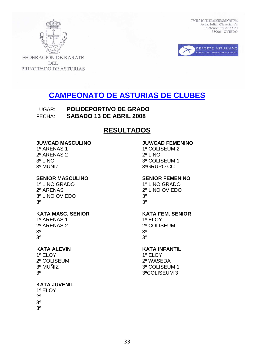



**FEDERACION DE KARATE DEL** PRINCIPADO DE ASTURIAS

# **CAMPEONATO DE ASTURIAS DE CLUBES**

LUGAR: **POLIDEPORTIVO DE GRADO**  FECHA: **SABADO 13 DE ABRIL 2008** 

## **RESULTADOS**

### **JUV/CAD MASCULINO JUV/CAD FEMENINO**

2º ARENAS 2 2º LINO 3º MUÑIZ 3ºGRUPO CC

### **SENIOR MASCULINO SENIOR FEMENINO**

2º ARENAS 2º LINO OVIEDO 3º LINO OVIEDO 3º  $3^{\circ}$  3<sup>o</sup>

## KATA MASC. SENIOR KATA FEM. SENIOR

1º ARENAS 1 1º FLOY 2º ARENAS 2 2º COLISEUM  $3^{\circ}$  3<sup>o</sup>  $3^{\circ}$  3<sup>o</sup>

2º COLISEUM 2º WASEDA

## **KATA JUVENIL**

1º ELOY  $2<sup>0</sup>$ 3º 3º

1º ARENAS 1 1º COLISEUM 2 3º LINO 3º COLISEUM 1

1º LINO GRADO 1º LINO GRADO

# **KATA ALEVIN**<br>1º ELOY 1º ELOY

1º ELOY 3º MUÑIZ 3º COLISEUM 1 3º 3ºCOLISEUM 3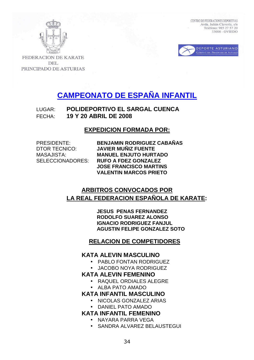



**FEDERACION DE KARATE DEL** PRINCIPADO DE ASTURIAS

# **CAMPEONATO DE ESPAÑA INFANTIL**

LUGAR: **POLIDEPORTIVO EL SARGAL CUENCA**  FECHA: **19 Y 20 ABRIL DE 2008** 

## **EXPEDICION FORMADA POR:**

**BENJAMIN RODRIGUEZ CABAÑAS JAVIER MUÑIZ FUENTE MANUEL ENJUTO HURTADO** SELECCIONADORES: **RUFO A FDEZ GONZALEZ JOSE FRANCISCO MARTINS VALENTIN MARCOS PRIETO** 

## **ARBITROS CONVOCADOS POR LA REAL FEDERACION ESPAÑOLA DE KARATE:**

 **JESUS PENAS FERNANDEZ RODOLFO SUAREZ ALONSO IGNACIO RODRIGUEZ FANJUL AGUSTIN FELIPE GONZALEZ SOTO** 

## **RELACION DE COMPETIDORES**

## **KATA ALEVIN MASCULINO**

- PABLO FONTAN RODRIGUEZ
- JACOBO NOYA RODRIGUEZ

## **KATA ALEVIN FEMENINO**

- RAQUEL ORDIALES ALEGRE
- ALBA PATO AMADO

## **KATA INFANTIL MASCULINO**

- NICOLAS GONZALEZ ARIAS
- DANIEL PATO AMADO

## **KATA INFANTIL FEMENINO**

- NAYARA PARRA VEGA
- SANDRA ALVAREZ BELAUSTEGUI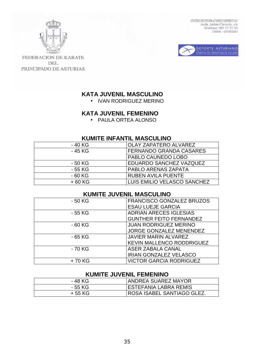

FEDERACION DE KARATE **DEL** PRINCIPADO DE ASTURIAS

## **KATA JUVENIL MASCULINO**

• IVAN RODRIGUEZ MERINO

## **KATA JUVENIL FEMENINO**

• PAULA ORTEA ALONSO

## **KUMITE INFANTIL MASCULINO**

| - 40 KG  | <b>OLAY ZAPATERO ALVAREZ</b>   |  |
|----------|--------------------------------|--|
| - 45 KG  | <b>FERNANDO GRANDA CASARES</b> |  |
|          | PABLO CAUNEDO LOBO             |  |
| - 50 KG  | <b>EDUARDO SANCHEZ VAZQUEZ</b> |  |
| - 55 KG  | <b>PABLO ARENAS ZAPATA</b>     |  |
| $-60$ KG | <b>RUBEN AVILA PUENTE</b>      |  |
| $+60$ KG | LUIS EMILIO VELASCO SANCHEZ    |  |

## **KUMITE JUVENIL MASCULINO**

| - 50 KG  | FRANCISCO GONZALEZ BRUZOS        |
|----------|----------------------------------|
|          | <b>ESAU LUEJE GARCIA</b>         |
| - 55 KG  | <b>ADRIAN ARECES IGLESIAS</b>    |
|          | <b>GUNTHER FEITO FERNANDEZ</b>   |
| $-60$ KG | <b>JUAN RODRIGUEZ MERINO</b>     |
|          | <b>JORGE GONZALEZ MENENDEZ</b>   |
| - 65 KG  | <b>JAVIER MARIN ALVAREZ</b>      |
|          | <b>KEVIN MALLENCO RODDRIGUEZ</b> |
| - 70 KG  | ASER ZABALA CANAL                |
|          | <b>IRIAN GONZALEZ VELASCO</b>    |
| +70 KG   | <b>VICTOR GARCIA RODRIGUEZ</b>   |

## **KUMITE JUVENIL FEMENINO**

| - 48 KG | <b>ANDREA SUAREZ MAYOR</b> |
|---------|----------------------------|
| - 55 KG | ESTEFANIA LABRA REMIS      |
| + 55 KG | ROSA ISABEL SANTIAGO GLEZ. |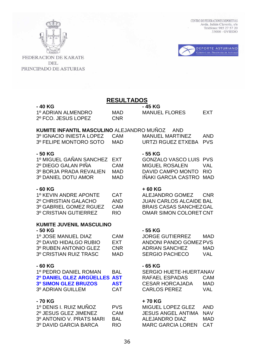



**FEDERACION DE KARATE DEL** PRINCIPADO DE ASTURIAS

# **RESULTADOS**

| - 40 KG             |            | - 45 KG              |            |
|---------------------|------------|----------------------|------------|
| 1º ADRIAN ALMENDRO  | MAD        | <b>MANUEL FLORES</b> | <b>FXT</b> |
| 2º FCO. JESUS LOPEZ | <b>CNR</b> |                      |            |

### **KUMITE INFANTIL MASCULINO** ALEJANDRO MUÑOZ AND

| 3º IGNACIO INIESTA LOPEZ CAM |      | MANUEL MARTINEZ        | AND |
|------------------------------|------|------------------------|-----|
| 3º FELIPE MONTORO SOTO       | MAD. | URTZI RGUEZ ETXEBA PVS |     |

### **- 50 KG - 55 KG**

| 1º MIGUEL GAÑAN SANCHEZ EXT |     |
|-----------------------------|-----|
| 2º DIEGO GALAN PIÑA         | CAM |
| 3º BORJA PRADA REVALIEN     | MAD |
| 3º DANIEL DOTU AMOR         | MAD |

| 1º KEVIN ANDRE APONTE  | CAT        |
|------------------------|------------|
| 2º CHRISTIAN GALACHO   | AND        |
| 3º GABRIEL GOMEZ RGUEZ | CAM        |
| 3º CRISTIAN GUTIERREZ  | <b>RIO</b> |

### **KUMITE JUVENIL MASCULINO**

| 1º JOSE MANUEL DIAZ    | <b>CAM</b> |
|------------------------|------------|
| 2º DAVID HIDALGO RUBIO | FXT.       |
| 3º RUBEN ANTONIO GLEZ  | <b>CNR</b> |
| 3º CRISTIAN RUIZ TRASC | MAD        |

| 1º PEDRO DANIEL ROMAN               | BAL        |
|-------------------------------------|------------|
| <b>2º DANIEL GLEZ ARGÜELLES AST</b> |            |
| <b>3º SIMON GLEZ BRUZOS</b>         | <b>AST</b> |
| 30 ANRIAN GI III I EM               | <b>CAT</b> |

### - 70 KG **+ 70 KG**

| 1º DENIS I. RUIZ MUÑOZ   | <b>PVS</b> |
|--------------------------|------------|
| 2º JESUS GLEZ JIMENEZ    | CAM        |
| 3º ANTONIO V. PRATS MARI | BAI        |
| 3º DAVID GARCIA BARCA    | RIO        |

| <b>MANUEL MARTINEZ</b> | AND |
|------------------------|-----|
| URTZI RGUEZ ETXEBA PVS |     |

GONZALO VASCO LUIS PVS MIGUEL ROSALEN VAL DAVID CAMPO MONTO RIO IÑAKI GARCIA CASTRO MAD

### - 60 KG + 60 KG

ALEJANDRO GOMEZ CNR JUAN CARLOS ALCAIDE BAL BRAIS CASAS SANCHEZ GAL OMAR SIMON COLORET CNT

### **- 50 KG - 55 KG**

JORGE GUTIERREZ MAD ANDONI PANDO GOMEZ PVS ADRIAN SANCHEZ MAD SERGIO PACHECO VAL

### **- 60 KG - 65 KG**

SERGIO HUETE-HUERTANAV **2** RAFAEL ESPADAS CAM **CESAR HORCAJADA MAD** PADRIAN GUILLEM CAT CARLOS PEREZ VAL

MIGUEL LOPEZ GLEZ AND 1 JESUS ANGEL ANTIMA NAV ALEJANDRO DIAZ MAD MARC GARCIA LOREN CAT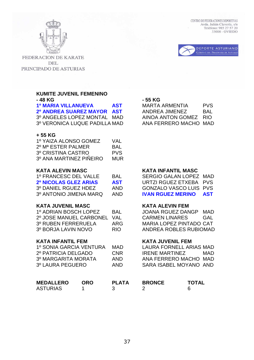

FEDERACION DE KARATE **DEL** PRINCIPADO DE ASTURIAS

**KUMITE JUVENIL FEMENINO** 

| KUMITE JUVENIL FEMENINO<br>- 48 KG                                                                                          |                              |                                                      |
|-----------------------------------------------------------------------------------------------------------------------------|------------------------------|------------------------------------------------------|
| <b>1º MARIA VILLANUEVA</b><br><b>2º ANDREA SUAREZ MAYOR</b><br>3º ANGELES LOPEZ MONTAL MAD<br>3º VERONICA LUQUE PADILLA MAD |                              | <b>AST</b><br><b>AST</b>                             |
| + 55 KG<br>1º YAIZA ALONSO GOMEZ<br>2º Mª ESTER PALMER<br>3º CRISTINA CASTRO<br>3º ANA MARTINEZ PIÑEIRO                     |                              | VAL<br><b>BAL</b><br><b>PVS</b><br><b>MUR</b>        |
| <b>KATA ALEVIN MASC</b><br>1º FRANCESC DEL VALLE<br>2º NICOLAS GLEZ ARIAS<br>3º DANIEL RGUEZ HDEZ<br>3º ANTONIO JIMENA MARQ |                              | <b>BAL</b><br><b>AST</b><br><b>AND</b><br><b>AND</b> |
| <b>KATA JUVENIL MASC</b><br>1º ADRIAN BOSCH LOPEZ<br>2º JOSE MANUEL CARBONEL<br>3º RUBEN FERRERUELA<br>3º BORJA LAVIN NOVO  |                              | <b>BAL</b><br><b>VAL</b><br><b>ARG</b><br><b>RIO</b> |
| <b>KATA INFANTIL FEM</b><br>1º SONIA GARCIA VENTURA<br>2º PATRICIA DELGADO<br>3º MARGARITA MORATA<br>3º LAURA PEGUERO       |                              | <b>MAD</b><br><b>CNR</b><br><b>AND</b><br><b>AND</b> |
| <b>MEDALLERO</b><br><b>ASTURIAS</b>                                                                                         | <b>ORO</b><br>$1 \quad \Box$ | <b>PLAT</b><br>R                                     |

CENTRO DE FEDERACIONES DEPORTIVAS Avda. Julián Clavería, s/n Teléfono: 985 27 57 20  $33006 - OVIEDO$ 



### **- 48 KG - 55 KG**

**MARTA ARMENTIA PVS 2º ANDREA SUAREZ MAYOR AST** ANDREA JIMENEZ BAL AINOA ANTON GOMEZ RIO ANA FERRERO MACHO MAD

### **KATA INFANTIL MASC**

SERGIO GALAN LOPEZ MAD **URTZI RGUEZ ETXEBA PVS** GONZALO VASCO LUIS PVS **IVAN RGUEZ MERINO AST** 

### **KATA ALEVIN FEM**

JOANA RGUEZ DANGP MAD CARMEN LINARES GAL MARIA LOPEZ PINTADO CAT ANDREA ROBLES RUBIOMAD

### **KATA JUVENIL FEM**

LAURA FORNELL ARIAS MAD IRENE MARTINEZ MAD ANA FERRERO MACHO MAD SARA ISABEL MOYANO AND

| <b>MEDALLERO</b> | ORO | <b>PLATA</b> | <b>BRONCE</b> | <b>TOTAL</b> |
|------------------|-----|--------------|---------------|--------------|
| ASTURIAS         |     |              |               |              |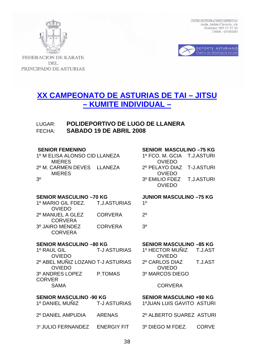



**FEDERACION DE KARATE DEL** PRINCIPADO DE ASTURIAS

## **XX CAMPEONATO DE ASTURIAS DE TAI – JITSU – KUMITE INDIVIDUAL –**

## LUGAR: **POLIDEPORTIVO DE LUGO DE LLANERA**  FECHA: **SABADO 19 DE ABRIL 2008**

1º M ELISA ALONSO CID LLANEZA 1º FCO. M. GCIA T.J.ASTURI MIERES OVIEDO 2º M. CARMEN DEVES LLANEZA 2º PELAYO DIAZ T-J.ASTURI MIERES OVIEDO

### **SENIOR FEMENINO SENIOR MASCULINO –75 KG**

3º 3º EMILIO FDEZ T.J.ASTURI OVIEDO

### **SENIOR MASCULINO –70 KG JUNIOR MASCULINO –75 KG**

| 1º MARIO GIL FDEZ. | <b>T.J.ASTURIAS</b> | 10  |
|--------------------|---------------------|-----|
| <b>OVIEDO</b>      |                     |     |
| 2º MANUEL A GLEZ   | <b>CORVERA</b>      | 20  |
| <b>CORVERA</b>     |                     |     |
| 3º JAIRO MENDEZ    | <b>CORVERA</b>      | 3٥. |
| <b>CORVERA</b>     |                     |     |
|                    |                     |     |

1º RAUL GIL T-J ASTURIAS **OVIEDO** 2º ABEL MUÑIZ LOZANO T-J ASTURIAS **OVIEDO** 3º ANDRES LOPEZ P.TOMAS **CORVER** SAMA CORVERA

| 1º DANIEL MUNIZ    | T-J ASTURIAS       |
|--------------------|--------------------|
| 2º DANIEL AMPUDIA  | ARENAS             |
| 3º JULIO FERNANDEZ | <b>ENERGIY FIT</b> |

### **SENIOR MASCULINO –80 KG SENIOR MASCULINO –85 KG**

| 1º HECTOR MUÑIZ T.J.AST |         |
|-------------------------|---------|
| <b>OVIEDO</b>           |         |
| 2º CARLOS DIAZ          | T.J.AST |
| <b>OVIEDO</b>           |         |
| 3º MARCOS DIEGO         |         |

SENIOR MASCULINO -90 KG SENIOR MASCULINO +90 KG 1º JUAN LUIS GAVITO ASTURI 2º ALBERTO SUAREZ ASTURI 3º DIEGO M FDEZ. CORVE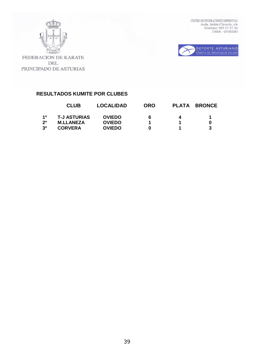



FEDERACION DE KARATE DEL PRINCIPADO DE ASTURIAS

## **RESULTADOS KUMITE POR CLUBES**

|                | <b>CLUB</b>         | <b>LOCALIDAD</b> | <b>ORO</b> |   | <b>PLATA BRONCE</b> |
|----------------|---------------------|------------------|------------|---|---------------------|
| 10             | <b>T-J ASTURIAS</b> | <b>OVIEDO</b>    | 6          | 4 |                     |
| 2 <sup>0</sup> | <b>M.LLANEZA</b>    | <b>OVIEDO</b>    |            |   |                     |
| 3 <sup>o</sup> | <b>CORVERA</b>      | <b>OVIEDO</b>    | n          |   |                     |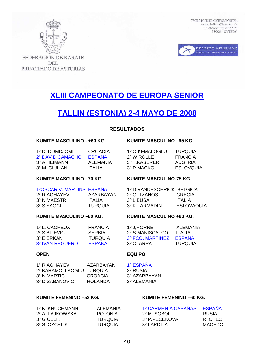



**FEDERACION DE KARATE DEL** PRINCIPADO DE ASTURIAS

# **XLIII CAMPEONATO DE EUROPA SENIOR**

# **TALLIN (ESTONIA) 2-4 MAYO DE 2008**

### **RESULTADOS**

### **KUMITE MASCULINO - +60 KG. KUMITE MASCULINO –65 KG.**

| 1º D. DOMDJOMI<br>2º DAVID CAMACHO | CROACIA<br><b>FSPANA</b> | 1º O.KEMALOGLU<br>2º W.ROLLE | TURQUIA<br>FRANCIA |
|------------------------------------|--------------------------|------------------------------|--------------------|
| 3º A.HEIMANN                       | AI FMANIA                | 3º T.KASERER                 | AUSTRIA            |
| 3º M. GIULIANI                     | ITAI IA                  | 3º P.MACKO                   | ESLOVOU            |

### **KUMITE MASCULINO –70 KG. KUMITE MASCULINO-75 KG.**

| 2º R.AGHAYEV | AZARBAYAN      |
|--------------|----------------|
| 3º N.MAESTRI | <b>ITALIA</b>  |
| 3º S.YAGCI   | <b>TURQUIA</b> |

### KUMITE MASCULINO -80 KG. KUMITE MASCULINO +80 KG.

| 1º L. CACHEUX   | FRANCIA        |
|-----------------|----------------|
| 2º S.BITEVIC    | <b>SERBIA</b>  |
| 3º E.ERKAN      | <b>TURQUIA</b> |
| 3º IVAN REGUERO | <b>ESPAÑA</b>  |

### **OPEN EQUIPO**

| 1º R.AGHAYEV             | AZARBAYAN | 1º ESPAÑA  |
|--------------------------|-----------|------------|
| 2º KARAMOLLAOGLU TURQUIA |           | 2º RUSIA   |
| 3º N.MARTIC              | CROACIA   | 3º AZARBA  |
| 3º D. SABANOVIC          | HOLANDA   | 3º ALEMANI |

### 2º RUSIA 3º AZARBAYAN 3º ALEMANIA

### KUMITE FEMENINO –53 KG. KUMITE FEMENINO –60 KG.

| 1º K. KNUCHMANN | AI FMANIA      | 1º CARMEN A.CABAÑAS | FSPANA |
|-----------------|----------------|---------------------|--------|
| 2º A. FAJKOWSKA | <b>POLONIA</b> | 2º M. SOBOL         | RUSIA  |
| 3º G.CELIK      | TURQUIA        | 3º P.PECEKOVA       | R CHFC |
| 3º S. OZCELIK   | TURQUIA        | 3º LARDITA          | MACEDO |

| CROACIA       | 1º O.KEMALOGLU         | TURQUIA   |
|---------------|------------------------|-----------|
| <b>ESPAÑA</b> | 2 <sup>o</sup> W.ROLLE | FRANCIA   |
| ALEMANIA      | 3º T KASERER           | AUSTRIA   |
| ITAI IA       | 3º P.MACKO             | ESLOVOUIA |
|               |                        |           |

1ºOSCAR V. MARTINS ESPAÑA 1º D.VANDESCHRICK BELGICA 2º G. TZANOS 3º L.BUSA ITALIA 3º K.FARMADIN ESLOVAQUIA

1º J.HORNE ALEMANIA 2º S.MANISCALCO ITALIA<br>3º FCO. MARTINEZ ESPAÑA 3º FCO. MARTINEZ 3º O. ARPA TURQUIA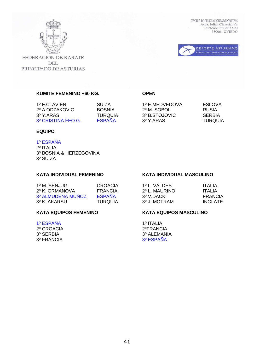

FEDERACION DE KARATE **DEL** PRINCIPADO DE ASTURIAS CENTRO DE FEDERACIONES DEPORTIVAS Avda. Julián Clavería, s/n Teléfono: 985 27 57 20  $33006 - OVIEWEDO$ 



**KUMITE FEMENINO +60 KG. OPEN** 

1º F.CLAVIEN SUIZA 1º E.MEDVEDOVA ESLOVA 2º A.ODZAKOVIC BOSNIA 2º M. SOBOL RUSIA 3º Y.ARAS TURQUIA 3º B.STOJOVIC SERBIA 3º CRISTINA FEO G. ESPAÑA 3º Y.ARAS TURQUIA

### **EQUIPO**

### 1º ESPAÑA

2º ITALIA 3º BOSNIA & HERZEGOVINA 3º SUIZA

### **KATA INDIVIDUAL FEMENINO KATA INDIVIDUAL MASCULINO**

| 1º M. SENJUG      | CROACIA       | 1º L. VALDES  | ITAI IA |
|-------------------|---------------|---------------|---------|
| 2º K. GRMANOVA    | FRANCIA       | 2º L. MAURINO | ITAI IA |
| 3º ALMUDENA MUÑOZ | <b>ESPAÑA</b> | 3º V.DACK     | FRANCIA |
| 3º K. AKARSU      | TURQUIA       | 3º J. MOTRAM  | INGLATE |

1º ESPAÑA 1º ITALIA 2º CROACIA 2ºFRANCIA

### **KATA EQUIPOS FEMENINO KATA EQUIPOS MASCULINO**

3º SERBIA 3º ALEMANIA 3º FRANCIA 3º ESPAÑA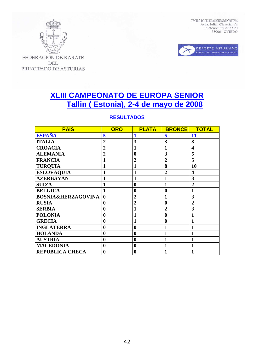



FEDERACION DE KARATE **DEL** PRINCIPADO DE ASTURIAS

# **XLIII CAMPEONATO DE EUROPA SENIOR Tallin ( Estonia), 2-4 de mayo de 2008**

### **RESULTADOS**

| <b>PAIS</b>                   | <b>ORO</b>       | <b>PLATA</b>     | <b>BRONCE</b>    | <b>TOTAL</b>            |
|-------------------------------|------------------|------------------|------------------|-------------------------|
| <b>ESPAÑA</b>                 | 5                | 1                | 5                | 11                      |
| <b>ITALIA</b>                 | $\overline{2}$   | 3                | 3                | 8                       |
| <b>CROACIA</b>                | $\overline{2}$   | 1                | 1                | $\overline{\mathbf{4}}$ |
| <b>ALEMANIA</b>               | $\overline{2}$   | $\bf{0}$         | 3                | 5                       |
| <b>FRANCIA</b>                | 1                | $\overline{2}$   | $\overline{2}$   | 5                       |
| <b>TURQUIA</b>                |                  | 1                | 8                | 10                      |
| <b>ESLOVAQUIA</b>             |                  | 1                | $\overline{2}$   | $\overline{\mathbf{4}}$ |
| <b>AZERBAYAN</b>              |                  | 1                | 1                | 3                       |
| <b>SUIZA</b>                  |                  | $\bf{0}$         | $\mathbf{1}$     | $\overline{2}$          |
| <b>BELGICA</b>                | 1                | $\boldsymbol{0}$ | $\boldsymbol{0}$ | $\mathbf{1}$            |
| <b>BOSNIA&amp;HERZAGOVINA</b> | $\bf{0}$         | $\overline{2}$   | 1                | 3                       |
| <b>RUSIA</b>                  | $\bf{0}$         | $\overline{2}$   | $\boldsymbol{0}$ | $\overline{2}$          |
| <b>SERBIA</b>                 | $\bf{0}$         | $\mathbf{1}$     | $\overline{2}$   | 3                       |
| <b>POLONIA</b>                | $\bf{0}$         | $\mathbf{1}$     | $\bf{0}$         | $\mathbf{1}$            |
| <b>GRECIA</b>                 | $\boldsymbol{0}$ | $\mathbf{1}$     | $\bf{0}$         | $\mathbf{1}$            |
| <b>INGLATERRA</b>             | $\bf{0}$         | $\boldsymbol{0}$ | 1                | $\mathbf{1}$            |
| <b>HOLANDA</b>                | $\bf{0}$         | $\boldsymbol{0}$ | 1                | 1                       |
| <b>AUSTRIA</b>                | $\bf{0}$         | $\bf{0}$         | 1                | 1                       |
| <b>MACEDONIA</b>              | $\bf{0}$         | $\boldsymbol{0}$ | 1                | 1                       |
| <b>REPUBLICA CHECA</b>        | $\boldsymbol{0}$ | $\boldsymbol{0}$ | 1                | $\mathbf{1}$            |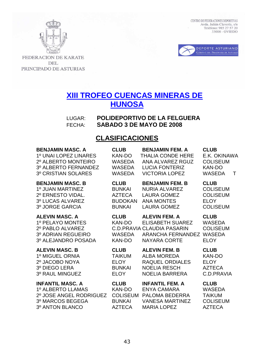

FEDERACION DE KARATE **DEL** PRINCIPADO DE ASTURIAS

# **XIII TROFEO CUENCAS MINERAS DE HUNOSA**

LUGAR: **POLIDEPORTIVO DE LA FELGUERA**  FECHA: **SABADO 3 DE MAYO DE 2008**

## **CLASIFICACIONES**

| <b>BENJAMIN MASC, A</b><br>1º UNAI LOPEZ LINARES<br>2º ALBERTO MONTEIRO<br>3º ALBERTO FERNANDEZ<br><b>3º CRISTIAN SOLARES</b> | <b>CLUB</b><br>KAN-DO<br><b>WASEDA</b><br>WASEDA<br><b>WASEDA</b> | <b>BENJAMIN FEM. A</b><br><b>THALIA CONDE HERE</b><br>ANA ALVAREZ RGUZ<br><b>LUCIA FONTERIZ</b><br><b>VICTORIA LOPEZ</b> | <b>CLUB</b><br>E.K. OKINAWA<br><b>COLISEUM</b><br><b>KAN-DO</b><br><b>WASEDA</b><br>Τ |
|-------------------------------------------------------------------------------------------------------------------------------|-------------------------------------------------------------------|--------------------------------------------------------------------------------------------------------------------------|---------------------------------------------------------------------------------------|
| <b>BENJAMIN MASC. B</b>                                                                                                       | <b>CLUB</b>                                                       | <b>BENJAMIN FEM. B</b>                                                                                                   | <b>CLUB</b>                                                                           |
| 1º JUAN MARTINEZ                                                                                                              | <b>BUNKAI</b>                                                     | <b>NURIA ALVAREZ</b>                                                                                                     | <b>COLISEUM</b>                                                                       |
| 2º ERNESTO VIDAL.                                                                                                             | <b>AZTECA</b>                                                     | <b>LAURA GOMEZ</b>                                                                                                       | <b>COLISEUM</b>                                                                       |
| 3º LUCAS ALVAREZ                                                                                                              | <b>BUDOKAN</b>                                                    | ANA MONTES                                                                                                               | <b>ELOY</b>                                                                           |
| 3º JORGE GARCIA                                                                                                               | <b>BUNKAI</b>                                                     | <b>LAURA GOMEZ</b>                                                                                                       | <b>COLISEUM</b>                                                                       |
| <b>ALEVIN MASC. A</b><br>1º PELAYO MONTES<br>2º PABLO ALVAREZ<br>3º ADRIAN REGUEIRO<br>3º ALEJANDRO POSADA                    | <b>CLUB</b><br>KAN-DO<br><b>WASEDA</b><br>KAN-DO                  | <b>ALEVIN FEM. A</b><br>ELISABETH SUAREZ<br>C.D. PRAVIA CLAUDIA PASARIN<br>ARANCHA FERNANDEZ<br><b>NAYARA CORTE</b>      | <b>CLUB</b><br><b>WASEDA</b><br><b>COLISEUM</b><br><b>WASEDA</b><br><b>ELOY</b>       |
| <b>ALEVIN MASC. B</b>                                                                                                         | <b>CLUB</b>                                                       | <b>ALEVIN FEM. B</b>                                                                                                     | <b>CLUB</b>                                                                           |
| 1º MIGUEL ORNIA                                                                                                               | <b>TAIKUM</b>                                                     | <b>ALBA MOREDA</b>                                                                                                       | <b>KAN-DO</b>                                                                         |
| 2º JACOBO NOYA                                                                                                                | <b>ELOY</b>                                                       | <b>RAQUEL ORDIALES</b>                                                                                                   | <b>ELOY</b>                                                                           |
| 3º DIEGO LERA                                                                                                                 | <b>BUNKAI</b>                                                     | <b>NOELIA RESCH</b>                                                                                                      | <b>AZTECA</b>                                                                         |
| 3º RAUL MINGUEZ                                                                                                               | <b>ELOY</b>                                                       | <b>NOELIA BARRERA</b>                                                                                                    | C.D.PRAVIA                                                                            |
| <b>INFANTIL MASC. A</b>                                                                                                       | <b>CLUB</b>                                                       | <b>INFANTIL FEM. A</b>                                                                                                   | <b>CLUB</b>                                                                           |
| 1º ALBERTO LLAMAS                                                                                                             | KAN-DO                                                            | <b>ENYA CAMARA</b>                                                                                                       | <b>WASEDA</b>                                                                         |
| 2º JOSE ANGEL RODRIGUEZ                                                                                                       | <b>COLISEUM</b>                                                   | PALOMA BEDERRA                                                                                                           | <b>TAIKUM</b>                                                                         |
| 3º MARCOS BEGEGA                                                                                                              | <b>BUNKAI</b>                                                     | <b>VANESA MARTINEZ</b>                                                                                                   | <b>COLISEUM</b>                                                                       |
| 3º ANTON BLANCO                                                                                                               | <b>AZTECA</b>                                                     | <b>MARIA LOPEZ</b>                                                                                                       | <b>AZTECA</b>                                                                         |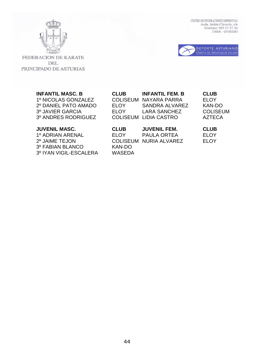



FEDERACION DE KARATE **DEL** PRINCIPADO DE ASTURIAS

### **INFANTIL MASC. B**

3º FABIAN BLANCO 3º IYAN VIGIL-ESCALERA

| <b>INFANTIL MASC, B</b> | <b>CLUB</b> | <b>INFANTIL FEM. B</b> | <b>CLUB</b>     |
|-------------------------|-------------|------------------------|-----------------|
| 1º NICOLAS GONZALEZ     |             | COLISEUM NAYARA PARRA  | FI OY           |
| 2º DANIEL PATO AMADO    | <b>ELOY</b> | SANDRA ALVAREZ         | KAN-DO          |
| 3º JAVIER GARCIA        | FI OY       | LARA SANCHEZ           | <b>COLISEUM</b> |
| 3º ANDRES RODRIGUEZ     |             | COLISEUM LIDIA CASTRO  | AZTECA          |

| <b>JUVENIL MASC.</b>   | <b>CLUB</b> | <b>JUVENIL FEM.</b>    | <b>CLUB</b> |
|------------------------|-------------|------------------------|-------------|
| 1º ADRIAN ARENAL       | FI OY       | PAULA ORTEA            | <b>ELOY</b> |
| 2º JAIME TEJON         |             | COLISEUM NURIA ALVAREZ | <b>ELOY</b> |
| 3º FABIAN BLANCO       | KAN-DO      |                        |             |
| 3º IYAN VIGIL-ESCALERA | WASEDA      |                        |             |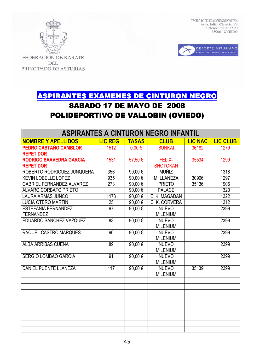



FEDERACION DE KARATE **DEL** PRINCIPADO DE ASTURIAS

# <u>SPIRANTES EXAMENES DE CINTURON NEGRO</u> **SABADO 17 DE MAYO DE 2008** POLIDEPORTIVO DE VALLOBIN (OVIEDO)

| <b>ASPIRANTES A CINTURON NEGRO INFANTIL</b> |                 |              |                 |                |                 |
|---------------------------------------------|-----------------|--------------|-----------------|----------------|-----------------|
| <b>NOMBRE Y APELLIDOS</b>                   | <b>LIC REG</b>  | <b>TASAS</b> | <b>CLUB</b>     | <b>LIC NAC</b> | <b>LIC CLUB</b> |
| PEDRO CASTAÑO CAMBLOR                       | 1512            | $0,00 \in$   | <b>BUNKAI</b>   | 36182          | 1279            |
| <b>REPETIDOR</b>                            |                 |              |                 |                |                 |
| <b>RODRIGO SAAVEDRA GARCIA</b>              | 1531            | 57,50€       | <b>FELIX-</b>   | 35534          | 1299            |
| <b>REPETIDOR</b>                            |                 |              | <b>SHOTOKAN</b> |                |                 |
| ROBERTO RODRIGUEZ JUNQUERA                  | 356             | 90,00€       | <b>MUÑIZ</b>    |                | 1318            |
| <b>KEVIN LOBELLE LOPEZ</b>                  | 935             | 90,00€       | M. LLANEZA      | 30966          | 1297            |
| <b>GABRIEL FERNANDEZ ALVAREZ</b>            | 273             | 90,00€       | <b>PRIETO</b>   | 35136          | 1906            |
| <b>ALVARO CORBATO PRIETO</b>                |                 | 90,00€       | <b>PALACE</b>   |                | 1320            |
| <b>LAURA ARMAS JUNCO</b>                    | 1173            | 90,00€       | E. K. MAGADAN   |                | 1322            |
| <b>LUCIA OTERO MARTIN</b>                   | 25              | 90,00€       | C. K. CORVERA   |                | 1312            |
| <b>ESTEFANIA FERNANDEZ</b>                  | $\overline{97}$ | 90,00€       | <b>NUEVO</b>    |                | 2399            |
| <b>FERNANDEZ</b>                            |                 |              | <b>MILENIUM</b> |                |                 |
| EDUARDO SANCHEZ VAZQUEZ                     | 83              | 90,00€       | <b>NUEVO</b>    |                | 2399            |
|                                             |                 |              | <b>MILENIUM</b> |                |                 |
| RAQUEL CASTRO MARQUES                       | 96              | 90,00€       | <b>NUEVO</b>    |                | 2399            |
|                                             |                 |              | <b>MILENIUM</b> |                |                 |
| <b>ALBA ARRIBAS CUENA</b>                   | 89              | 90,00€       | <b>NUEVO</b>    |                | 2399            |
|                                             |                 |              | <b>MILENIUM</b> |                |                 |
| <b>SERGIO LOMBAO GARCIA</b>                 | 91              | 90,00€       | <b>NUEVO</b>    |                | 2399            |
|                                             |                 |              | <b>MILENIUM</b> |                |                 |
| <b>DANIEL PUENTE LLANEZA</b>                | 117             | 90,00€       | <b>NUEVO</b>    | 35139          | 2399            |
|                                             |                 |              | <b>MILENIUM</b> |                |                 |
|                                             |                 |              |                 |                |                 |
|                                             |                 |              |                 |                |                 |
|                                             |                 |              |                 |                |                 |
|                                             |                 |              |                 |                |                 |
|                                             |                 |              |                 |                |                 |
|                                             |                 |              |                 |                |                 |
|                                             |                 |              |                 |                |                 |
|                                             |                 |              |                 |                |                 |
|                                             |                 |              |                 |                |                 |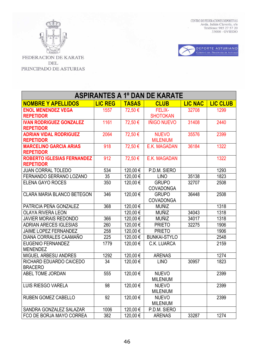



| <b>ASPIRANTES A 1º DAN DE KARATE</b> |                  |              |                                  |                |                 |
|--------------------------------------|------------------|--------------|----------------------------------|----------------|-----------------|
| <b>NOMBRE Y APELLIDOS</b>            | <b>LIC REG</b>   | <b>TASAS</b> | <b>CLUB</b>                      | <b>LIC NAC</b> | <b>LIC CLUB</b> |
| <b>ENOL MENENDEZ VEGA</b>            | 1557             | 72,50€       | <b>FELIX-</b>                    | 32708          | 1299            |
| <b>REPETIDOR</b>                     |                  |              | <b>SHOTOKAN</b>                  |                |                 |
| <b>IVAN RODRIGUEZ GONZALEZ</b>       | 1161             | 72,50€       | <b>IÑIGO NUEVO</b>               | 31408          | 2440            |
| <b>REPETIDOR</b>                     |                  |              |                                  |                |                 |
| <b>ADRIAN VIDAL RODRIGUEZ</b>        | 2064             | 72,50€       | <b>NUEVO</b>                     | 35576          | 2399            |
| <b>REPETIDOR</b>                     |                  |              | <b>MILENIUM</b>                  |                |                 |
| <b>MARCELINO GARCIA ARIAS</b>        | 918              | 72,50€       | E.K. MAGADAN                     | 36184          | 1322            |
| <b>REPETIDOR</b>                     |                  |              |                                  |                |                 |
| <b>ROBERTO IGLESIAS FERNANDEZ</b>    | 912              | 72,50€       | E.K. MAGADAN                     |                | 1322            |
| <b>REPETIDOR</b>                     |                  |              |                                  |                |                 |
| <b>JUAN CORRAL TOLEDO</b>            | 534              | 120,00€      | P.D.M. SIERO                     |                | 1293            |
| FERNANDO SERRANO LOZANO              | $\overline{35}$  | 120,00€      | <b>LINO</b>                      | 35138          | 1823            |
| <b>ELENA GAYO ROCES</b>              | 350              | 120,00€      | <b>GRUPO</b>                     | 32707          | 2508            |
| <b>CLARA MARIA BLANCO BETEGON</b>    |                  |              | <b>COVADONGA</b>                 |                | 2508            |
|                                      | 346              | 120,00€      | <b>GRUPO</b><br><b>COVADONGA</b> | 36448          |                 |
| PATRICIA PEÑA GONZALEZ               | 368              | 120,00€      | <b>MUÑIZ</b>                     |                | 1318            |
| <b>OLAYA RIVERA LEON</b>             |                  | 120,00€      | <b>MUÑIZ</b>                     | 34043          | 1318            |
| <b>JAVIER MORAIS REDONDO</b>         | 366              | 120,00€      | <b>MUÑIZ</b>                     | 34017          | 1318            |
| <b>ADRIAN ARECES IGLESIAS</b>        | 260              | 120,00€      | <b>PRIETO</b>                    | 32275          | 1906            |
| <b>JAIME LOPEZ FERNANDEZ</b>         | 258              | 120,00€      | <b>PRIETO</b>                    |                | 1906            |
| DIANA CORRALES CAAMAÑO               | 225              | 120,00€      | <b>BUNKAI-STYLO</b>              |                | 2548            |
| <b>EUGENIO FERNANDEZ</b>             | 1779             | 120,00€      | C.K. LUARCA                      |                | 2159            |
| <b>MENENDEZ</b>                      |                  |              |                                  |                |                 |
| <b>MIGUEL ARBESU ANDRES</b>          | 1292             | 120,00€      | <b>ARENAS</b>                    |                | 1274            |
| RICHARD EDUARDO CAICEDO              | 34               | 120,00€      | <b>LINO</b>                      | 30957          | 1823            |
| <b>BRACERO</b>                       |                  |              |                                  |                |                 |
| ABEL TOME JORDAN                     | 555              | 120,00€      | <b>NUEVO</b>                     |                | 2399            |
|                                      |                  |              | <b>MILENIUM</b>                  |                |                 |
| <b>LUIS RIESGO VARELA</b>            | 98               | 120,00€      | <b>NUEVO</b>                     |                | 2399            |
|                                      |                  |              | <b>MILENIUM</b>                  |                |                 |
| RUBEN GOMEZ CABELLO                  | 92               | 120,00€      | <b>NUEVO</b>                     |                | 2399            |
|                                      |                  |              | <b>MILENIUM</b>                  |                |                 |
| SANDRA GONZALEZ SALAZAR              | 1006             | 120,00€      | P.D.M. SIERO                     |                |                 |
| FCO DE BORJA MAYO CORREA             | $\overline{382}$ | 120,00€      | <b>ARENAS</b>                    | 33287          | 1274            |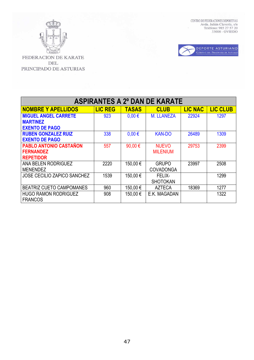



| <b>ASPIRANTES A 2º DAN DE KARATE</b> |                |              |                   |                |                 |
|--------------------------------------|----------------|--------------|-------------------|----------------|-----------------|
| <b>NOMBRE Y APELLIDOS</b>            | <b>LIC REG</b> | <b>TASAS</b> | <b>CLUB</b>       | <b>LIC NAC</b> | <b>LIC CLUB</b> |
| <b>MIGUEL ANGEL CARRETE</b>          | 923            | $0.00 \in$   | <b>M. LLANEZA</b> | 22924          | 1297            |
| <b>MARTINEZ</b>                      |                |              |                   |                |                 |
| <b>EXENTO DE PAGO</b>                |                |              |                   |                |                 |
| <b>RUBEN GONZALEZ RUIZ</b>           | 338            | $0.00 \in$   | <b>KAN-DO</b>     | 26489          | 1309            |
| <b>EXENTO DE PAGO</b>                |                |              |                   |                |                 |
| <b>PABLO ANTONIO CASTAÑON</b>        | 557            | 90,00€       | <b>NUEVO</b>      | 29753          | 2399            |
| <b>FERNANDEZ</b>                     |                |              | <b>MILENIUM</b>   |                |                 |
| <b>REPETIDOR</b>                     |                |              |                   |                |                 |
| <b>ANA BELEN RODRIGUEZ</b>           | 2220           | 150,00€      | <b>GRUPO</b>      | 23997          | 2508            |
| MENENDEZ                             |                |              | <b>COVADONGA</b>  |                |                 |
| <b>JOSE CECILIO ZAPICO SANCHEZ</b>   | 1539           | 150,00€      | <b>FELIX-</b>     |                | 1299            |
|                                      |                |              | <b>SHOTOKAN</b>   |                |                 |
| <b>BEATRIZ CUETO CAMPOMANES</b>      | 960            | 150,00€      | <b>AZTECA</b>     | 18369          | 1277            |
| <b>HUGO RAMON RODRIGUEZ</b>          | 908            | 150,00€      | E.K. MAGADAN      |                | 1322            |
| <b>FRANCOS</b>                       |                |              |                   |                |                 |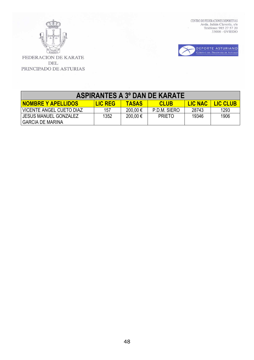



| <b>ASPIRANTES A 3º DAN DE KARATE</b>               |                |              |               |                |                 |  |
|----------------------------------------------------|----------------|--------------|---------------|----------------|-----------------|--|
| <b>NOMBRE Y APELLIDOS</b>                          | <b>LIC REG</b> | <b>TASAS</b> | <b>CLUB</b>   | <b>LIC NAC</b> | <b>LIC CLUB</b> |  |
| VICENTE ANGEL CUETO DIAZ                           | 157            | $200,00 \in$ | P.D.M. SIERO  | 28743          | 1293            |  |
| I JESUS MANUEL GONZALEZ<br><b>GARCIA DE MARINA</b> | 1352           | 200,00€      | <b>PRIETO</b> | 19346          | 1906            |  |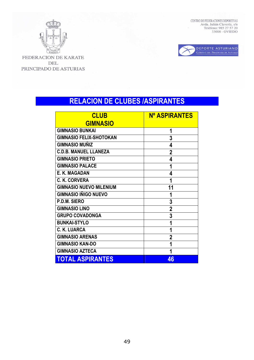

KARA FEDERACION DE KARATE DEL PRINCIPADO DE ASTURIAS CENTRO DE FEDERACIONES DEPORTIVAS Avda. Julián Clavería, s/n<br/> Teléfono: 985 27 57 20 33006 - OVIEDO



# **RELACION DE CLUBES /ASPIRANTES**

| <b>CLUB</b>                    | <b>Nº ASPIRANTES</b> |
|--------------------------------|----------------------|
| <b>GIMNASIO</b>                |                      |
| <b>GIMNASIO BUNKAI</b>         | 1                    |
| <b>GIMNASIO FELIX-SHOTOKAN</b> | 3                    |
| <b>GIMNASIO MUÑIZ</b>          | 4                    |
| <b>C.D.B. MANUEL LLANEZA</b>   | $\mathbf 2$          |
| <b>GIMNASIO PRIETO</b>         | 4                    |
| <b>GIMNASIO PALACE</b>         | 1                    |
| E. K. MAGADAN                  | 4                    |
| C. K. CORVERA                  | 1                    |
| <b>GIMNASIO NUEVO MILENIUM</b> | 11                   |
| <b>GIMNASIO IÑIGO NUEVO</b>    | 1                    |
| P.D.M. SIERO                   | 3                    |
| <b>GIMNASIO LINO</b>           | $\overline{2}$       |
| <b>GRUPO COVADONGA</b>         | 3                    |
| <b>BUNKAI-STYLO</b>            | 1                    |
| <b>C. K. LUARCA</b>            | 1                    |
| <b>GIMNASIO ARENAS</b>         | 2                    |
| <b>GIMNASIO KAN-DO</b>         | 1                    |
| <b>GIMNASIO AZTECA</b>         | 1                    |
| TOTAL ASPIRANTES               | 46                   |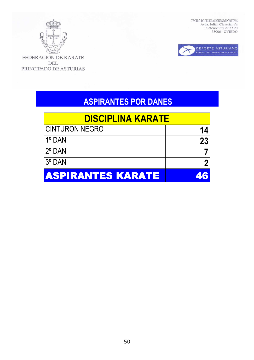

 $\overline{K}$ FEDERACION DE KARATE DEL PRINCIPADO DE ASTURIAS CENTRO DE FEDERACIONES DEPORTIVAS Avda. Julián Clavería, s/n<br/> Teléfono: 985 27 57 20 33006 - OVIEDO



# **ASPIRANTES POR DANES**

| <u>DISCIPLINA KARATE</u> |           |  |  |  |
|--------------------------|-----------|--|--|--|
| CINTURON NEGRO           | 14        |  |  |  |
| $1^\circ$ DAN            | <b>23</b> |  |  |  |
| l2º DAN                  |           |  |  |  |
| 13° DAN                  |           |  |  |  |
| <b>ASPIRANTES KARATE</b> | 46        |  |  |  |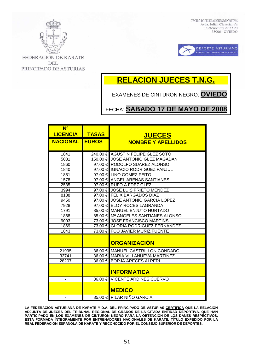



FEDERACION DE KARATE **DEL** PRINCIPADO DE ASTURIAS

# **RELACION JUECES T.N.G.**

EXAMENES DE CINTURON NEGRO: **OVIEDO**

FECHA: **SABADO 17 DE MAYO DE 2008**

| N <sup>o</sup>        |              |                                     |
|-----------------------|--------------|-------------------------------------|
| <b>LICENCIA</b>       | <b>TASAS</b> | <b>JUECES</b>                       |
| <b>NACIONAL EUROS</b> |              | <b>NOMBRE Y APELLIDOS</b>           |
|                       |              |                                     |
| 1841                  |              | 240,00 € AGUSTIN FELIPE GLEZ SOTO   |
| 5031                  |              | 150,00 € JOSE ANTONIO GLEZ MAGADAN  |
| 1860                  |              | 97,00 € RODOLFO SUAREZ ALONSO       |
| 1840                  |              | 97,00 € IGNACIO RODRIGUEZ FANJUL    |
| 1851                  |              | 97.00 € LINO GOMEZ FEITO            |
| 1578                  |              | 97,00 € ANGEL ARENAS SANTIANES      |
| 2535                  |              | 97,00 € RUFO A FDEZ GLEZ            |
| 3994                  |              | 97,00 € JOSE LUIS PRIETO MENDEZ     |
| 8138                  |              | 97,00 € FELIX BARGADOS DIAZ         |
| 9450                  |              | 97,00 € JOSE ANTONIO GARCIA LOPEZ   |
| 7928                  |              | 97,00 € ELOY ROCES LAGRANDA         |
| 1791                  |              | 85,00 € MANUEL ENJUTO HURTADO       |
| 1868                  |              | 85,00 € Mª ANGELES SANTIANES ALONSO |
| 9003                  |              | 73,00 € JOSE FRANCISCO MARTINS      |
| 1869                  |              | 73,00 € GLORIA RODRIGUEZ FERNANDEZ  |
| 1843                  |              | 73,00 € FCO JAVIER MUÑIZ FUENTE     |
|                       |              | <b>ORGANIZACIÓN</b>                 |
| 21995                 |              | 36,00 € MANUEL CASTRILLON CONDADO   |
| 33741                 |              | 36,00 € MARIA VILLANUEVA MARTINEZ   |
| 28207                 |              | 36,00 € BORJA ARECES ALPERI         |
|                       |              | <b>INFORMATICA</b>                  |
|                       |              | 36,00 € VICENTE ARDINES CUERVO      |
|                       |              | <b>MEDICO</b>                       |
|                       |              | 85,00 € PILAR NIÑO GARCIA           |

**LA FEDERACION ASTURIANA DE KARATE Y D.A. DEL PRINCIPADO DE ASTURIAS CERTIFICA QUE LA RELACIÓN ADJUNTA DE JUECES DEL TRIBUNAL REGIONAL DE GRADOS DE LA CITADA ENTIDAD DEPORTIVA, QUE HAN PARTICIPADO EN LOS EXÁMENES DE CINTURÓN NEGRO PARA LA OBTENCIÓN DE LOS DANES RESPECTIVOS, ESTÁ FORMADA ÍNTEGRAMENTE POR ENTRENADORES NACIONALES DE KÁRATE, TÍTULO EXPEDIDO POR LA REAL FEDERACIÓN ESPAÑOLA DE KÁRATE Y RECONOCIDO POR EL CONSEJO SUPERIOR DE DEPORTES.**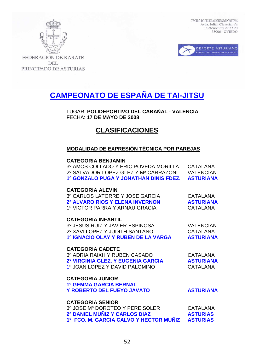



**FEDERACION DE KARATE** DEL PRINCIPADO DE ASTURIAS

# **CAMPEONATO DE ESPAÑA DE TAI-JITSU**

LUGAR: **POLIDEPORTIVO DEL CABAÑAL - VALENCIA** FECHA: **17 DE MAYO DE 2008** 

## **CLASIFICACIONES**

### **MODALIDAD DE EXPRESIÓN TÉCNICA POR PAREJAS**

### **CATEGORIA BENJAMIN**

3º AMOS COLLADO Y ERIC POVEDA MORILLA CATALANA 2º SALVADOR LOPEZ GLEZ Y Mª CARRAZONI VALENCIAN **1º GONZALO PUGA Y JONATHAN DINIS FDEZ. ASTURIANA** 

### **CATEGORIA ALEVIN**

3º CARLOS LATORRE Y JOSE GARCIA CATALANA **2º ALVARO RIOS Y ELENA INVERNON ASTURIANA**  1º VICTOR PARRA Y ARNAU GRACIA CATALANA

### **CATEGORIA INFANTIL**

 3º JESUS RUIZ Y JAVIER ESPINOSA VALENCIAN 2º XAVI LOPEZ Y JUDITH SANTANO CATALANA **1º IGNACIO OLAY Y RUBEN DE LA VARGA ASTURIANA** 

### **CATEGORIA CADETE**

**CATEGORIA JUNIOR** 

3º ADRIA RAIXH Y RUBEN CASADO CATALANA  **2º VIRGINIA GLEZ. Y EUGENIA GARCIA ASTURIANA** 1º JOAN LOPEZ Y DAVID PALOMINO CATALANA

**1º GEMMA GARCIA BERNAL Y ROBERTO DEL FUEYO JAVATO LA PORTUGLA ASTURIANA** 

### **CATEGORIA SENIOR** 3º JOSE Mª DOROTEO Y PERE SOLER CATALANA  **2º DANIEL MUÑIZ Y CARLOS DIAZ ASTURIAS 1º FCO. M. GARCIA CALVO Y HECTOR MUÑIZ ASTURIAS**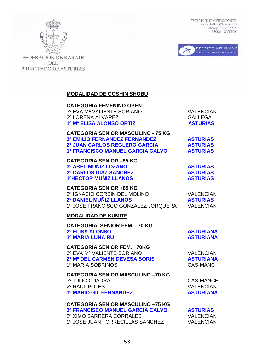



**FEDERACION DE KARATE** DEL PRINCIPADO DE ASTURIAS

### **MODALIDAD DE GOSHIN SHOBU**

 **CATEGORIA FEMENINO OPEN**  3º EVA Mª VALIENTE SORIANO VALENCIAN 2º LORENA ALVAREZ GALLEGA **1º Mª ELISA ALONSO ORTIZ ASTURIAS** 

| <b>CATEGORIA SENIOR MASCULINO - 75 KG</b> |
|-------------------------------------------|
| <b>3º EMILIO FERNANDEZ FERNANDEZ</b>      |
| <b>2º JUAN CARLOS REGLERO GARCIA</b>      |
| <b>1º FRANCISCO MANUEL GARCIA CALVO</b>   |

 **CATEGORIA SENIOR –85 KG 3º ABEL MUÑIZ LOZANO ASTURIAS 2º CARLOS DIAZ SANCHEZ ASTURIAS 1ºHECTOR MUÑIZ LLANOS ASTURIAS** 

 **CATEGORIA SENIOR +85 KG** 3º IGNACIO CORBIN DEL MOLINO VALENCIAN  **2º DANIEL MUÑIZ LLANOS ASTURIAS** 1º JOSE FRANCISCO GONZALEZ JORQUERA VALENCIAN

### **MODALIDAD DE KUMITE**

 **CATEGORIA SENIOR FEM. –70 KG 2º ELISA ALONSO ASTURIANA 1º MARIA LUNA RU ASTURIANA** 

 **CATEGORIA SENIOR FEM. +70KG** 3º EVA Mª VALIENTE SORIANO VALENCIAN **2º Mª DEL CARMEN DEVESA BORIS ASTURIANA** 1º MARIA SOBRINOS CAS-MANC

 **CATEGORIA SENIOR MASCULINO –70 KG** 3º JULIO CUADRA CAS-MANCH 2º RAUL POLES VALENCIAN **1º MARIO GIL FERNANDEZ ASTURIANA** 

### **CATEGORIA SENIOR MASCULINO –75 KG**

 **3º FRANCISCO MANUEL GARCIA CALVO ASTURIAS** 2º XIMO BARRERA CORRALES VALENCIAN 1º JOSE JUAN TORRECILLAS SANCHEZ VALENCIAN

**ASTURIAS ASTURIAS ASTURIAS**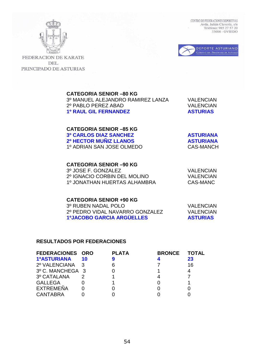



**FEDERACION DE KARATE DEL** PRINCIPADO DE ASTURIAS

### **CATEGORIA SENIOR –80 KG**

3º MANUEL ALEJANDRO RAMIREZ LANZA VALENCIAN 2º PABLO PEREZ ABAD VALENCIAN **1º RAUL GIL FERNANDEZ ASTURIAS** 

### **CATEGORIA SENIOR –85 KG 3º CARLOS DIAZ SANCHEZ ASTURIANA 2º HECTOR MUÑIZ LLANOS ASTURIANA** 1º ADRIAN SAN JOSE OLMEDO CAS-MANCH

### **CATEGORIA SENIOR –90 KG**

3º JOSE F. GONZALEZ VALENCIAN 2º IGNACIO CORBIN DEL MOLINO VALENCIAN 1º JONATHAN HUERTAS ALHAMBRA CAS-MANC

 **CATEGORIA SENIOR +90 KG** 3º RUBEN NADAL POLO VALENCIAN 2º PEDRO VIDAL NAVARRO GONZALEZ VALENCIAN **1ºJACOBO GARCIA ARGÜELLES ASTURIAS** 

### **RESULTADOS POR FEDERACIONES**

| FEDERACIONES ORO   |       | <b>PLATA</b> | <b>BRONCE</b> | <b>TOTAL</b> |
|--------------------|-------|--------------|---------------|--------------|
| <b>1ºASTURIANA</b> | $-10$ |              |               | 23           |
| 2º VALENCIANA 3    |       |              |               | 16           |
| 3º C. MANCHEGA 3   |       |              |               |              |
| 3º CATALANA        |       |              |               |              |
| <b>GALLEGA</b>     |       |              |               |              |
| <b>EXTREMEÑA</b>   |       |              |               |              |
| <b>CANTABRA</b>    |       |              |               |              |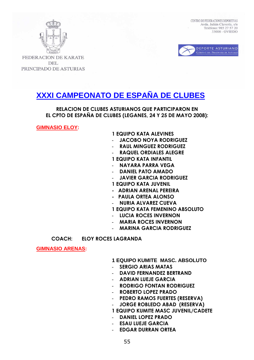



**FEDERACION DE KARATE DEL** PRINCIPADO DE ASTURIAS

# **XXXI CAMPEONATO DE ESPAÑA DE CLUBES**

**RELACION DE CLUBES ASTURIANOS QUE PARTICIPARON EN EL CPTO DE ESPAÑA DE CLUBES (LEGANES, 24 Y 25 DE MAYO 2008):** 

**GIMNASIO ELOY:** 

### **1 EQUIPO KATA ALEVINES**

- **JACOBO NOYA RODRIGUEZ**
- **RAUL MINGUEZ RODRIGUEZ**
- **RAQUEL ORDIALES ALEGRE**
- **1 EQUIPO KATA INFANTIL**
- **NAYARA PARRA VEGA**
- **DANIEL PATO AMADO**
- **JAVIER GARCIA RODRIGUEZ**
- **1 EQUIPO KATA JUVENIL**
- **ADRIAN ARENAL PEREIRA**
- **PAULA ORTEA ALONSO**
- **NURIA ALVAREZ CUEVA**
- **1 EQUIPO KATA FEMENINO ABSOLUTO**
- **LUCIA ROCES INVERNON**
- **MARIA ROCES INVERNON**
- **MARINA GARCIA RODRIGUEZ**

**COACH: ELOY ROCES LAGRANDA** 

**GIMNASIO ARENAS:** 

- **1 EQUIPO KUMITE MASC. ABSOLUTO**
- **SERGIO ARIAS MATAS**
- **DAVID FERNANDEZ BERTRAND**
- **ADRIAN LUEJE GARCIA**
- **RODRIGO FONTAN RODRIGUEZ**
- **ROBERTO LOPEZ PRADO**
- **PEDRO RAMOS FUERTES (RESERVA)**
- **JORGE ROBLEDO ABAD (RESERVA)**
- **1 EQUIPO KUMITE MASC JUVENIL/CADETE**
- **DANIEL LOPEZ PRADO**
- **ESAU LUEJE GARCIA**
- **EDGAR DURRAN ORTEA**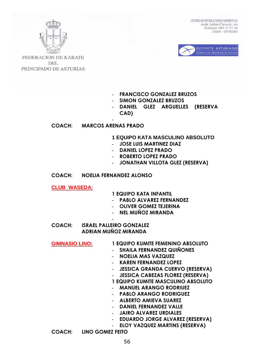



FEDERACION DE KARATE **DEL** PRINCIPADO DE ASTURIAS

### - **FRANCISCO GONZALEZ BRUZOS**

- **SIMON GONZALEZ BRUZOS**
- **DANIEL GLEZ ARGUELLES (RESERVA CAD)**

### **COACH: MARCOS ARENAS PRADO**

-

- **1 EQUIPO KATA MASCULINO ABSOLUTO**
- **JOSE LUIS MARTINEZ DIAZ**
- **DANIEL LOPEZ PRADO**
- **ROBERTO LOPEZ PRADO**
- **JONATHAN VILLOTA GLEZ (RESERVA)**

### **COACH: NOELIA FERNANDEZ ALONSO**

**CLUB WASEDA:**

### **1 EQUIPO KATA INFANTIL**

- **PABLO ALVAREZ FERNANDEZ**
- **OLIVER GOMEZ TEJERINA**
- **NEL MUÑOZ MIRANDA**
- **COACH: ISRAEL PALLEIRO GONZALEZ ADRIAN MUÑOZ MIRANDA**

-

| <b>GIMNASIO LINO:</b> | 1 EQUIPO KUMITE FEMENINO ABSOLUTO       |
|-----------------------|-----------------------------------------|
|                       |                                         |
|                       | <b>SHAILA FERNANDEZ QUINONES</b>        |
|                       | <b>NOELIA MAS VAZQUEZ</b>               |
|                       | <b>KAREN FERNANDEZ LOPEZ</b>            |
|                       | <b>JESSICA GRANDA CUERVO (RESERVA)</b>  |
|                       | <b>JESSICA CABEZAS FLOREZ (RESERVA)</b> |
|                       | 1 EQUIPO KUMITE MASCULINO ABSOLUTO      |
|                       | <b>MANUEL ARANGO RODRIUEZ</b>           |
|                       | - PABLO ARANGO RODRIGUEZ                |
|                       | - ALBERTO AMIEVA SUAREZ                 |
|                       | - DANIEL FERNANDEZ VALLE                |
|                       | <b>JAIRO ALVAREZ URDIALES</b>           |
|                       | <b>EDUARDO JORGE ALVAREZ (RESERVA)</b>  |
|                       | <b>ELOY VAZQUEZ MARTINS (RESERVA)</b>   |
| <b>COACH:</b>         | LINO GOMEZ FEITO                        |
|                       |                                         |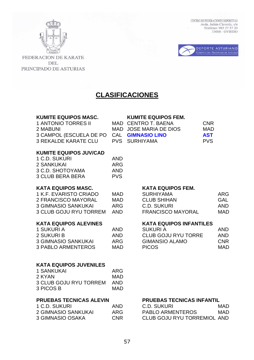



FEDERACION DE KARATE DEL PRINCIPADO DE ASTURIAS

## **CLASIFICACIONES**

### **KUMITE EQUIPOS MASC. KUMITE EQUIPOS FEM.**

| 1 ANTONIO TORRES II                       | MAD CENTRO T. BAENA    | CNR.       |
|-------------------------------------------|------------------------|------------|
| 2 MABUNI                                  | MAD JOSE MARIA DE DIOS | MAD        |
| 3 CAMPOL (ESCUELA DE PO CAL GIMNASIO LINO |                        | <b>AST</b> |
| 3 REKALDE KARATE CLU                      | PVS SURHIYAMA          | <b>PVS</b> |

### **KUMITE EQUIPOS JUV/CAD**

| 1 C.D. SUKURI    | AND        |
|------------------|------------|
| 2 SANKUKAI       | ARG        |
| 3 C.D. SHOTOYAMA | AND        |
| 3 CLUB BERA BERA | <b>PVS</b> |

### KATA EQUIPOS MASC. KATA EQUIPOS FEM.

| 1 K.F. EVARISTO CRIADO     | MAD |
|----------------------------|-----|
| 2 FRANCISCO MAYORAL        | MAD |
| <b>3 GIMNASIO SANKUKAI</b> | ARG |
| 3 CLUB GOJU RYU TORREM     | AND |

| AND |
|-----|
| AND |
| ARG |
| MAD |
|     |

### **KATA EQUIPOS JUVENILES**

| <b>1 SANKUKAI</b>             | ARG |
|-------------------------------|-----|
| 2 KYAN                        | MAD |
| <b>3 CLUB GOJU RYU TORREM</b> | AND |
| 3 PICOS B                     | MAD |

| 1 C.D. SUKURI       | <b>AND</b> |
|---------------------|------------|
| 2 GIMNASIO SANKUKAI | ARG        |
| 3 GIMNASIO OSAKA    | <b>CNR</b> |

| 1 K.F. EVARISTO CRIADO | MAD  | <b>SURHIYAMA</b>         | ARG        |
|------------------------|------|--------------------------|------------|
| 2 FRANCISCO MAYORAL    | MAD  | <b>CLUB SHIHAN</b>       | GAL        |
| 3 GIMNASIO SANKUKAI    | ARG  | C.D. SUKURI              | <b>AND</b> |
| 3 CLUB GOJU RYU TORREM | AND. | <b>FRANCISCO MAYORAL</b> | MAD.       |

### KATA EQUIPOS ALEVINES KATA EQUIPOS INFANTILES

| 1 SUKURI A          | AND. | SUKURI A                   | <b>AND</b> |
|---------------------|------|----------------------------|------------|
| 2 SUKURI B          | AND. | <b>CLUB GOJU RYU TORRE</b> | AND        |
| 3 GIMNASIO SANKUKAI | ARG  | GIMANSIO ALAMO             | <b>CNR</b> |
| 3 PABLO ARMENTEROS  | MAD. | <b>PICOS</b>               | MAD.       |

### **PRUEBAS TECNICAS ALEVIN PRUEBAS TECNICAS INFANTIL**

| 1 C.D. SUKURI       | AND | C.D. SUKURI                 | MAD. |
|---------------------|-----|-----------------------------|------|
| 2 GIMNASIO SANKUKAI | ARG | <b>PABLO ARMENTEROS</b>     | MAD  |
| 3 GIMNASIO OSAKA    | CNR | CLUB GOJU RYU TORREMIOL AND |      |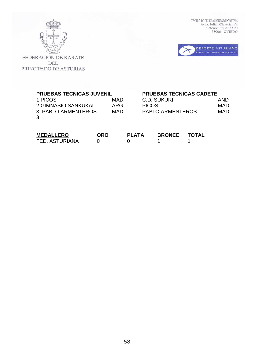



| <b>PRUEBAS TECNICAS JUVENIL</b> |            |            |              |                         | <b>PRUEBAS TECNICAS CADETE</b> |            |
|---------------------------------|------------|------------|--------------|-------------------------|--------------------------------|------------|
| 1 PICOS                         |            | MAD        |              | C.D. SUKURI             |                                | AND        |
| 2 GIMNASIO SANKUKAI             |            | <b>ARG</b> | <b>PICOS</b> |                         |                                | <b>MAD</b> |
| 3 PABLO ARMENTEROS              |            | MAD        |              | <b>PABLO ARMENTEROS</b> |                                | <b>MAD</b> |
| MEDALIEDO                       | <b>ODO</b> |            | ג וח         | <b>DDANAE</b>           | ᆂᄌᆍᅀᆝ                          |            |

| <b>MEDALLERO</b> | ORO | <b>PLATA</b> | <b>BRONCE</b> | TOTAL |
|------------------|-----|--------------|---------------|-------|
| FED. ASTURIANA   |     |              |               |       |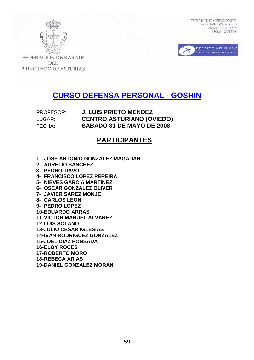



**FEDERACION DE KARATE DEL** PRINCIPADO DE ASTURIAS

# **CURSO DEFENSA PERSONAL - GOSHIN**

## PROFESOR: **J. LUIS PRIETO MENDEZ** LUGAR: **CENTRO ASTURIANO (OVIEDO)** FECHA: **SABADO 31 DE MAYO DE 2008**

## **PARTICIPANTES**

- **1- JOSE ANTONIO GONZALEZ MAGADAN**
- **2- AURELIO SANCHEZ**
- **3- PEDRO TIAVO**
- **4- FRANCISCO LOPEZ PEREIRA**
- **5- NIEVES GARCIA MARTINEZ**
- **6- OSCAR GONZALEZ OLIVER**
- **7- JAVIER SAREZ MONJE**
- **8- CARLOS LEON**
- **9- PEDRO LOPEZ**
- **10- EDUARDO ARRAS**
- **11- VICTOR MANUEL ALVAREZ**
- **12- LUIS SOLANO**
- **13- JULIO CESAR IGLESIAS**
- **14- IVAN RODRIGUEZ GONZALEZ**
- **15- JOEL DIAZ PONSADA**
- **16- ELOY ROCES**
- **17- ROBERTO MORO**
- **18- REBECA ARIAS**
- **19- DANIEL GONZALEZ MORAN**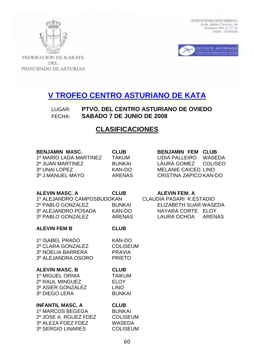



**FEDERACION DE KARATE DEL** PRINCIPADO DE ASTURIAS

# **V TROFEO CENTRO ASTURIANO DE KATA**

LUGAR: **PTVO. DEL CENTRO ASTURIANO DE OVIEDO** FECHA: **SABADO 7 DE JUNIO DE 2008**

## **CLASIFICACIONES**

| <b>BENJAMIN MASC.</b> |  |
|-----------------------|--|
|                       |  |

1º MARIO LADA MARTINEZ TAKUM LIDIA PALLEIRO WASEDA 2º JUAN MARTINEZ BUNKAI LAURA GOMEZ COLISEO 3º UNAI LOPEZ KAN-DO MELANIE CAICED LINO 3º J.MANUEL MAYO ARENAS CRISTINA ZAPICO KAN-DO

## **CLUB BENJAMIN FEM CLUB**

### **ALEVIN MASC. A CLUB ALEVIN FEM. A**

1º ALEJANDRO CAMPOS BUDOKAN CLAUDIA PASARI K.ESTADIO 2º PABLO GONZALEZ BUNKAI ELIZABETH SUAR WASEDA 3º ALEJANDRO POSADA KAN-DO NAYARA CORTE ELOY 3º PABLO GONZALEZ ARENAS LAURA OCHOA ARENAS

### **ALEVIN FEM B CLUB**

1º ISABEL PRADO KAN-DO 2º CLARA GONZALEZ COLISEUM 3º NOELIA BARRERA PRAVIA 3º ALEJANDRA OSORO PRIETO

### **ALEVIN MASC. B CLUB**

1º MIGUEL ORNIA TAIKUM 2º RAUL MINGUEZ ELOY 3º ASIER GONZALEZ LINO 3º DIEGO LERA BUNKAI

### **INFANTIL MASC. A CLUB**

1º MARCOS BEGEGA BUNKAI 2º JOSE A. RGUEZ FDEZ COLISEUM 3º ALEZA FDEZ FDEZ WASEDA 3º SERGIO LINARES COLISEUM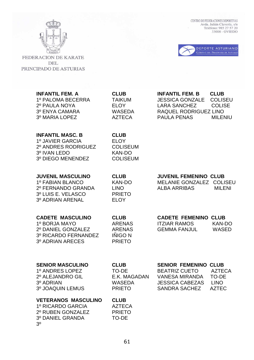

FEDERACION DE KARATE DEL PRINCIPADO DE ASTURIAS  $\begin{tabular}{ll} \multicolumn{2}{l}{\textbf{CENTRO DE FEDERACIONES DEPORTIVAS}}\\ \multicolumn{2}{l}{Avda. Julián Clavería, s/n}\\ \multicolumn{2}{l}{\textbf{Avda. Julián Clavería, s/n}}\\ \multicolumn{2}{l}{\textbf{Teléfono: 985 27 57 20}}\\ \multicolumn{2}{l}{\textbf{33006 - OVIEDO}} \end{tabular}$ 



| <b>INFANTIL FEM. A</b><br>1º PALOMA BECERRA<br>2º PAULA NOYA<br>3º ENYA CAMARA<br>3º MARIA LOPEZ                    | <b>CLUB</b><br><b>TAIKUM</b><br><b>ELOY</b><br><b>WASEDA</b><br><b>AZTECA</b>     | <b>INFANTIL FEM. B</b><br><b>CLUB</b><br><b>JESSICA GONZALE</b><br><b>COLISEU</b><br><b>LARA SANCHEZ</b><br><b>COLISE</b><br>RAQUEL RODRIGUEZ LINO<br><b>PAULA PENAS</b><br><b>MILENIU</b> |
|---------------------------------------------------------------------------------------------------------------------|-----------------------------------------------------------------------------------|--------------------------------------------------------------------------------------------------------------------------------------------------------------------------------------------|
| <b>INFANTIL MASC. B</b><br>1º JAVIER GARCIA<br>2º ANDRES RODRIGUEZ<br>3º IVAN LEDO<br>3º DIEGO MENENDEZ             | <b>CLUB</b><br><b>ELOY</b><br><b>COLISEUM</b><br><b>KAN-DO</b><br><b>COLISEUM</b> |                                                                                                                                                                                            |
| <b>JUVENIL MASCULINO</b><br>1º FABIAN BLANCO<br>2º FERNANDO GRANDA<br>3º LUIS E. VELASCO<br><b>3º ADRIAN ARENAL</b> | <b>CLUB</b><br><b>KAN-DO</b><br><b>LINO</b><br><b>PRIETO</b><br><b>ELOY</b>       | <b>JUVENIL FEMENINO CLUB</b><br>MELANIE GONZALEZ COLISEU<br><b>ALBA ARRIBAS</b><br><b>MILENI</b>                                                                                           |
| <b>CADETE MASCULINO</b><br>1º BORJA MAYO<br>2º DANIEL GONZALEZ<br>3º RICARDO FERNANDEZ<br>3º ADRIAN ARECES          | <b>CLUB</b><br><b>ARENAS</b><br><b>ARENAS</b><br><b>IÑIGO N</b><br><b>PRIETO</b>  | <b>CADETE FEMENINO CLUB</b><br><b>ITZIAR RAMOS</b><br><b>KAN-DO</b><br><b>GEMMA FANJUL</b><br><b>WASED</b>                                                                                 |
| <b>SENIOR MASCULINO</b><br>1º ANDRES LOPEZ<br>2º ALEJANDRO GIL<br>3º ADRIAN<br>3º JOAQUIN LEMUS                     | <b>CLUB</b><br><b>TO-DE</b><br>E.K. MAGADAN<br><b>WASEDA</b><br><b>PRIETO</b>     | <b>SENIOR FEMENINO</b><br><b>CLUB</b><br><b>BEATRIZ CUETO</b><br><b>AZTECA</b><br><b>VANESA MIRANDA</b><br>TO-DE<br><b>LINO</b><br><b>JESSICA CABEZAS</b><br><b>AZTEC</b><br>SANDRA SACHEZ |
| <b>VETERANOS MASCULINO</b><br>1º RICARDO GARCIA<br>2º RUBEN GONZALEZ<br>3º DANIEL GRANDA<br>3 <sup>o</sup>          | <b>CLUB</b><br><b>AZTECA</b><br><b>PRIETO</b><br>TO-DE                            |                                                                                                                                                                                            |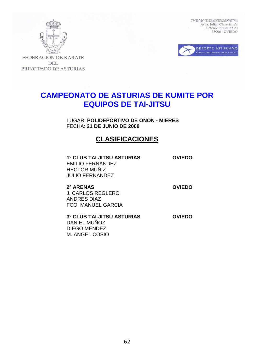



**FEDERACION DE KARATE DEL** PRINCIPADO DE ASTURIAS

## **CAMPEONATO DE ASTURIAS DE KUMITE POR EQUIPOS DE TAI-JITSU**

LUGAR: **POLIDEPORTIVO DE OÑON - MIERES** FECHA: **21 DE JUNIO DE 2008** 

## **CLASIFICACIONES**

 **1º CLUB TAI-JITSU ASTURIAS OVIEDO**  EMILIO FERNANDEZ HECTOR MUÑIZ JULIO FERNANDEZ

**2º ARENAS OVIEDO**  J. CARLOS REGLERO ANDRES DIAZ FCO. MANUEL GARCIA

M. ANGEL COSIO

**3º CLUB TAI-JITSU ASTURIAS OVIEDO**  DANIEL MUÑOZ DIEGO MENDEZ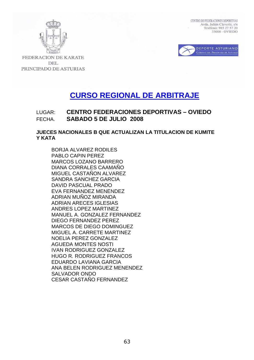



**FEDERACION DE KARATE DEL** PRINCIPADO DE ASTURIAS

# **CURSO REGIONAL DE ARBITRAJE**

## LUGAR: **CENTRO FEDERACIONES DEPORTIVAS – OVIEDO** FECHA. **SABADO 5 DE JULIO 2008**

### **JUECES NACIONALES B QUE ACTUALIZAN LA TITULACION DE KUMITE Y KATA**

BORJA ALVAREZ RODILES PABLO CAPIN PEREZ MARCOS LOZANO BARRERO DIANA CORRALES CAAMAÑO MIGUEL CASTAÑON ALVAREZ SANDRA SANCHEZ GARCIA DAVID PASCUAL PRADO EVA FERNANDEZ MENENDEZ ADRIAN MUÑOZ MIRANDA ADRIAN ARECES IGLESIAS ANDRES LOPEZ MARTINEZ MANUEL A. GONZALEZ FERNANDEZ DIEGO FERNANDEZ PEREZ MARCOS DE DIEGO DOMINGUEZ MIGUEL A. CARRETE MARTINEZ NOELIA PEREZ GONZALEZ AGUEDA MONTES NOSTI IVAN RODRIGUEZ GONZALEZ HUGO R. RODRIGUEZ FRANCOS EDUARDO LAVIANA GARCIA ANA BELEN RODRIGUEZ MENENDEZ SALVADOR ONDO CESAR CASTAÑO FERNANDEZ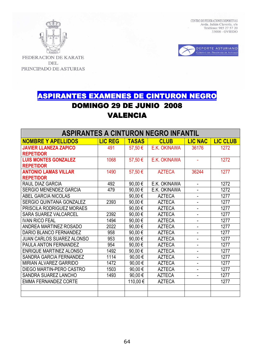



FEDERACION DE KARATE **DEL** PRINCIPADO DE ASTURIAS

# ASPIRANTES EXAMENES DE CINTURON NEGRO **DOMINGO 29 DE JUNIO 2008** VALENCIA

| <b>ASPIRANTES A CINTURON NEGRO INFANTIL</b> |                |                      |               |                          |                 |
|---------------------------------------------|----------------|----------------------|---------------|--------------------------|-----------------|
| <b>NOMBRE Y APELLIDOS</b>                   | <b>LIC REG</b> | <b>TASAS</b>         | <b>CLUB</b>   | <b>LIC NAC</b>           | <b>LIC CLUB</b> |
| <b>JAVIER LLANEZA ZAPICO</b>                | 491            | 57,50 €              | E.K. OKINAWA  | 36176                    | 1272            |
| <b>REPETIDOR</b>                            |                |                      |               |                          |                 |
| <b>LUIS MONTES GONZALEZ</b>                 | 1068           | 57,50€               | E.K. OKINAWA  |                          | 1272            |
| <b>REPETIDOR</b>                            |                |                      |               |                          |                 |
| <b>ANTONIO LAMAS VILLAR</b>                 | 1490           | 57,50€               | <b>AZTECA</b> | 36244                    | 1277            |
| <b>REPETIDOR</b>                            |                |                      |               |                          |                 |
| RAUL DIAZ GARCIA                            | 492            | 90,00€               | E.K. OKINAWA  | $\blacksquare$           | 1272            |
| <b>SERGIO MENENDEZ GARCIA</b>               | 479            | 90,00€               | E.K. OKINAWA  |                          | 1272            |
| ABEL GARCIA NICOLAS                         |                | 90,00€               | <b>AZTECA</b> | Ξ.                       | 1277            |
| SERGIO QUINTANA GONZALEZ                    | 2393           | 90,00€               | <b>AZTECA</b> | ۰                        | 1277            |
| PRISCILA RODRIGUEZ MORAES                   |                | $\overline{90,00}$ € | <b>AZTECA</b> | ۰                        | 1277            |
| <b>SARA SUAREZ VALCARCEL</b>                | 2392           | 90,00€               | <b>AZTECA</b> |                          | 1277            |
| <b>IVAN RICO FEAL</b>                       | 1494           | 90,00€               | <b>AZTECA</b> | ۰                        | 1277            |
| <b>ANDREA MARTINEZ ROSADO</b>               | 2022           | 90,00€               | <b>AZTECA</b> | ۰                        | 1277            |
| DARIO BLANCO FERNANDEZ                      | 958            | 90,00€               | <b>AZTECA</b> |                          | 1277            |
| <b>JUAN CARLOS SUAREZ ALONSO</b>            | 953            | 90,00€               | <b>AZTECA</b> |                          | 1277            |
| <b>PAULA ANTON FERNANDEZ</b>                | 954            | 90,00€               | <b>AZTECA</b> | $\overline{\phantom{a}}$ | 1277            |
| <b>ENRIQUE MARTINEZ ALONSO</b>              | 1492           | 90,00€               | <b>AZTECA</b> | $\overline{\phantom{a}}$ | 1277            |
| SANDRA GARCIA FERNANDEZ                     | 1114           | 90,00€               | <b>AZTECA</b> | ÷.                       | 1277            |
| <b>MIRIAN ALVAREZ GARRIDO</b>               | 1472           | 90,00€               | <b>AZTECA</b> |                          | 1277            |
| DIEGO MARTIN-PERO CASTRO                    | 1503           | 90,00€               | <b>AZTECA</b> | ÷.                       | 1277            |
| SANDRA SUAREZ LANCHO                        | 1493           | 90,00€               | <b>AZTECA</b> |                          | 1277            |
| <b>EMMA FERNANDEZ CORTE</b>                 |                | 110,00€              | <b>AZTECA</b> |                          | 1277            |
|                                             |                |                      |               |                          |                 |
|                                             |                |                      |               |                          |                 |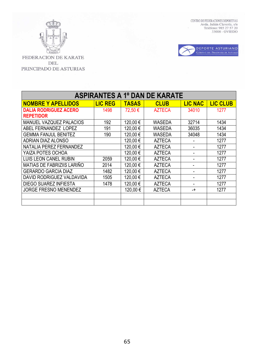



FEDERACION DE KARATE DEL PRINCIPADO DE ASTURIAS

| <b>ASPIRANTES A 1º DAN DE KARATE</b> |                |              |               |                |                 |
|--------------------------------------|----------------|--------------|---------------|----------------|-----------------|
| <b>NOMBRE Y APELLIDOS</b>            | <b>LIC REG</b> | <b>TASAS</b> | <b>CLUB</b>   | <b>LIC NAC</b> | <b>LIC CLUB</b> |
| <b>DALIA RODRIGUEZ ACERO</b>         | 1498           | 72,50€       | <b>AZTECA</b> | 34010          | 1277            |
| <b>REPETIDOR</b>                     |                |              |               |                |                 |
| MANUEL VAZQUEZ PALACIOS              | 192            | 120,00€      | <b>WASEDA</b> | 32714          | 1434            |
| ABEL FERNANDEZ LOPEZ                 | 191            | 120,00€      | <b>WASEDA</b> | 36035          | 1434            |
| <b>GEMMA FANJUL BENITEZ</b>          | 190            | 120,00€      | <b>WASEDA</b> | 34048          | 1434            |
| <b>ADRIAN DIAZ ALONSO</b>            |                | 120,00€      | <b>AZTECA</b> |                | 1277            |
| NATALIA PEREZ FERNANDEZ              |                | 120,00€      | <b>AZTECA</b> |                | 1277            |
| YAIZA POTES OCHOA                    |                | 120,00€      | <b>AZTECA</b> |                | 1277            |
| <b>LUIS LEON CANEL RUBIN</b>         | 2059           | 120,00€      | <b>AZTECA</b> |                | 1277            |
| <b>MATIAS DE FABRIZIIS LARIÑO</b>    | 2014           | 120,00€      | <b>AZTECA</b> |                | 1277            |
| <b>GERARDO GARCIA DIAZ</b>           | 1482           | 120,00€      | <b>AZTECA</b> |                | 1277            |
| DAVID RODRIGUEZ VALDAVIDA            | 1505           | 120,00€      | <b>AZTECA</b> |                | 1277            |
| <b>DIEGO SUAREZ INFIESTA</b>         | 1478           | 120,00€      | <b>AZTECA</b> |                | 1277            |
| <b>JORGE FRESNO MENENDEZ</b>         |                | 120,00€      | <b>AZTECA</b> | -+             | 1277            |
|                                      |                |              |               |                |                 |
|                                      |                |              |               |                |                 |

65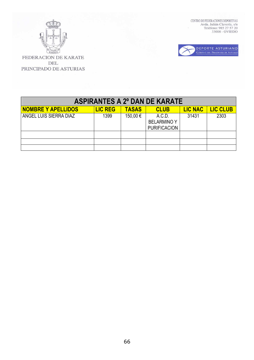



| <b>ASPIRANTES A 2º DAN DE KARATE</b> |                |              |                                                     |                |                 |
|--------------------------------------|----------------|--------------|-----------------------------------------------------|----------------|-----------------|
| <b>NOMBRE Y APELLIDOS</b>            | <b>LIC REG</b> | <b>TASAS</b> | <b>CLUB</b>                                         | <b>LIC NAC</b> | <b>LIC CLUB</b> |
| ANGEL LUIS SIERRA DIAZ               | 1399           | 150,00 €     | A.C.D.<br><b>BELARMINO Y</b><br><b>PURIFICACION</b> | 31431          | 2303            |
|                                      |                |              |                                                     |                |                 |
|                                      |                |              |                                                     |                |                 |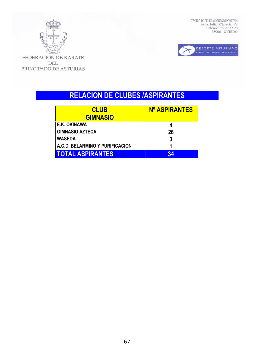



FEDERACION DE KARATE DEL PRINCIPADO DE ASTURIAS

# **RELACION DE CLUBES /ASPIRANTES**

| <b>CLUB</b>                     | <b>Nº ASPIRANTES</b> |
|---------------------------------|----------------------|
| <b>GIMNASIO</b>                 |                      |
| E.K. OKINAWA                    |                      |
| <b>GIMNASIO AZTECA</b>          | 26                   |
| <b>WASEDA</b>                   |                      |
| A.C.D. BELARMINO Y PURIFICACION |                      |
| <b>TOTAL ASPIRANTES</b>         | 34                   |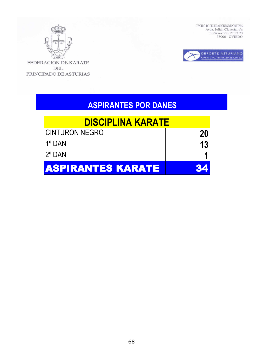



FEDERACION DE KARATE **DEL** PRINCIPADO DE ASTURIAS

# **ASPIRANTES POR DANES**

| <b>DISCIPLINA KARATE</b> |    |
|--------------------------|----|
| <b>CINTURON NEGRO</b>    | 20 |
| l 1º DAN                 |    |
| $2^{\circ}$ DAN          |    |
| <b>ASPIRANTES KARATE</b> |    |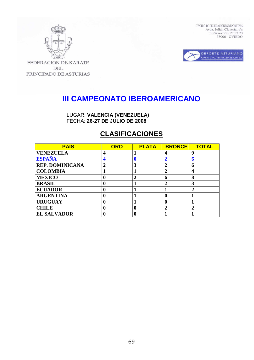



FEDERACION DE KARATE **DEL** PRINCIPADO DE ASTURIAS

# **III CAMPEONATO IBEROAMERICANO**

LUGAR: **VALENCIA (VENEZUELA)**  FECHA: **26-27 DE JULIO DE 2008** 

## **CLASIFICACIONES**

| <b>PAIS</b>            | <b>ORO</b>       | <b>PLATA</b>  | <b>BRONCE</b> | <b>TOTAL</b>   |
|------------------------|------------------|---------------|---------------|----------------|
| <b>VENEZUELA</b>       | $\boldsymbol{4}$ |               | 4             | q              |
| <b>ESPAÑA</b>          | 4                |               |               | n              |
| <b>REP. DOMINICANA</b> | $\overline{2}$   | 3             |               | 6              |
| <b>COLOMBIA</b>        |                  |               | 2             | 4              |
| <b>MEXICO</b>          | 0                | $\mathcal{P}$ | 6             | 8              |
| <b>BRASIL</b>          | 0                |               | 2             | 3              |
| <b>ECUADOR</b>         | 0                |               |               | $\overline{2}$ |
| <b>ARGENTINA</b>       | 0                |               |               |                |
| <b>URUGUAY</b>         | 0                |               |               |                |
| <b>CHILE</b>           | 0                | 0             |               | $\overline{2}$ |
| <b>EL SALVADOR</b>     |                  |               |               |                |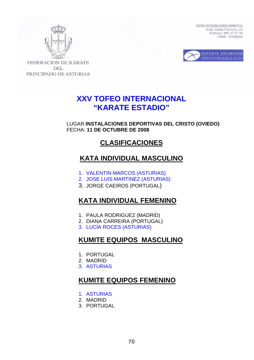



FEDERACION DE KARATE **DEL** PRINCIPADO DE ASTURIAS

# **XXV TOFEO INTERNACIONAL "KARATE ESTADIO"**

LUGAR:**INSTALACIONES DEPORTIVAS DEL CRISTO (OVIEDO)**  FECHA: **11 DE OCTUBRE DE 2008** 

## **CLASIFICACIONES**

## **KATA INDIVIDUAL MASCULINO**

- 1. VALENTIN MARCOS (ASTURIAS)
- 2. JOSE LUIS MARTINEZ (ASTURIAS)
- 3. JORGE CAEIROS (PORTUGAL)

## **KATA INDIVIDUAL FEMENINO**

- 1. PAULA RODRIGUEZ (MADRID)
- 2. DIANA CARREIRA (PORTUGAL)
- 3. LUCÍA ROCES (ASTURIAS)

## **KUMITE EQUIPOS MASCULINO**

- 1. PORTUGAL
- 2. MADRID
- 3. ASTURIAS

## **KUMITE EQUIPOS FEMENINO**

- 1. ASTURIAS
- 2. MADRID
- 3. PORTUGAL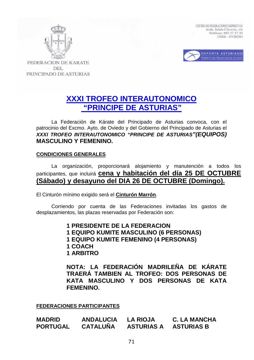



**FEDERACION DE KARATE DEL** PRINCIPADO DE ASTURIAS

# **XXXI TROFEO INTERAUTONOMICO "PRINCIPE DE ASTURIAS"**

La Federación de Kárate del Principado de Asturias convoca, con el patrocinio del Excmo. Ayto. de Oviedo y del Gobierno del Principado de Asturias el **XXXI TROFEO INTERAUTONOMICO "PRINCIPE DE ASTURIAS"(EQUIPOS) MASCULINO Y FEMENINO.** 

### **CONDICIONES GENERALES**

 La organización, proporcionará alojamiento y manutención a todos los participantes, que incluirá **cena y habitación del día 25 DE OCTUBRE (Sábado) y desayuno del DIA 26 DE OCTUBRE (Domingo).**

El Cinturón mínimo exigido será el **Cinturón Marrón**.

 Corriendo por cuenta de las Federaciones invitadas los gastos de desplazamientos, las plazas reservadas por Federación son:

> **1 PRESIDENTE DE LA FEDERACION 1 EQUIPO KUMITE MASCULINO (6 PERSONAS) 1 EQUIPO KUMITE FEMENINO (4 PERSONAS)**

- 
- **1 COACH**
- **1 ARBITRO**

**NOTA: LA FEDERACIÓN MADRILEÑA DE KÁRATE TRAERÁ TAMBIEN AL TROFEO: DOS PERSONAS DE KATA MASCULINO Y DOS PERSONAS DE KATA FEMENINO.** 

**FEDERACIONES PARTICIPANTES**

| <b>MADRID</b>   | <b>ANDALUCIA</b> | <b>LA RIOJA</b>   | <b>C. LA MANCHA</b> |
|-----------------|------------------|-------------------|---------------------|
| <b>PORTUGAL</b> | <b>CATALUÑA</b>  | <b>ASTURIAS A</b> | <b>ASTURIAS B</b>   |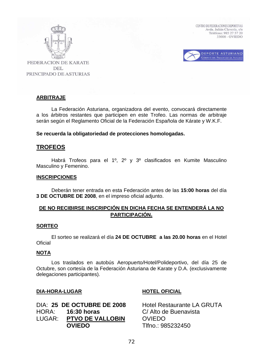



**FEDERACION DE KARATE DEL** PRINCIPADO DE ASTURIAS

## **ARBITRAJE**

 La Federación Asturiana, organizadora del evento, convocará directamente a los árbitros restantes que participen en este Trofeo. Las normas de arbitraje serán según el Reglamento Oficial de la Federación Española de Kárate y W.K.F.

**Se recuerda la obligatoriedad de protecciones homologadas.** 

## **TROFEOS**

 Habrá Trofeos para el 1º, 2º y 3º clasificados en Kumite Masculino Masculino y Femenino.

### **INSCRIPCIONES**

 Deberán tener entrada en esta Federación antes de las **15:00 horas** del día **3 DE OCTUBRE DE 2008**, en el impreso oficial adjunto.

## **DE NO RECIBIRSE INSCRIPCIÓN EN DICHA FECHA SE ENTENDERÁ LA NO PARTICIPACIÓN.**

### **SORTEO**

 El sorteo se realizará el día **24 DE OCTUBRE a las 20.00 horas** en el Hotel **Oficial** 

### **NOTA**

 Los traslados en autobús Aeropuerto/Hotel/Polideportivo, del día 25 de Octubre, son cortesía de la Federación Asturiana de Karate y D.A. (exclusivamente delegaciones participantes).

### **DIA-HORA-LUGAR HOTEL OFICIAL**

|        | DIA: 25 DE OCTUBRE DE 2008 |
|--------|----------------------------|
| HORA:  | <b>16:30 horas</b>         |
| LUGAR: | <b>PTVO DE VALLOBIN</b>    |
|        | <b>OVIEDO</b>              |

**Hotel Restaurante LA GRUTA** C/ Alto de Buenavista **OVIEDO OVIEDO** Tlfno.: 985232450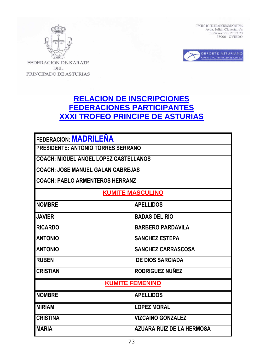



FEDERACION DE KARATE **DEL** PRINCIPADO DE ASTURIAS

# **RELACION DE INSCRIPCIONES FEDERACIONES PARTICIPANTES XXXI TROFEO PRINCIPE DE ASTURIAS**

| <b>FEDERACION: MADRILENA</b><br><b>PRESIDENTE: ANTONIO TORRES SERRANO</b> |                          |  |
|---------------------------------------------------------------------------|--------------------------|--|
| <b>COACH: MIGUEL ANGEL LOPEZ CASTELLANOS</b>                              |                          |  |
| <b>COACH: JOSE MANUEL GALAN CABREJAS</b>                                  |                          |  |
| <b>COACH: PABLO ARMENTEROS HERRANZ</b>                                    |                          |  |
| <b>KUMITE MASCULINO</b>                                                   |                          |  |
| <b>NOMBRE</b>                                                             | <b>APELLIDOS</b>         |  |
| <b>JAVIER</b>                                                             | <b>BADAS DEL RIO</b>     |  |
| <b>RICARDO</b>                                                            | <b>BARBERO PARDAVILA</b> |  |
| <b>ANTONIO</b>                                                            | <b>SANCHEZ ESTEPA</b>    |  |
| <b>ANTONIO</b><br><b>SANCHEZ CARRASCOSA</b>                               |                          |  |
| <b>RUBEN</b>                                                              | <b>DE DIOS SARCIADA</b>  |  |
| <b>CRISTIAN</b>                                                           | RODRIGUEZ NUÑEZ          |  |
| <b>KUMITE FEMENINO</b>                                                    |                          |  |
| <b>NOMBRE</b>                                                             | <b>APELLIDOS</b>         |  |
| <b>MIRIAM</b>                                                             | <b>LOPEZ MORAL</b>       |  |
| <b>CRISTINA</b>                                                           | <b>VIZCAINO GONZALEZ</b> |  |
| <b>AZUARA RUIZ DE LA HERMOSA</b><br><b>IMARIA</b>                         |                          |  |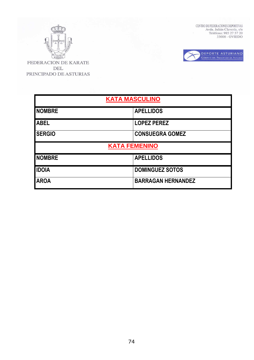

**DEL** PRINCIPADO DE ASTURIAS  $\begin{tabular}{ll} \multicolumn{2}{l}{\textbf{CENTRO DE FEDERACIONES DEPORTIVAS}}\\ \multicolumn{2}{l}{Avda. Julián Clavería, s/n}\\ \multicolumn{2}{l}{\textbf{Avda. Julián Clavería, s/n}}\\ \multicolumn{2}{l}{\textbf{Teléfono: 985 27 57 20}}\\ \multicolumn{2}{l}{\textbf{33006 - OVIEDO}} \end{tabular}$ 



**KATA MASCULINO** NOMBRE **APELLIDOS ABEL LOPEZ PEREZ SERGIO CONSUEGRA GOMEZ KATA FEMENINO** NOMBRE **APELLIDOS IDOIA** DOMINGUEZ SOTOS **AROA** BARRAGAN HERNANDEZ

74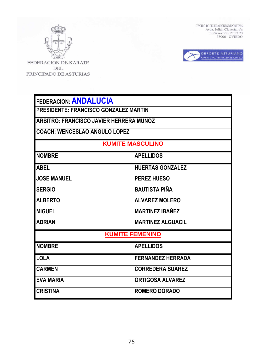

FEDERACION DE KARATE **DEL** PRINCIPADO DE ASTURIAS  $\begin{tabular}{ll} \multicolumn{2}{l}{\textbf{CENTRO DE FEDERACIONES DEPORTIVAS}}\\ \multicolumn{2}{l}{Avda. Julián Clavería, s/n}\\ \multicolumn{2}{l}{\textbf{Avda. Julián Clavería, s/n}}\\ \multicolumn{2}{l}{\textbf{Teléfono: 985 27 57 20}}\\ \multicolumn{2}{l}{\textbf{33006 - OVIEDO}} \end{tabular}$ 



| FEDERACION: ANDALUCIA |
|-----------------------|
|-----------------------|

**PRESIDENTE: FRANCISCO GONZALEZ MARTIN** 

**ARBITRO: FRANCISCO JAVIER HERRERA MUÑOZ** 

**COACH: WENCESLAO ANGULO LOPEZ** 

# **KUMITE MASCULINO**

| <b>NOMBRE</b>          | <b>APELLIDOS</b>         |  |
|------------------------|--------------------------|--|
| <b>ABEL</b>            | <b>HUERTAS GONZALEZ</b>  |  |
| <b>JOSE MANUEL</b>     | <b>PEREZ HUESO</b>       |  |
| <b>SERGIO</b>          | <b>BAUTISTA PIÑA</b>     |  |
| <b>ALBERTO</b>         | <b>ALVAREZ MOLERO</b>    |  |
| <b>MIGUEL</b>          | <b>MARTINEZ IBAÑEZ</b>   |  |
| <b>ADRIAN</b>          | <b>MARTINEZ ALGUACIL</b> |  |
| <b>KUMITE FEMENINO</b> |                          |  |
| <b>NOMBRE</b>          | <b>APELLIDOS</b>         |  |
| <b>LOLA</b>            | <b>FERNANDEZ HERRADA</b> |  |
| <b>CARMEN</b>          | <b>CORREDERA SUAREZ</b>  |  |
| <b>EVA MARIA</b>       | <b>ORTIGOSA ALVAREZ</b>  |  |
| <b>CRISTINA</b>        | <b>ROMERO DORADO</b>     |  |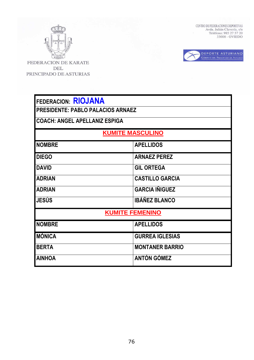

 $\begin{tabular}{ll} \multicolumn{2}{l}{{\bf CENTRO DE FEDERACIONES DEPORTIVAS}}\\ \multicolumn{2}{l}{Avda. Julián Clavería, s/n}\\ \multicolumn{2}{l}{\bf TelÉfono: 985 27 57 20}\\ \multicolumn{2}{l}{\bf 33006 - OVIEDO} \end{tabular}$ 



| <b>FEDERACION: RIOJANA</b>               |                        |  |
|------------------------------------------|------------------------|--|
| <b>PRESIDENTE: PABLO PALACIOS ARNAEZ</b> |                        |  |
| <b>COACH: ANGEL APELLANIZ ESPIGA</b>     |                        |  |
| <b>KUMITE MASCULINO</b>                  |                        |  |
| <b>NOMBRE</b>                            | <b>APELLIDOS</b>       |  |
| <b>DIEGO</b>                             | <b>ARNAEZ PEREZ</b>    |  |
| <b>DAVID</b>                             | <b>GIL ORTEGA</b>      |  |
| <b>ADRIAN</b>                            | <b>CASTILLO GARCIA</b> |  |
| <b>ADRIAN</b>                            | <b>GARCIA IÑIGUEZ</b>  |  |
| <b>JESÚS</b>                             | <b>IBÁÑEZ BLANCO</b>   |  |
| <b>KUMITE FEMENINO</b>                   |                        |  |
| <b>NOMBRE</b>                            | <b>APELLIDOS</b>       |  |
| <b>MÓNICA</b>                            | <b>GURREA IGLESIAS</b> |  |
| <b>BERTA</b>                             | <b>MONTANER BARRIO</b> |  |
| <b>AINHOA</b>                            | <b>ANTÓN GÓMEZ</b>     |  |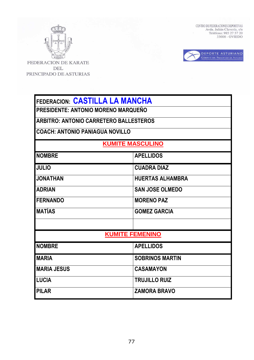

 $\begin{tabular}{ll} \multicolumn{2}{l}{{\bf CENTRO DE FEDERACIONES DEPORTIVAS}}\\ \multicolumn{2}{l}{Avda. Julián Clavería, s/n}\\ \multicolumn{2}{l}{\bf TelÉfono: 985 27 57 20}\\ \multicolumn{2}{l}{\bf 33006 - OVIEDO} \end{tabular}$ 



| <b>FEDERACION: CASTILLA LA MANCHA</b>         |                         |  |  |
|-----------------------------------------------|-------------------------|--|--|
| PRESIDENTE: ANTONIO MORENO MARQUEÑO           |                         |  |  |
| <b>ARBITRO: ANTONIO CARRETERO BALLESTEROS</b> |                         |  |  |
| <b>COACH: ANTONIO PANIAGUA NOVILLO</b>        |                         |  |  |
| <b>KUMITE MASCULINO</b>                       |                         |  |  |
| <b>NOMBRE</b>                                 | <b>APELLIDOS</b>        |  |  |
| <b>JULIO</b>                                  | <b>CUADRA DIAZ</b>      |  |  |
| <b>JONATHAN</b>                               | <b>HUERTAS ALHAMBRA</b> |  |  |
| <b>ADRIAN</b>                                 | <b>SAN JOSE OLMEDO</b>  |  |  |
| <b>FERNANDO</b>                               | <b>MORENO PAZ</b>       |  |  |
| <b>MATÍAS</b>                                 | <b>GOMEZ GARCIA</b>     |  |  |
|                                               |                         |  |  |
|                                               | <b>KUMITE FEMENINO</b>  |  |  |
| <b>NOMBRE</b>                                 | <b>APELLIDOS</b>        |  |  |
| <b>MARIA</b>                                  | <b>SOBRINOS MARTIN</b>  |  |  |
| <b>MARIA JESUS</b>                            | <b>CASAMAYON</b>        |  |  |
| <b>LUCIA</b>                                  | <b>TRUJILLO RUIZ</b>    |  |  |
| <b>PILAR</b><br><b>ZAMORA BRAVO</b>           |                         |  |  |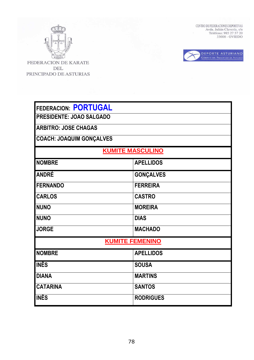

 $\begin{tabular}{ll} \multicolumn{2}{l}{{\bf CENTRO DE FEDERACIONES DEPORTIVAS}}\\ \multicolumn{2}{l}{Avda. Julián Clavería, s/n}\\ \multicolumn{2}{l}{\bf TelÉfono: 985 27 57 20}\\ \multicolumn{2}{l}{\bf 33006 - OVIEDO} \end{tabular}$ 



| <b>FEDERACION: PORTUGAL</b><br><b>PRESIDENTE: JOAO SALGADO</b><br><b>ARBITRO: JOSE CHAGAS</b><br><b>COACH: JOAQUIM GONÇALVES</b> |                        |  |
|----------------------------------------------------------------------------------------------------------------------------------|------------------------|--|
| <b>KUMITE MASCULINO</b>                                                                                                          |                        |  |
| <b>NOMBRE</b>                                                                                                                    | <b>APELLIDOS</b>       |  |
| <b>ANDRÉ</b>                                                                                                                     | <b>GONÇALVES</b>       |  |
| <b>FERNANDO</b>                                                                                                                  | <b>FERREIRA</b>        |  |
| <b>CARLOS</b>                                                                                                                    | <b>CASTRO</b>          |  |
| <b>NUNO</b>                                                                                                                      | <b>MOREIRA</b>         |  |
| <b>NUNO</b>                                                                                                                      | <b>DIAS</b>            |  |
| <b>JORGE</b>                                                                                                                     | <b>MACHADO</b>         |  |
|                                                                                                                                  | <b>KUMITE FEMENINO</b> |  |
| <b>NOMBRE</b>                                                                                                                    | <b>APELLIDOS</b>       |  |
| <b>INÊS</b>                                                                                                                      | <b>SOUSA</b>           |  |
| <b>DIANA</b>                                                                                                                     | <b>MARTINS</b>         |  |
| <b>CATARINA</b>                                                                                                                  | <b>SANTOS</b>          |  |
| <b>INÊS</b>                                                                                                                      | <b>RODRIGUES</b>       |  |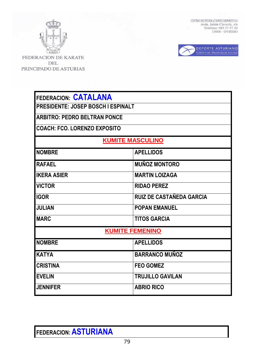

FEDERACION DE KARATE DEL PRINCIPADO DE ASTURIAS CENTRO DE FEDERACIONES DEPORTIVAS Avda. Julián Clavería, s/n<br/> Teléfono: 985 27 57 20 33006 - OVIEDO



| <b>FEDERACION: CATALANA</b>               |                                 |  |
|-------------------------------------------|---------------------------------|--|
| <b>PRESIDENTE: JOSEP BOSCH I ESPINALT</b> |                                 |  |
| <b>ARBITRO: PEDRO BELTRAN PONCE</b>       |                                 |  |
| <b>COACH: FCO. LORENZO EXPOSITO</b>       |                                 |  |
|                                           | <b>KUMITE MASCULINO</b>         |  |
| <b>NOMBRE</b><br><b>APELLIDOS</b>         |                                 |  |
| <b>RAFAEL</b>                             | <b>MUÑOZ MONTORO</b>            |  |
| <b>IKERA ASIER</b>                        | <b>MARTIN LOIZAGA</b>           |  |
| <b>VICTOR</b>                             | <b>RIDAO PEREZ</b>              |  |
| <b>IGOR</b>                               | <b>RUIZ DE CASTAÑEDA GARCIA</b> |  |
| <b>JULIAN</b>                             | <b>POPAN EMANUEL</b>            |  |
| <b>MARC</b>                               | <b>TITOS GARCIA</b>             |  |
|                                           | <b>KUMITE FEMENINO</b>          |  |
| <b>NOMBRE</b>                             | <b>APELLIDOS</b>                |  |
| <b>KATYA</b>                              | <b>BARRANCO MUÑOZ</b>           |  |
| <b>CRISTINA</b>                           | <b>FEO GOMEZ</b>                |  |
| <b>EVELIN</b>                             | <b>TRUJILLO GAVILAN</b>         |  |
| <b>JENNIFER</b>                           | <b>ABRIO RICO</b>               |  |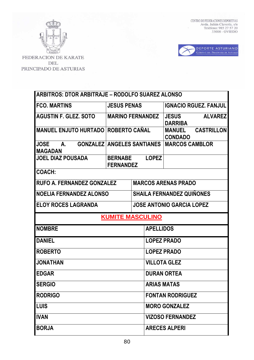

 $\begin{tabular}{ll} \textbf{CENTRO DE FEDERACIONES DEPORTIVAS} \\ \textbf{Avda, Julián Clavería, s/n} \\ \textbf{Telefono: 985 27 57 20} \\ \textbf{33006 - OVIEDO} \end{tabular}$ 



| <b>ARBITROS: DTOR ARBITRAJE – RODOLFO SUAREZ ALONSO</b> |                                                    |                    |                                                      |
|---------------------------------------------------------|----------------------------------------------------|--------------------|------------------------------------------------------|
| <b>FCO. MARTINS</b>                                     | <b>JESUS PENAS</b>                                 |                    | <b>IGNACIO RGUEZ, FANJUL</b>                         |
| <b>AGUSTIN F. GLEZ, SOTO</b>                            | <b>MARINO FERNANDEZ</b>                            |                    | <b>ALVAREZ</b><br><b>JESUS</b><br><b>DARRIBA</b>     |
| <b>MANUEL ENJUTO HURTADO ROBERTO CAÑAL</b>              |                                                    |                    | <b>CASTRILLON</b><br><b>MANUEL</b><br><b>CONDADO</b> |
| <b>JOSE</b><br>А.<br><b>MAGADAN</b>                     | <b>GONZALEZ ANGELES SANTIANES</b>                  |                    | <b>MARCOS CAMBLOR</b>                                |
| <b>JOEL DIAZ POUSADA</b>                                | <b>LOPEZ</b><br><b>BERNABE</b><br><b>FERNANDEZ</b> |                    |                                                      |
| <b>COACH:</b>                                           |                                                    |                    |                                                      |
|                                                         | <b>RUFO A. FERNANDEZ GONZALEZ</b>                  |                    | <b>MARCOS ARENAS PRADO</b>                           |
| <b>NOELIA FERNANDEZ ALONSO</b>                          |                                                    |                    | <b>SHAILA FERNANDEZ QUIÑONES</b>                     |
| <b>ELOY ROCES LAGRANDA</b>                              |                                                    |                    | <b>JOSE ANTONIO GARCIA LOPEZ</b>                     |
| <b>KUMITE MASCULINO</b>                                 |                                                    |                    |                                                      |
|                                                         |                                                    |                    |                                                      |
| <b>NOMBRE</b>                                           |                                                    | <b>APELLIDOS</b>   |                                                      |
| <b>DANIEL</b>                                           |                                                    |                    | <b>LOPEZ PRADO</b>                                   |
| <b>ROBERTO</b>                                          |                                                    |                    | <b>LOPEZ PRADO</b>                                   |
| <b>JONATHAN</b>                                         |                                                    |                    | <b>VILLOTA GLEZ</b>                                  |
| <b>EDGAR</b>                                            |                                                    |                    | <b>DURAN ORTEA</b>                                   |
| <b>SERGIO</b>                                           |                                                    | <b>ARIAS MATAS</b> |                                                      |
| <b>RODRIGO</b>                                          |                                                    |                    | <b>FONTAN RODRIGUEZ</b>                              |
| <b>LUIS</b>                                             |                                                    |                    | <b>MORO GONZALEZ</b>                                 |
| <b>IVAN</b>                                             |                                                    |                    | <b>VIZOSO FERNANDEZ</b>                              |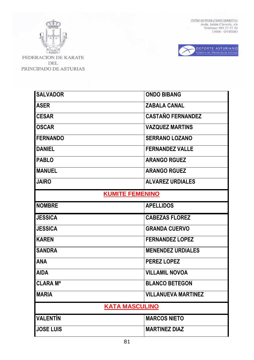



| <b>SALVADOR</b>        | <b>ONDO BIBANG</b>         |
|------------------------|----------------------------|
| <b>ASER</b>            | <b>ZABALA CANAL</b>        |
| <b>CESAR</b>           | <b>CASTAÑO FERNANDEZ</b>   |
| <b>OSCAR</b>           | <b>VAZQUEZ MARTINS</b>     |
| <b>FERNANDO</b>        | <b>SERRANO LOZANO</b>      |
| <b>DANIEL</b>          | <b>FERNANDEZ VALLE</b>     |
| <b>PABLO</b>           | <b>ARANGO RGUEZ</b>        |
| <b>MANUEL</b>          | <b>ARANGO RGUEZ</b>        |
| <b>JAIRO</b>           | <b>ALVAREZ URDIALES</b>    |
| <b>KUMITE FEMENINO</b> |                            |
| <b>NOMBRE</b>          | <b>APELLIDOS</b>           |
|                        |                            |
| <b>JESSICA</b>         | <b>CABEZAS FLOREZ</b>      |
| <b>JESSICA</b>         | <b>GRANDA CUERVO</b>       |
| <b>KAREN</b>           | <b>FERNANDEZ LOPEZ</b>     |
| <b>SANDRA</b>          | <b>MENENDEZ URDIALES</b>   |
| <b>ANA</b>             | <b>PEREZ LOPEZ</b>         |
| <b>AIDA</b>            | <b>VILLAMIL NOVOA</b>      |
| <b>CLARA Ma</b>        | <b>BLANCO BETEGON</b>      |
| <b>MARIA</b>           | <b>VILLANUEVA MARTINEZ</b> |
| <b>KATA MASCULINO</b>  |                            |
| <b>VALENTÍN</b>        | <b>MARCOS NIETO</b>        |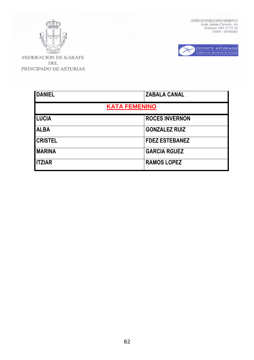

 $\begin{tabular}{ll} \textbf{CENTRO DE FEDERACIONES DEPORTIVAS} \\ \textbf{Avda, Julián Clavería, s/n} \\ \textbf{Telefono: 985 27 57 20} \\ \textbf{33006 - OVIEDO} \end{tabular}$ 



| <b>DANIEL</b>        | <b>ZABALA CANAL</b>   |  |
|----------------------|-----------------------|--|
| <b>KATA FEMENINO</b> |                       |  |
| <b>LUCIA</b>         | <b>ROCES INVERNON</b> |  |
| <b>ALBA</b>          | <b>GONZALEZ RUIZ</b>  |  |
| <b>CRISTEL</b>       | <b>FDEZ ESTEBANEZ</b> |  |
| <b>MARINA</b>        | <b>GARCIA RGUEZ</b>   |  |
| <b>ITZIAR</b>        | <b>RAMOS LOPEZ</b>    |  |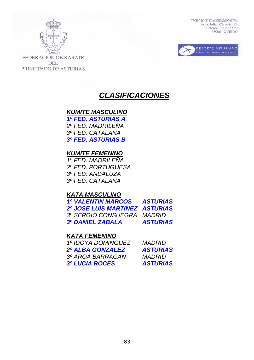



**FEDERACION DE KARATE DEL** PRINCIPADO DE ASTURIAS

# **CLASIFICACIONES**

# **KUMITE MASCULINO 1º FED. ASTURIAS A**

 2º FED. MADRILEÑA 3º FED. CATALANA **3º FED. ASTURIAS B**

# **KUMITE FEMENINO**

1º FED. MADRILEÑA 2º FED. PORTUGUESA 3º FED. ANDALUZA 3º FED. CATALANA

# **KATA MASCULINO**

 **1º VALENTIN MARCOS ASTURIAS 2º JOSE LUIS MARTINEZ ASTURIAS** 3º SERGIO CONSUEGRA MADRID **3º DANIEL ZABALA ASTURIAS** 

# **KATA FEMENINO**

| 1º IDOYA DOMINGUEZ      | <i>MADRID</i>   |
|-------------------------|-----------------|
| <b>2º ALBA GONZALEZ</b> | <b>ASTURIAS</b> |
| 3º AROA BARRAGAN        | <i>MADRID</i>   |
| <b>3º LUCIA ROCES</b>   | <b>ASTURIAS</b> |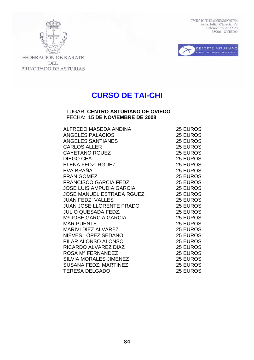



FEDERACION DE KARATE DEL PRINCIPADO DE ASTURIAS

# **CURSO DE TAI-CHI**

### LUGAR: **CENTRO ASTURIANO DE OVIEDO**  FECHA: **15 DE NOVIEMBRE DE 2008**

| ALFREDO MASEDA ANDINA             | 25 EUROS |
|-----------------------------------|----------|
| <b>ANGELES PALACIOS</b>           | 25 EUROS |
| ANGELES SANTIANES                 | 25 EUROS |
| <b>CARLOS ALLER</b>               | 25 EUROS |
| <b>CAYETANO RGUEZ</b>             | 25 EUROS |
| <b>DIEGO CEA</b>                  | 25 EUROS |
| ELENA FEDZ. RGUEZ.                | 25 EUROS |
| EVA BRAÑA                         | 25 EUROS |
| <b>FRAN GOMEZ</b>                 | 25 EUROS |
| <b>FRANCISCO GARCIA FEDZ.</b>     | 25 EUROS |
| <b>JOSE LUIS AMPUDIA GARCIA</b>   | 25 EUROS |
| JOSE MANUEL ESTRADA RGUEZ.        | 25 EUROS |
| <b>JUAN FEDZ. VALLES</b>          | 25 EUROS |
| <b>JUAN JOSE LLORENTE PRADO</b>   | 25 EUROS |
| <b>JULIO QUESADA FEDZ.</b>        | 25 EUROS |
| M <sup>a</sup> JOSE GARCIA GARCIA | 25 EUROS |
| <b>MAR PUENTE</b>                 | 25 EUROS |
| <b>MARIVI DIEZ ALVAREZ</b>        | 25 EUROS |
| NIEVES LÓPEZ SEDANO               | 25 EUROS |
| PILAR ALONSO ALONSO               | 25 EUROS |
| RICARDO ALVAREZ DIAZ              | 25 EUROS |
| ROSA Mª FERNANDEZ                 | 25 EUROS |
| <b>SILVIA MORALES JIMENEZ</b>     | 25 EUROS |
| <b>SUSANA FEDZ. MARTINEZ</b>      | 25 EUROS |
| <b>TERESA DELGADO</b>             | 25 EUROS |
|                                   |          |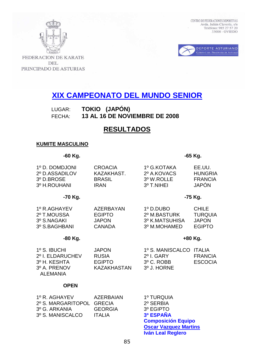



FEDERACION DE KARATE **DEL** PRINCIPADO DE ASTURIAS

# **XIX CAMPEONATO DEL MUNDO SENIOR**

LUGAR: **TOKIO (JAPÓN)** FECHA: **13 AL 16 DE NOVIEMBRE DE 2008**

# **RESULTADOS**

### **KUMITE MASCULINO**

### **-60 Kg. -65 Kg.**

| 1º D. DOMDJONI<br>2º D.ASSADILOV<br>3º D.BROSE<br>3º H.ROUHANI | <b>CROACIA</b><br>KAZAKHAST.<br><b>BRASIL</b><br><b>IRAN</b>       | 1º G.KOTAKA<br>2º A.KOVACS<br>3º W.ROLLE<br>3º T.NIHEI      | EE.UU.<br><b>HUNGRIA</b><br><b>FRANCIA</b><br><b>JAPÓN</b>      |
|----------------------------------------------------------------|--------------------------------------------------------------------|-------------------------------------------------------------|-----------------------------------------------------------------|
| -70 Kg.                                                        |                                                                    |                                                             | -75 Kg.                                                         |
| 1º R.AGHAYEV<br>2º T.MOUSSA<br>3º S.NAGAKI<br>3º S.BAGHBANI    | <b>AZERBAYAN</b><br><b>EGIPTO</b><br><b>JAPON</b><br><b>CANADA</b> | 1º D.DUBO<br>2º M.BASTURK<br>3º K.MATSUHISA<br>3º M.MOHAMED | <b>CHILE</b><br><b>TURQUIA</b><br><b>JAPON</b><br><b>EGIPTO</b> |
| -80 Kg.                                                        |                                                                    |                                                             | +80 Kg.                                                         |
| $1^{\circ}$ S. IBUCHI                                          | <b>JAPON</b>                                                       | 1º S. MANISCAI CO ITALIA                                    |                                                                 |

| $1^\circ$ S. IBUCHI | <b>JAPON</b>  | 1º S. MANISCALCO ITALIA |         |
|---------------------|---------------|-------------------------|---------|
| 2º I. ELDARUCHEV    | <b>RUSIA</b>  | 2º I. GARY              | FRANCIA |
| 3º H. KESHTA        | <b>EGIPTO</b> | 3º C. ROBB              | ESCOCIA |
| 3º A. PRENOV        | KAZAKHASTAN   | 3º J. HORNE             |         |
| AI FMANIA           |               |                         |         |

### **OPEN**

| 1º R. AGHAYEV             | AZERBAIAN      | 1º TURQUIA             |
|---------------------------|----------------|------------------------|
| 2º S. MARGARITOPOL GRECIA |                | 2º SERBIA              |
| 3º G. ARKANIA             | <b>GEORGIA</b> | 3º EGIPTO              |
| 3º S. MANISCALCO          | <b>ITALIA</b>  | 3º ESPAÑA              |
|                           |                | <b>Orman Andrich F</b> |

 **Composición Equipo Oscar Vazquez Martins Iván Leal Reglero**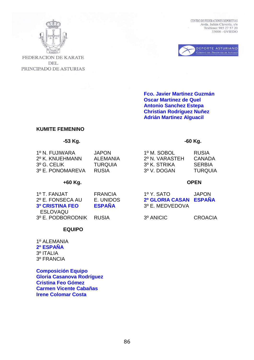



FEDERACION DE KARATE **DEL** PRINCIPADO DE ASTURIAS

> **Fco. Javier Martinez Guzmán Oscar Martinez de Quel Antonio Sanchez Estepa Christian Rodríguez Nuñez Adrián Martinez Alguacil**

## **KUMITE FEMENINO**

### **-53 Kg. -60 Kg.**

| 2º N. VARASTEH<br>2º K. KNUEHMANN<br>AI FMANIA<br>$3^{\circ}$ G. CELIK<br>3º K. STRIKA<br>TURQUIA<br>3º E. PONOMAREVA<br>3º V. DOGAN<br>RUSIA | CANADA<br><b>SERBIA</b><br><b>TURQUIA</b> |
|-----------------------------------------------------------------------------------------------------------------------------------------------|-------------------------------------------|
|-----------------------------------------------------------------------------------------------------------------------------------------------|-------------------------------------------|

## **+60 Kg. OPEN**

| 1º T. FANJAT            | FRANCIA       | 1º Y. SATO             | <b>JAPON</b>   |
|-------------------------|---------------|------------------------|----------------|
| 2º E. FONSECA AU        | E. UNIDOS     | 2º GLORIA CASAN ESPAÑA |                |
| <b>3º CRISTINA FEO</b>  | <b>ESPAÑA</b> | 3º E. MEDVEDOVA        |                |
| ESLOVAQU                |               |                        |                |
| 3º E. PODBORODNIK RUSIA |               | 3º ANICIC              | <b>CROACIA</b> |

# **EQUIPO**

1º ALEMANIA **2º ESPAÑA**  3º ITALIA 3º FRANCIA

**Composición Equipo Gloria Casanova Rodríguez Cristina Feo Gómez Carmen Vicente Cabañas Irene Colomar Costa**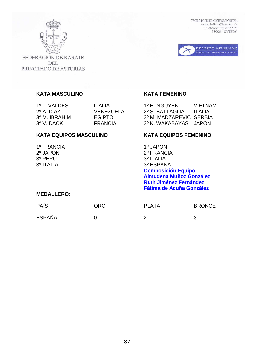



FEDERACION DE KARATE **DEL** PRINCIPADO DE ASTURIAS

# **KATA MASCULINO KATA FEMENINO**

1º L. VALDESI ITALIA 1º H. NGUYEN VIETNAM VENEZUELA 2º S. BATTAGLIA ITALIA 3º M. IBRAHIM EGIPTO 3º M. MADZAREVIC SERBIA 3º V. DACK FRANCIA 3º K. WAKABAYAS JAPON

## KATA EQUIPOS MASCULINO **KATA EQUIPOS FEMENINO**

1º FRANCIA 1º JAPON 3º PERU 3º ITALIA 3º ITALIA 3º ESPAÑA

2º JAPON 2º FRANCIA **Composición Equipo Almudena Muñoz González Ruth Jiménez Fernández Fátima de Acuña González** 

# **MEDALLERO:**

| <b>PAÍS</b>   | <b>ORO</b> | <b>PLATA</b> | <b>BRONCE</b> |
|---------------|------------|--------------|---------------|
| <b>ESPAÑA</b> |            |              | -2            |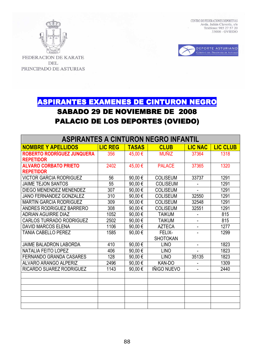



FEDERACION DE KARATE **DEL** PRINCIPADO DE ASTURIAS

# ASPIRANTES EXAMENES DE CINTURON NEGRO SABADO 29 DE NOVIEMBRE DE 2008 PALACIO DE LOS DEPORTES (OVIEDO)

| <b>ASPIRANTES A CINTURON NEGRO INFANTIL</b> |                |              |                 |                |                 |
|---------------------------------------------|----------------|--------------|-----------------|----------------|-----------------|
| <b>NOMBRE Y APELLIDOS</b>                   | <b>LIC REG</b> | <b>TASAS</b> | <b>CLUB</b>     | <b>LIC NAC</b> | <b>LIC CLUB</b> |
| <b>ROBERTO RODRÍGUEZ JUNQUERA</b>           | 356            | 45,00 €      | <b>MUÑIZ</b>    | 37364          | 1318            |
| <b>REPETIDOR</b>                            |                |              |                 |                |                 |
| <b>ALVARO CORBATO PRIETO</b>                | 2402           | 45,00 €      | <b>PALACE</b>   | 37365          | 1320            |
| <b>REPETIDOR</b>                            |                |              |                 |                |                 |
| <b>VICTOR GARCIA RODRIGUEZ</b>              | 56             | 90,00€       | <b>COLISEUM</b> | 33737          | 1291            |
| <b>JAIME TEJON SANTOS</b>                   | 55             | 90,00€       | <b>COLISEUM</b> |                | 1291            |
| DIEGO MENENDEZ MENENDEZ                     | 307            | 90,00€       | <b>COLISEUM</b> |                | 1291            |
| <b>JANO FERNANDEZ GONZALEZ</b>              | 310            | 90,00€       | <b>COLISEUM</b> | 32550          | 1291            |
| <b>MARTIN GARCIA RODRIGUEZ</b>              | 309            | 90,00€       | <b>COLISEUM</b> | 32548          | 1291            |
| ANDRES RODRIGUEZ BARRERO                    | 308            | 90,00€       | <b>COLISEUM</b> | 32551          | 1291            |
| <b>ADRIAN AGUIRRE DIAZ</b>                  | 1052           | 90,00€       | <b>TAIKUM</b>   | $\blacksquare$ | 815             |
| <b>CARLOS TURRADO RODRIGUEZ</b>             | 2502           | 90,00€       | <b>TAIKUM</b>   |                | 815             |
| <b>DAVID MARCOS ELENA</b>                   | 1106           | 90,00€       | <b>AZTECA</b>   |                | 1277            |
| <b>TANIA CABELLO PEREZ</b>                  | 1585           | 90,00€       | FELIX-          |                | 1299            |
|                                             |                |              | <b>SHOTOKAN</b> |                |                 |
| <b>JAIME BALADRON LABORDA</b>               | 410            | 90,00€       | <b>LINO</b>     | $\blacksquare$ | 1823            |
| <b>NATALIA FEITO LOPEZ</b>                  | 406            | 90,00€       | <b>LINO</b>     |                | 1823            |
| <b>FERNANDO GRANDA CASARES</b>              | 128            | 90,00€       | <b>LINO</b>     | 35135          | 1823            |
| <b>ALVARO ARANGO ALPERIZ</b>                | 2496           | 90,00€       | KAN-DO          | $\blacksquare$ | 1309            |
| <b>RICARDO SUAREZ RODRIGUEZ</b>             | 1143           | 90,00€       | IÑIGO NUEVO     |                | 2440            |
|                                             |                |              |                 |                |                 |
|                                             |                |              |                 |                |                 |
|                                             |                |              |                 |                |                 |
|                                             |                |              |                 |                |                 |
|                                             |                |              |                 |                |                 |
|                                             |                |              |                 |                |                 |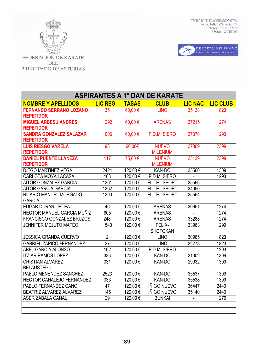

 $\begin{tabular}{ll} \multicolumn{2}{l}{\textbf{CENTRO DE FEDERACIONES DEPORTIVAS}} \\ \multicolumn{2}{l}{\textbf{AVda. Julián Clavería, s/n}} \\ \multicolumn{2}{l}{\textbf{Avda. Tuléfono: 985 27 57 20}} \\ \multicolumn{2}{l}{\textbf{73006 - OVIEDO}} \end{tabular}$ 



| <b>ASPIRANTES A 1º DAN DE KARATE</b> |                 |              |                    |                |                 |
|--------------------------------------|-----------------|--------------|--------------------|----------------|-----------------|
| <b>NOMBRE Y APELLIDOS</b>            | <b>LIC REG</b>  | <b>TASAS</b> | <b>CLUB</b>        | <b>LIC NAC</b> | <b>LIC CLUB</b> |
| <b>FERNANDO SERRANO LOZANO</b>       | 35              | 60,00€       | <b>LINO</b>        | 35138          | 1823            |
| <b>REPETIDOR</b>                     |                 |              |                    |                |                 |
| <b>MIGUEL ARBESU ANDRES</b>          | 1292            | $60,00 \in$  | <b>ARENAS</b>      | 37215          | 1274            |
| <b>REPETIDOR</b>                     |                 |              |                    |                |                 |
| <b>SANDRA GONZALEZ SALAZAR</b>       | 1006            | $60,00 \in$  | P.D.M. SIERO       | 37370          | 1293            |
| <b>REPETIDOR</b>                     |                 |              |                    |                |                 |
| <b>LUIS RIESGO VARELA</b>            | 98              | $60,00 \in$  | <b>NUEVO</b>       | 37369          | 2399            |
| <b>REPETIDOR</b>                     |                 |              | <b>MILENIUM</b>    |                |                 |
| <b>DANIEL PUENTE LLANEZA</b>         | 117             | 75,00€       | <b>NUEVO</b>       | 35139          | 2399            |
| <b>REPETIDOR</b>                     |                 |              | <b>MILENIUM</b>    |                |                 |
| <b>DIEGO MARTINEZ VEGA</b>           | 2424            | 120,00€      | KAN-DO             | 35560          | 1309            |
| CARLOTA MOYA LACASA                  | 163             | 120,00€      | P.D.M. SIERO       |                | 1293            |
| AITOR GONZALEZ GARCIA                | 1361            | 120,00€      | ELITE - SPORT      | 35566          |                 |
| <b>AITOR GARCIA GARCIA</b>           | 1362            | 120,00€      | ELITE - SPORT      | 34050          |                 |
| HILARIO MANUEL MORGADO               | 1390            | 120,00€      | ELITE - SPORT      | 35564          |                 |
| <b>GARCIA</b>                        |                 |              |                    |                |                 |
| <b>EDGAR DURAN ORTEA</b>             | 46              | 120,00€      | <b>ARENAS</b>      | 30951          | 1274            |
| HECTOR MANUEL GARCIA MUÑIZ           | 805             | 120,00€      | <b>ARENAS</b>      |                | 1274            |
| FRANCISCO GONZALEZ BRUZOS            | 248             | 120,00€      | <b>ARENAS</b>      | 33288          | 1274            |
| JENNIFER MEJUTO MATEO                | 1540            | 120,00€      | FELIX-             | 33963          | 1299            |
|                                      |                 |              | <b>SHOTOKAN</b>    |                |                 |
| <b>JESSICA GRANDA CUERVO</b>         | $\overline{2}$  | 120,00€      | <b>LINO</b>        | 30965          | 1823            |
| <b>GABRIEL ZAPICO FERNANDEZ</b>      | $\overline{37}$ | 120,00€      | <b>LINO</b>        | 32278          | 1823            |
| ABEL GARCIA ALONSO                   | 162             | 120,00€      | P.D.M. SIERO       |                | 1293            |
| <b>ITZIAR RAMOS LOPEZ</b>            | 336             | 120,00€      | KAN-DO             | 31302          | 1309            |
| <b>CRISTIAN ALVAREZ</b>              | 331             | 120,00€      | KAN-DO             | 29932          | 1309            |
| <b>BELAUSTEGUI</b>                   |                 |              |                    |                |                 |
| PABLO MENENDEZ SANCHEZ               | 2523            | 120,00€      | KAN-DO             | 35537          | 1309            |
| HECTOR CANALEJO FERNANDEZ            | 333             | 120,00€      | KAN-DO             | 35538          | 1309            |
| PABLO FERNANDEZ CANO                 | $\overline{47}$ | $120,00 \in$ | <b>IÑIGO NUEVO</b> | 36447          | 2440            |
| BEATRIZ ALVAREZ ALVAREZ              | 145             | 120,00€      | <b>IÑIGO NUEVO</b> | 35140          | 2440            |
| <b>ASER ZABALA CANAL</b>             | $\overline{29}$ | 120,00€      | <b>BUNKAI</b>      |                | 1279            |
|                                      |                 |              |                    |                |                 |
|                                      |                 |              |                    |                |                 |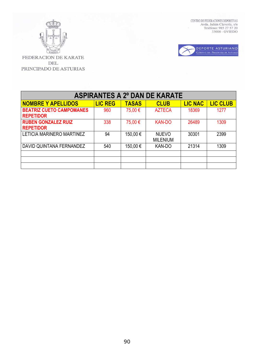



| <b>ASPIRANTES A 2º DAN DE KARATE</b>                |                |              |                                 |                |                 |
|-----------------------------------------------------|----------------|--------------|---------------------------------|----------------|-----------------|
| <b>NOMBRE Y APELLIDOS</b>                           | <b>LIC REG</b> | <b>TASAS</b> | <b>CLUB</b>                     | <b>LIC NAC</b> | <b>LIC CLUB</b> |
| <b>BEATRIZ CUETO CAMPOMANES</b><br><b>REPETIDOR</b> | 960            | 75,00 €      | <b>AZTECA</b>                   | 18369          | 1277            |
| <b>RUBEN GONZALEZ RUIZ</b><br><b>REPETIDOR</b>      | 338            | 75,00 €      | <b>KAN-DO</b>                   | 26489          | 1309            |
| LETICIA MARINERO MARTINEZ                           | 94             | 150,00€      | <b>NUEVO</b><br><b>MILENIUM</b> | 30301          | 2399            |
| DAVID QUINTANA FERNANDEZ                            | 540            | 150,00€      | <b>KAN-DO</b>                   | 21314          | 1309            |
|                                                     |                |              |                                 |                |                 |
|                                                     |                |              |                                 |                |                 |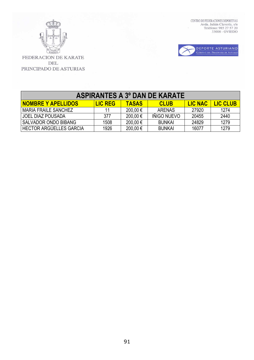



| <b>ASPIRANTES A 3º DAN DE KARATE</b>                                                                            |      |          |                    |       |      |  |  |
|-----------------------------------------------------------------------------------------------------------------|------|----------|--------------------|-------|------|--|--|
| <b>NOMBRE Y APELLIDOS</b><br><b>LIC CLUB</b><br><b>LIC NAC</b><br><b>TASAS</b><br><b>LIC REG</b><br><b>CLUB</b> |      |          |                    |       |      |  |  |
| l MARIA FRAILE SANCHEZ                                                                                          | 11   | 200,00 € | <b>ARENAS</b>      | 27920 | 1274 |  |  |
| l JOEL DIAZ POUSADA                                                                                             | 377  | 200,00 € | <b>IÑIGO NUEVO</b> | 20455 | 2440 |  |  |
| SALVADOR ONDO BIBANG                                                                                            | 1508 | 200,00 € | <b>BUNKAI</b>      | 24829 | 1279 |  |  |
| HECTOR ARGÜELLES GARCIA                                                                                         | 1926 | 200,00 € | <b>BUNKAI</b>      | 16077 | 1279 |  |  |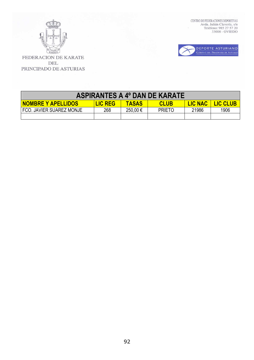



| <b>ASPIRANTES A 4º DAN DE KARATE</b>                                                                            |     |         |               |       |      |  |
|-----------------------------------------------------------------------------------------------------------------|-----|---------|---------------|-------|------|--|
| <b>LIC NAC</b><br><b>NOMBRE Y APELLIDOS</b><br><b>LIC REG</b><br><b>LIC CLUB</b><br><b>TASAS</b><br><b>CLUB</b> |     |         |               |       |      |  |
| FCO. JAVIER SUAREZ MONJE                                                                                        | 268 | 250,00€ | <b>PRIETO</b> | 21986 | 1906 |  |
|                                                                                                                 |     |         |               |       |      |  |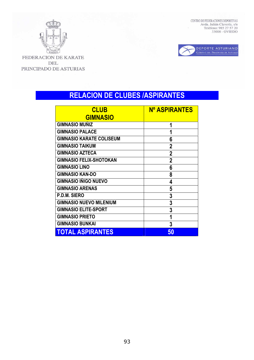



FEDERACION DE KARATE **DEL** PRINCIPADO DE ASTURIAS

# **RELACION DE CLUBES /ASPIRANTES**

| <b>CLUB</b>                     | <b>Nº ASPIRANTES</b> |
|---------------------------------|----------------------|
| <b>GIMNASIO</b>                 |                      |
| <b>GIMNASIO MUÑIZ</b>           | 1                    |
| <b>GIMNASIO PALACE</b>          | 1                    |
| <b>GIMNASIO KARATE COLISEUM</b> | 6                    |
| <b>GIMNASIO TAIKUM</b>          | $\overline{2}$       |
| <b>GIMNASIO AZTECA</b>          | $\mathbf{2}$         |
| <b>GIMNASIO FELIX-SHOTOKAN</b>  | $\overline{2}$       |
| <b>GIMNASIO LINO</b>            | 6                    |
| <b>GIMNASIO KAN-DO</b>          | 8                    |
| <b>GIMNASIO IÑIGO NUEVO</b>     | 4                    |
| <b>GIMNASIO ARENAS</b>          | 5                    |
| <b>P.D.M. SIERO</b>             | 3                    |
| <b>GIMNASIO NUEVO MILENIUM</b>  | 3                    |
| <b>GIMNASIO ELITE-SPORT</b>     | 3                    |
| <b>GIMNASIO PRIETO</b>          | 1                    |
| <b>GIMNASIO BUNKAI</b>          | 3                    |
| <b>TOTAL ASPIRANTES</b>         | 50                   |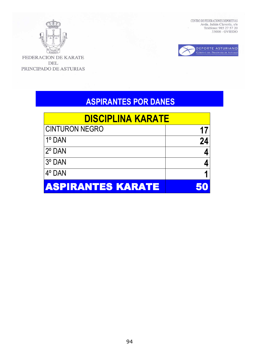

FEDERACION DE KARATE DEL PRINCIPADO DE ASTURIAS CENTRO DE FEDERACIONES DEPORTIVAS Avda. Julián Clavería, s/n<br/> Teléfono: 985 27 57 20 33006 - OVIEDO



# **ASPIRANTES POR DANES**

| <b>DISCIPLINA KARATE</b> |    |
|--------------------------|----|
| <b>CINTURON NEGRO</b>    |    |
| 1º DAN                   | 24 |
| 2° DAN                   |    |
| 3° DAN                   |    |
| 4° DAN                   |    |
| <b>ASPIRANTES KARATE</b> |    |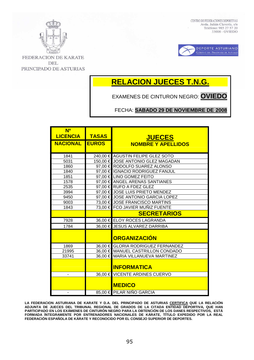



**FEDERACION DE KARATE** DEL PRINCIPADO DE ASTURIAS

# **RELACION JUECES T.N.G.**

EXAMENES DE CINTURON NEGRO: **OVIEDO**

FECHA: **SABADO 29 DE NOVIEMBRE DE 2008**

| N <sup>o</sup><br><b>LICENCIA</b> | <b>TASAS</b> |                                            |
|-----------------------------------|--------------|--------------------------------------------|
| <b>NACIONAL EUROS</b>             |              | <b>JUECES</b><br><b>NOMBRE Y APELLIDOS</b> |
| 1841                              |              | 240,00 € AGUSTIN FELIPE GLEZ SOTO          |
| 5031                              |              | 150,00 € JOSE ANTONIO GLEZ MAGADAN         |
| 1860                              |              | 97,00 € RODOLFO SUAREZ ALONSO              |
| 1840                              |              | 97,00 € IGNACIO RODRIGUEZ FANJUL           |
| 1851                              |              | 97,00 € LINO GOMEZ FEITO                   |
| 1578                              |              | 97,00 € ANGEL ARENAS SANTIANES             |
| 2535                              |              | 97,00 € RUFO A FDEZ GLEZ                   |
| 3994                              |              | 97,00 € JOSE LUIS PRIETO MENDEZ            |
| 9450                              |              | 97,00 € JOSE ANTONIO GARCIA LOPEZ          |
| 9003                              |              | 73,00 € JOSE FRANCISCO MARTINS             |
| 1843                              |              | 73,00 € FCO JAVIER MUÑIZ FUENTE            |
|                                   |              | <b>SECRETARIOS</b>                         |
| 7928                              |              | 36,00 € ELOY ROCES LAGRANDA                |
| 1784                              |              | 36,00 € JESUS ALVAREZ DARRIBA              |
|                                   |              | <b>ORGANIZACIÓN</b>                        |
| 1869                              |              | 36,00 € GLORIA RODRIGUEZ FERNANDEZ         |
| 21995                             |              | 36,00 € MANUEL CASTRILLON CONDADO          |
| 33741                             |              | 36,00 € MARIA VILLANUEVA MARTINEZ          |
|                                   |              | <b>INFORMATICA</b>                         |
| $\blacksquare$                    |              | 36,00 € VICENTE ARDINES CUERVO             |
|                                   |              | <b>MEDICO</b>                              |
|                                   |              | 85,00 € PILAR NIÑO GARCIA                  |

**LA FEDERACION ASTURIANA DE KARATE Y D.A. DEL PRINCIPADO DE ASTURIAS CERTIFICA QUE LA RELACIÓN ADJUNTA DE JUECES DEL TRIBUNAL REGIONAL DE GRADOS DE LA CITADA ENTIDAD DEPORTIVA, QUE HAN PARTICIPADO EN LOS EXÁMENES DE CINTURÓN NEGRO PARA LA OBTENCIÓN DE LOS DANES RESPECTIVOS, ESTÁ FORMADA ÍNTEGRAMENTE POR ENTRENADORES NACIONALES DE KÁRATE, TÍTULO EXPEDIDO POR LA REAL FEDERACIÓN ESPAÑOLA DE KÁRATE Y RECONOCIDO POR EL CONSEJO SUPERIOR DE DEPORTES.**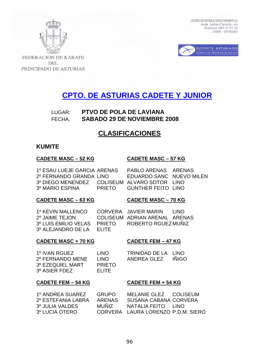



**FEDERACION DE KARATE** DEL PRINCIPADO DE ASTURIAS

# **CPTO. DE ASTURIAS CADETE Y JUNIOR**

# LUGAR: **PTVO DE POLA DE LAVIANA**  FECHA. **SABADO 29 DE NOVIEMBRE 2008**

# **CLASIFICACIONES**

## **KUMITE**

### **CADETE MASC – 52 KG CADETE MASC – 57 KG**

1º ESAU LUEJE GARCIA ARENAS PABLO ARENAS ARENAS 2º FERNANDO GRANDA LINO EDUARDO SANC NUEVO MILEN 3º DIEGO MENENDEZ COLISEUM ALVARO SOTOR LINO 3º MARIO ESPINA PRIETO GUNTHER FEITO LINO

## **CADETE MASC – 63 KG CADETE MASC – 70 KG**

1º KEVIN MALLENCO CORVERA JAVIER MARIN LINO<br>2º JAIME TEJON COLISEUM ADRIAN ARENAL AREN 3º LUIS EMILIO VELAS PRIETO ROBERTO RGUEZ MUÑIZ 3º ALEJANDRO DE LA ELITE

COLISEUM ADRIAN ARENAL ARENAS

## **CADETE MASC + 70 KG CADETE FEM – 47 KG**

| 1º IVAN RGUEZ    | <b>LINO</b>   |
|------------------|---------------|
| 2º FERNANDO MENE | <b>LINO</b>   |
| 3º EZEQUIEL MART | <b>PRIETO</b> |
| 3º ASIER FDEZ    | FI ITE        |

TRINIDAD DE LA LINO ANDREA GLEZ INIGO

## **CADETE FEM – 54 KG CADETE FEM + 54 KG**

| 1º ANDREA SUAREZ   | <b>GRUPO</b> | MELANIE GLEZ COLISEUM              |  |
|--------------------|--------------|------------------------------------|--|
| 2º ESTEFANIA LABRA | ARFNAS       | SUSANA CABANA CORVERA              |  |
| 3º JULIA VALDES    | MUÑIZ        | NATALIA FEITO LINO                 |  |
| 3º LUCIA OTERO     |              | CORVERA LAURA LORENZO P.D.M. SIERO |  |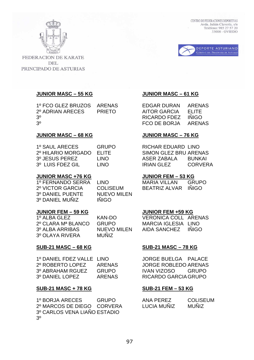



**FEDERACION DE KARATE DEL** PRINCIPADO DE ASTURIAS

# **JUNIOR MASC – 55 KG JUNIOR MASC – 61 KG**

1º FCO GLEZ BRUZOS ARENAS EDGAR DURAN ARENAS 2º ADRIAN ARECES PRIETO AITOR GARCIA ELITE 3º RICARDO FDEZ IÑIGO

### **JUNIOR MASC – 68 KG JUNIOR MASC – 76 KG**

| 1º SAUL ARECES     | GRUP   |
|--------------------|--------|
| 2º HILARIO MORGADO | ELITE. |
| 3º JESUS PEREZ     | LINO   |
| 3º LUIS FDEZ GIL   | LINO   |

### **JUNIOR MASC +76 KG JUNIOR FEM – 53 KG**

3º DANIEL PUENTE NUEVO MILEN 3º DANIEL MUÑIZ IÑIGO

## **JUNIOR FEM – 59 KG JUNIOR FEM +59 KG**

3º OLAYA RIVERA MUÑIZ

## **SUB-21 MASC – 68 KG SUB-21 MASC – 78 KG**

| 1º DANIEL FDEZ VALLE LINO |               |
|---------------------------|---------------|
| 2º ROBERTO LOPEZ          | ARENAS        |
| 3º ABRAHAM RGUEZ          | <b>GRUPO</b>  |
| 3º DANIEL LOPEZ           | <b>ARENAS</b> |

### **SUB-21 MASC + 78 KG SUB-21 FEM – 53 KG**

1º BORJA ARECES GRUPO 2º MARCOS DE DIEGO CORVERA 3º CARLOS VENA LIAÑO ESTADIO 3º

3º FCO DE BORJA ARENAS

0 RICHAR EDUARD LINO SIMON GLEZ BRU ARENAS ASER ZABALA BUNKAI IRIAN GLEZ CORVERA

1º FERNANDO SERRA LINO MARIA VILLAN GRUPO 2º VICTOR GARCIA COLISEUM BEATRIZ ALVAR IÑIGO

1º ALBA GLEZ KAN-DO VERONICA COLL ARENAS 2º CLARA Mª BLANCO GRUPO MARCIA IGLESIA LINO 3º ALBA ARRIBAS NUEVO MILEN AIDA SANCHEZ IÑIGO

JORGE BUELGA PALACE JORGE ROBLEDO ARENAS IVAN VIZOSO GRUPO RICARDO GARCIA GRUPO

| <b>ANA PEREZ</b>   | <b>COLISEUM</b> |
|--------------------|-----------------|
| <b>LUCIA MUNIZ</b> | <b>MUNIZ</b>    |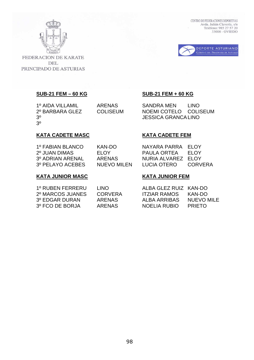



FEDERACION DE KARATE **DEL** PRINCIPADO DE ASTURIAS

3º

### **SUB-21 FEM – 60 KG SUB-21 FEM + 60 KG**

1º AIDA VILLAMIL ARENAS SANDRA MEN LINO 2º BARBARA GLEZ COLISEUM NOEMI COTELO COLISEUM 3º JESSICA GRANCA LINO

# **KATA CADETE MASC KATA CADETE FEM**

| KAN-DO      | NAYARA PARRA ELOY  |              |
|-------------|--------------------|--------------|
| FI OY       | PAULA ORTEA        | <b>FI OY</b> |
| ARENAS      | NURIA ALVAREZ ELOY |              |
| NUEVO MILEN | LUCIA OTERO        | CORVERA      |
|             |                    |              |

## **KATA JUNIOR MASC KATA JUNIOR FEM**

| 1º RUBEN FERRERU | LINO.          | ALBA GLEZ RUIZ KAN-DO |               |
|------------------|----------------|-----------------------|---------------|
| 2º MARCOS JUANES | <b>CORVERA</b> | <b>ITZIAR RAMOS</b>   | KAN-DO        |
| 3º EDGAR DURAN   | ARFNAS         | ALBA ARRIBAS          | NUEVO MILE    |
| 3º FCO DE BORJA  | ARFNAS         | NOELIA RUBIO          | <b>PRIFTO</b> |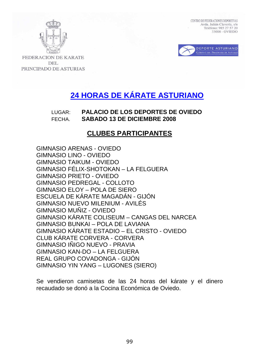



**FEDERACION DE KARATE DEL** PRINCIPADO DE ASTURIAS

# **24 HORAS DE KÁRATE ASTURIANO**

# LUGAR: **PALACIO DE LOS DEPORTES DE OVIEDO**  FECHA. **SABADO 13 DE DICIEMBRE 2008**

# **CLUBES PARTICIPANTES**

GIMNASIO ARENAS - OVIEDO GIMNASIO LINO - OVIEDO GIMNASIO TAIKUM - OVIEDO GIMNASIO FÉLIX-SHOTOKAN – LA FELGUERA GIMNASIO PRIETO - OVIEDO GIMNASIO PEDREGAL - COLLOTO GIMNASIO ELOY – POLA DE SIERO ESCUELA DE KÁRATE MAGADÁN - GIJÓN GIMNASIO NUEVO MILENIUM - AVILÉS GIMNASIO MUÑIZ - OVIEDO GIMNASIO KÁRATE COLISEUM – CANGAS DEL NARCEA GIMNASIO BUNKAI – POLA DE LAVIANA GIMNASIO KÁRATE ESTADIO – EL CRISTO - OVIEDO CLUB KÁRATE CORVERA - CORVERA GIMNASIO INIGO NUEVO - PRAVIA GIMNASIO KAN-DO – LA FELGUERA REAL GRUPO COVADONGA - GIJÓN GIMNASIO YIN YANG – LUGONES (SIERO)

Se vendieron camisetas de las 24 horas del kárate y el dinero recaudado se donó a la Cocina Económica de Oviedo.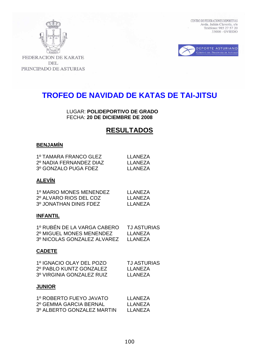



FEDERACION DE KARATE **DEL** PRINCIPADO DE ASTURIAS

# **TROFEO DE NAVIDAD DE KATAS DE TAI-JITSU**

LUGAR: **POLIDEPORTIVO DE GRADO** FECHA: **20 DE DICIEMBRE DE 2008** 

# **RESULTADOS**

# **BENJAMÍN**

| 1º TAMARA FRANCO GLEZ   | LI ANFZA  |
|-------------------------|-----------|
| 2º NADIA FERNANDEZ DIAZ | I I ANFZA |
| 3º GONZALO PUGA FDEZ    | I I ANFZA |

# **ALEVÍN**

| 1º MARIO MONES MENENDEZ | I I ANFZA |
|-------------------------|-----------|
| 2º ALVARO RIOS DEL COZ  | I I ANFZA |
| 3º JONATHAN DINIS FDEZ  | I I ANFZA |

### **INFANTIL**

| 1º RUBÉN DE LA VARGA CABERO | <b>TJ ASTURIAS</b> |
|-----------------------------|--------------------|
| 2º MIGUEL MONES MENENDEZ    | LLANEZA            |
| 3º NICOLAS GONZALEZ ALVAREZ | LLANEZA            |

## **CADETE**

| 1º IGNACIO OLAY DEL POZO  | <b>TJ ASTURIAS</b> |
|---------------------------|--------------------|
| 2º PABLO KUNTZ GONZALEZ   | I I ANFZA          |
| 3º VIRGINIA GONZALEZ RUIZ | LI ANFZA           |

## **JUNIOR**

| 1º ROBERTO FUEYO JAVATO    | LI ANFZA |
|----------------------------|----------|
| 2º GEMMA GARCIA BERNAL     | LI ANFZA |
| 3º ALBERTO GONZALEZ MARTIN | LI ANFZA |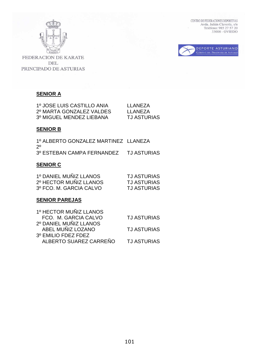



FEDERACION DE KARATE DEL PRINCIPADO DE ASTURIAS

# **SENIOR A**

| 1º JOSE LUIS CASTILLO ANIA | LLANEZA            |
|----------------------------|--------------------|
| 2º MARTA GONZALEZ VALDES   | LLANEZA            |
| 3º MIGUEL MENDEZ LIEBANA   | <b>TJ ASTURIAS</b> |

# **SENIOR B**

1º ALBERTO GONZALEZ MARTINEZ LLANEZA 2º 3º ESTEBAN CAMPA FERNANDEZ TJ ASTURIAS

# **SENIOR C**

| 1º DANIEL MUÑIZ LLANOS  | <b>TJ ASTURIAS</b> |
|-------------------------|--------------------|
| 2º HECTOR MUÑIZ LLANOS  | <b>TJ ASTURIAS</b> |
| 3º FCO. M. GARCIA CALVO | <b>TJ ASTURIAS</b> |

# **SENIOR PAREJAS**

| 1º HECTOR MUÑIZ LLANOS |                    |
|------------------------|--------------------|
| FCO. M. GARCIA CALVO   | <b>TJ ASTURIAS</b> |
| 2º DANIEL MUÑIZ LLANOS |                    |
| ABEL MUÑIZ LOZANO      | <b>TJ ASTURIAS</b> |
| 3º EMILIO FDEZ FDEZ    |                    |
| ALBERTO SUAREZ CARREÑO | <b>TJ ASTURIAS</b> |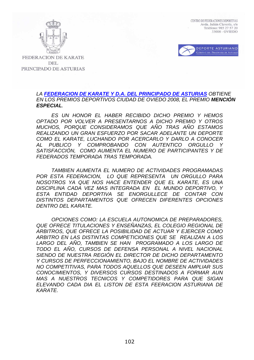



**FEDERACION DE KARATE DEL** PRINCIPADO DE ASTURIAS

## LA **FEDERACION DE KARATE Y D.A. DEL PRINCIPADO DE ASTURIAS** OBTIENE EN LOS PREMIOS DEPORTIVOS CIUDAD DE OVIEDO 2008, EL PREMIO **MENCIÓN ESPECIAL**.

ES UN HONOR EL HABER RECIBIDO DICHO PREMIO Y HEMOS OPTADO POR VOLVER A PRESENTARNOS A DICHO PREMIO Y OTROS MUCHOS, PORQUE CONSIDERAMOS QUE AÑO TRAS AÑO ESTAMOS REALIZANDO UN GRAN ESFUERZO POR SACAR ADELANTE UN DEPORTE COMO EL KARATE, LUCHANDO POR ACERCARLO Y DARLO A CONOCER AL PUBLICO Y COMPROBANDO CON AUTENTICO ORGULLO Y SATISFACCIÓN, COMO AUMENTA EL NUMERO DE PARTICIPANTES Y DE FEDERADOS TEMPORADA TRAS TEMPORADA.

TAMBIEN AUMENTA EL NUMERO DE ACTIVIDADES PROGRAMADAS POR ESTA FEDERACION, LO QUE REPRESENTA UN ORGULLO PARA NOSOTROS YA QUE NOS HACE ENTENDER QUE EL KARATE, ES UNA DISCIPLINA CADA VEZ MAS INTEGRADA EN EL MUNDO DEPORTIVO, Y ESTA ENTIDAD DEPORTIVA SE ENORGULLECE DE CONTAR CON DISTINTOS DEPARTAMENTOS QUE OFRECEN DIFERENTES OPCIONES DENTRO DEL KARATE.

OPCIONES COMO: LA ESCUELA AUTONOMICA DE PREPARADORES, QUE OFRECE TITULACIONES Y ENSEÑANZAS, EL COLEGIO REGIONAL DE ARBITROS, QUE OFRECE LA POSIBILIDAD DE ACTUAR Y EJERCER COMO ARBITRO EN LAS DISTINTAS COMPETICIONES QUE SE REALIZAN A LOS LARGO DEL AÑO, TAMBIEN SE HAN PROGRAMADO A LOS LARGO DE TODO EL AÑO, CURSOS DE DEFENSA PERSONAL A NIVEL NACIONAL SIENDO DE NUESTRA REGIÓN EL DIRECTOR DE DICHO DEPARTAMENTO Y CURSOS DE PERFECCIONAMIENTO, BAJO EL NOMBRE DE ACTIVIDADES NO COMPETITIVAS, PARA TODOS AQUELLOS QUE DESEEN AMPLIAR SUS CONOCIMIENTOS, Y DIVERSOS CURSOS DESTINADOS A FORMAR AUN MAS A NUESTROS TECNICOS Y COMPETIDORES PARA QUE SIGAN ELEVANDO CADA DIA EL LISTON DE ESTA FEERACION ASTURIANA DE KARATE.